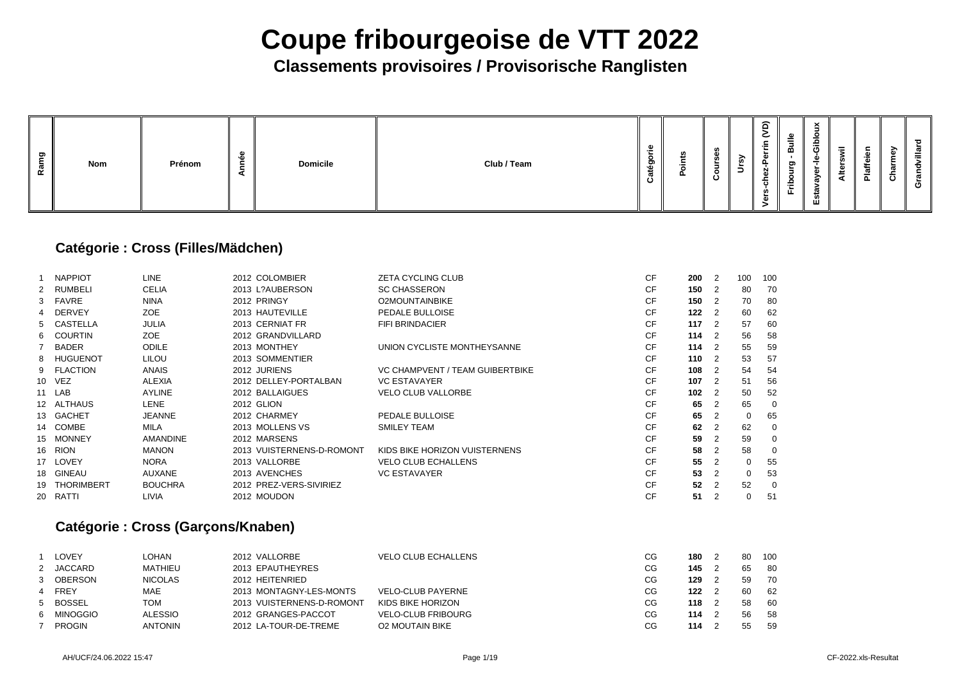### **Classements provisoires / Provisorische Ranglisten**

| ರಾ<br><b>Nom</b><br>œ | Prénom | - | <b>Domicile</b> | Club / Team | m | m | ഗ<br>w |  | $\widehat{\phantom{a}}$<br>-<br>$\tilde{\phantom{a}}$<br>$\sim$<br>$\sim$<br><u>н.</u><br>Ñ<br>৳ | $\equiv$<br>മ<br>ರಾ<br>o<br>음.<br>н. | $\times$<br>_<br>Gib<br>-<br>><br>تغف<br>υ.<br>ш | $=$<br>ت<br>◀ | $\boldsymbol{\pi}$<br>$\equiv$<br>௳ | ്ധ | ਠ<br>ದ<br>൹<br>ပ |
|-----------------------|--------|---|-----------------|-------------|---|---|--------|--|--------------------------------------------------------------------------------------------------|--------------------------------------|--------------------------------------------------|---------------|-------------------------------------|----|------------------|
|-----------------------|--------|---|-----------------|-------------|---|---|--------|--|--------------------------------------------------------------------------------------------------|--------------------------------------|--------------------------------------------------|---------------|-------------------------------------|----|------------------|

### **Catégorie : Cross (Filles/Mädchen)**

|        | <b>NAPPIOT</b> | <b>LINE</b>     | 2012 COLOMBIER            | <b>ZETA CYCLING CLUB</b>               | <b>CF</b> | 200 | $\overline{2}$             | 100         | 10 <sub>C</sub> |
|--------|----------------|-----------------|---------------------------|----------------------------------------|-----------|-----|----------------------------|-------------|-----------------|
| $^{2}$ | RUMBELI        | <b>CELIA</b>    | 2013 L?AUBERSON           | <b>SC CHASSERON</b>                    | <b>CF</b> | 150 | $\overline{\phantom{0}}^2$ | 80          | 70              |
|        | 3 FAVRE        | <b>NINA</b>     | 2012 PRINGY               | <b>O2MOUNTAINBIKE</b>                  | <b>CF</b> | 150 | $\overline{2}$             | 70          | 80              |
|        | 4 DERVEY       | ZOE             | 2013 HAUTEVILLE           | PEDALE BULLOISE                        | <b>CF</b> | 122 | $\overline{\phantom{0}}^2$ | 60          | 62              |
|        | 5 CASTELLA     | <b>JULIA</b>    | 2013 CERNIAT FR           | <b>FIFI BRINDACIER</b>                 | <b>CF</b> | 117 | $\overline{2}$             | 57          | <b>60</b>       |
|        | 6 COURTIN      | ZOE             | 2012 GRANDVILLARD         |                                        | <b>CF</b> | 114 | $\overline{\phantom{0}}^2$ | 56          | 58              |
|        | <b>BADER</b>   | <b>ODILE</b>    | 2013 MONTHEY              | UNION CYCLISTE MONTHEYSANNE            | <b>CF</b> | 114 | $\overline{2}$             | 55          | <b>59</b>       |
|        | 8 HUGUENOT     | <b>LILOU</b>    | 2013 SOMMENTIER           |                                        | <b>CF</b> | 110 | $\overline{2}$             | 53          | 57              |
|        | 9 FLACTION     | <b>ANAIS</b>    | 2012 JURIENS              | <b>VC CHAMPVENT / TEAM GUIBERTBIKE</b> | <b>CF</b> | 108 | $\overline{2}$             | 54          | 54              |
|        | 10 VEZ         | <b>ALEXIA</b>   | 2012 DELLEY-PORTALBAN     | <b>VC ESTAVAYER</b>                    | <b>CF</b> | 107 | $\overline{2}$             | 51          | 56              |
|        | 11 LAB         | <b>AYLINE</b>   | 2012 BALLAIGUES           | <b>VELO CLUB VALLORBE</b>              | <b>CF</b> | 102 | $\overline{2}$             | 50          | 52              |
|        | 12 ALTHAUS     | <b>LENE</b>     | 2012 GLION                |                                        | <b>CF</b> | 65  | 2                          | 65          |                 |
|        | 13 GACHET      | <b>JEANNE</b>   | 2012 CHARMEY              | PEDALE BULLOISE                        | <b>CF</b> | 65  |                            | 0           | 65              |
|        | 14 COMBE       | MILA            | 2013 MOLLENS VS           | <b>SMILEY TEAM</b>                     | <b>CF</b> | 62  | 2                          | 62          |                 |
|        | 15 MONNEY      | <b>AMANDINE</b> | 2012 MARSENS              |                                        | <b>CF</b> | 59  |                            | 59          |                 |
|        | 16 RION        | <b>MANON</b>    | 2013 VUISTERNENS-D-ROMONT | KIDS BIKE HORIZON VUISTERNENS          | <b>CF</b> | 58  | 2                          | 58          |                 |
|        | 17 LOVEY       | <b>NORA</b>     | 2013 VALLORBE             | <b>VELO CLUB ECHALLENS</b>             | <b>CF</b> | 55  |                            | 0           | 55              |
|        | 18 GINEAU      | <b>AUXANE</b>   | 2013 AVENCHES             | <b>VC ESTAVAYER</b>                    | <b>CF</b> | 53  |                            | $\mathbf 0$ | 53              |
|        | 19 THORIMBERT  | <b>BOUCHRA</b>  | 2012 PREZ-VERS-SIVIRIEZ   |                                        | <b>CF</b> | 52  | 2                          | 52          |                 |
|        | 20 RATTI       | <b>LIVIA</b>    | 2012 MOUDON               |                                        | <b>CF</b> | 51  |                            | 0           | $5^{\prime}$    |
|        |                |                 |                           |                                        |           |     |                            |             |                 |

### **Catégorie : Cross (Garçons/Knaben)**

| LOVEY         | LOHAN          | 2012 VALLORBE             | <b>VELO CLUB ECHALLENS</b> | СG | 180     |     | 80 | 10 <sup>C</sup> |
|---------------|----------------|---------------------------|----------------------------|----|---------|-----|----|-----------------|
| 2 JACCARD     | <b>MATHIEU</b> | 2013 EPAUTHEYRES          |                            | CG | 145     |     | 65 | -80             |
| 3 OBERSON     | <b>NICOLAS</b> | 2012 HEITENRIED           |                            | CG | 129     |     | 59 | <b>70</b>       |
| 4 FREY        | MAE            | 2013 MONTAGNY-LES-MONTS   | <b>VELO-CLUB PAYERNE</b>   | CG | 122     |     | 60 | -62             |
| 5 BOSSEL      | TOM            | 2013 VUISTERNENS-D-ROMONT | KIDS BIKE HORIZON          | CG | $118$ 2 |     | 58 | -60             |
| 6 MINOGGIO    | <b>ALESSIO</b> | 2012 GRANGES-PACCOT       | <b>VELO-CLUB FRIBOURG</b>  | CG | 114     | - 2 | 56 | 58              |
| <b>PROGIN</b> | <b>ANTONIN</b> | 2012 LA-TOUR-DE-TREME     | <b>O2 MOUTAIN BIKE</b>     | CG | 114     |     | 55 | <b>59</b>       |
|               |                |                           |                            |    |         |     |    |                 |

| 200 | 2              | 100 | 100 |
|-----|----------------|-----|-----|
| 150 | $\overline{c}$ | 80  | 70  |
| 150 | $\overline{c}$ | 70  | 80  |
| 122 | $\overline{c}$ | 60  | 62  |
| 117 | $\overline{c}$ | 57  | 60  |
| 114 | $\overline{c}$ | 56  | 58  |
| 114 | $\overline{2}$ | 55  | 59  |
| 110 | $\overline{2}$ | 53  | 57  |
| 108 | $\overline{c}$ | 54  | 54  |
| 107 | $\overline{c}$ | 51  | 56  |
| 102 | $\overline{c}$ | 50  | 52  |
| 65  | $\overline{c}$ | 65  | 0   |
| 65  | $\overline{c}$ | 0   | 65  |
| 62  | $\overline{c}$ | 62  | 0   |
| 59  | $\overline{c}$ | 59  | 0   |
| 58  | $\overline{c}$ | 58  | 0   |
| 55  | $\overline{c}$ | 0   | 55  |
| 53  | $\overline{2}$ | 0   | 53  |
| 52  | $\overline{c}$ | 52  | 0   |
| 51  | $\overline{2}$ | 0   | 51  |

| 180 | 2 | 80 | 100 |
|-----|---|----|-----|
| 145 | 2 | 65 | 80  |
| 129 | 2 | 59 | 70  |
| 122 | 2 | 60 | 62  |
| 118 | 2 | 58 | 60  |
| 114 | 2 | 56 | 58  |
| 114 | 2 | 55 | 59  |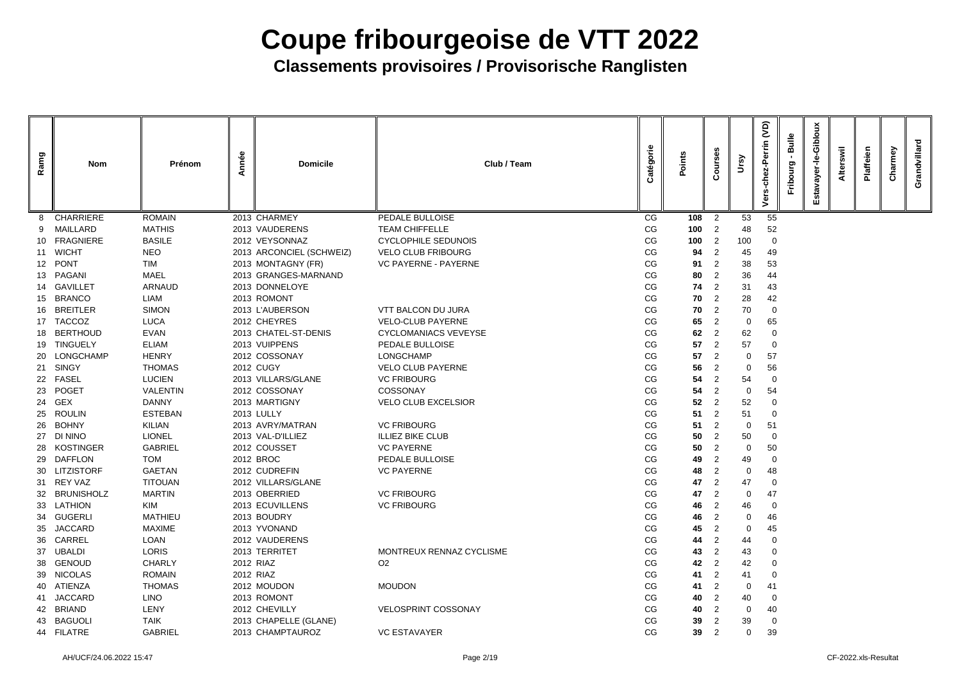| Ramg | <b>Nom</b>       | Prénom          | Année | <b>Domicile</b>          | Club / Team                 | Catégorie | Points | <b>Ses</b><br>ပြီ | Vrsy           | <b>JO</b><br>Perrin<br>둥<br>٥ | <b>Bulle</b><br>Fribourg | Giblor<br>ត<br>ш | swil<br>Altei | Plaffeien | Charmey | villard<br>Grandy |
|------|------------------|-----------------|-------|--------------------------|-----------------------------|-----------|--------|-------------------|----------------|-------------------------------|--------------------------|------------------|---------------|-----------|---------|-------------------|
|      | <b>CHARRIERE</b> | <b>ROMAIN</b>   |       | 2013 CHARMEY             | PEDALE BULLOISE             | CG        | 108    | $\overline{2}$    | 53             | 55                            |                          |                  |               |           |         |                   |
|      | MAILLARD         | <b>MATHIS</b>   |       | 2013 VAUDERENS           | <b>TEAM CHIFFELLE</b>       | CG        | 100    | 2                 | 48             | 52                            |                          |                  |               |           |         |                   |
|      | 10 FRAGNIERE     | <b>BASILE</b>   |       | 2012 VEYSONNAZ           | <b>CYCLOPHILE SEDUNOIS</b>  | CG        | 100    | 2                 | 100            | $\mathbf 0$                   |                          |                  |               |           |         |                   |
|      | 11 WICHT         | <b>NEO</b>      |       | 2013 ARCONCIEL (SCHWEIZ) | <b>VELO CLUB FRIBOURG</b>   | CG        | 94     | 2                 | 45             | 49                            |                          |                  |               |           |         |                   |
|      | 12 PONT          | <b>TIM</b>      |       | 2013 MONTAGNY (FR)       | <b>VC PAYERNE - PAYERNE</b> | CG        | 91     | 2                 | 38             | 53                            |                          |                  |               |           |         |                   |
|      | 13 PAGANI        | <b>MAEL</b>     |       | 2013 GRANGES-MARNAND     |                             | CG        | 80     | 2                 | 36             | 44                            |                          |                  |               |           |         |                   |
|      | 14 GAVILLET      | ARNAUD          |       | 2013 DONNELOYE           |                             | CG        | 74     | 2                 | 31             | 43                            |                          |                  |               |           |         |                   |
| 15.  | <b>BRANCO</b>    | <b>LIAM</b>     |       | 2013 ROMONT              |                             | CG        | 70     | $\overline{2}$    | 28             | 42                            |                          |                  |               |           |         |                   |
| 16   | <b>BREITLER</b>  | <b>SIMON</b>    |       | 2013 L'AUBERSON          | <b>VTT BALCON DU JURA</b>   | CG        | 70     | 2                 | 70             | $\overline{0}$                |                          |                  |               |           |         |                   |
|      | 17 TACCOZ        | <b>LUCA</b>     |       | 2012 CHEYRES             | <b>VELO-CLUB PAYERNE</b>    | CG        | 65     | 2                 | 0              | 65                            |                          |                  |               |           |         |                   |
| 18.  | <b>BERTHOUD</b>  | <b>EVAN</b>     |       | 2013 CHATEL-ST-DENIS     | <b>CYCLOMANIACS VEVEYSE</b> | CG        | 62     | 2                 | 62             | 0                             |                          |                  |               |           |         |                   |
|      | 19 TINGUELY      | <b>ELIAM</b>    |       | 2013 VUIPPENS            | PEDALE BULLOISE             | CG        | 57     | $\overline{2}$    | 57             | $\overline{0}$                |                          |                  |               |           |         |                   |
|      | 20 LONGCHAMP     | <b>HENRY</b>    |       | 2012 COSSONAY            | LONGCHAMP                   | CG        | 57     | $\overline{2}$    | 0              | 57                            |                          |                  |               |           |         |                   |
|      | 21 SINGY         | <b>THOMAS</b>   |       | <b>2012 CUGY</b>         | <b>VELO CLUB PAYERNE</b>    | CG        | 56     | 2                 | 0              | 56                            |                          |                  |               |           |         |                   |
| 22   | <b>FASEL</b>     | <b>LUCIEN</b>   |       | 2013 VILLARS/GLANE       | <b>VC FRIBOURG</b>          | CG        | 54     | 2                 | 54             | $\overline{0}$                |                          |                  |               |           |         |                   |
| 23   | <b>POGET</b>     | <b>VALENTIN</b> |       | 2012 COSSONAY            | <b>COSSONAY</b>             | CG        | 54     | 2                 | 0              | 54                            |                          |                  |               |           |         |                   |
| 24   | <b>GEX</b>       | <b>DANNY</b>    |       | 2013 MARTIGNY            | <b>VELO CLUB EXCELSIOR</b>  | CG        | 52     | $\overline{2}$    | 52             | 0                             |                          |                  |               |           |         |                   |
| 25   | <b>ROULIN</b>    | <b>ESTEBAN</b>  |       | <b>2013 LULLY</b>        |                             | CG        | 51     | 2                 | 51             | $\overline{0}$                |                          |                  |               |           |         |                   |
| 26   | <b>BOHNY</b>     | <b>KILIAN</b>   |       | 2013 AVRY/MATRAN         | <b>VC FRIBOURG</b>          | CG        | 51     | $\overline{2}$    | $\Omega$       | 51                            |                          |                  |               |           |         |                   |
| 27   | <b>DI NINO</b>   | <b>LIONEL</b>   |       | 2013 VAL-D'ILLIEZ        | <b>ILLIEZ BIKE CLUB</b>     | CG        | 50     | 2                 | 50             | $\overline{0}$                |                          |                  |               |           |         |                   |
|      | 28 KOSTINGER     | <b>GABRIEL</b>  |       | 2012 COUSSET             | <b>VC PAYERNE</b>           | CG        | 50     | 2                 | 0              | 50                            |                          |                  |               |           |         |                   |
|      | 29 DAFFLON       | <b>TOM</b>      |       | 2012 BROC                | PEDALE BULLOISE             | $CG$      | 49     | $\overline{2}$    | 49             | <b>U</b>                      |                          |                  |               |           |         |                   |
|      | 30 LITZISTORF    | <b>GAETAN</b>   |       | 2012 CUDREFIN            | <b>VC PAYERNE</b>           | CG        | 48     | 2                 | $\mathbf 0$    | 48                            |                          |                  |               |           |         |                   |
|      | 31 REY VAZ       | <b>TITOUAN</b>  |       | 2012 VILLARS/GLANE       |                             | CG        | 47     | 2                 | 47             | $\overline{0}$                |                          |                  |               |           |         |                   |
|      | 32 BRUNISHOLZ    | <b>MARTIN</b>   |       | 2013 OBERRIED            | <b>VC FRIBOURG</b>          | CG        | 47     | 2                 | $\overline{0}$ | 47                            |                          |                  |               |           |         |                   |
|      | 33 LATHION       | KIM             |       | 2013 ECUVILLENS          | <b>VC FRIBOURG</b>          | CG        | 46     | 2                 | 46             | $\mathbf 0$                   |                          |                  |               |           |         |                   |
|      | 34 GUGERLI       | <b>MATHIEU</b>  |       | 2013 BOUDRY              |                             | CG        | 46     | 2                 | 0              | 46                            |                          |                  |               |           |         |                   |
|      | 35 JACCARD       | <b>MAXIME</b>   |       | 2013 YVONAND             |                             | CG        | 45     | 2                 | 0              | 45                            |                          |                  |               |           |         |                   |
| 36   | <b>CARREL</b>    | <b>LOAN</b>     |       | 2012 VAUDERENS           |                             | CG        | 44     | 2                 | 44             | $\mathbf 0$                   |                          |                  |               |           |         |                   |
|      | 37 UBALDI        | <b>LORIS</b>    |       | 2013 TERRITET            | MONTREUX RENNAZ CYCLISME    | CG        | 43     | 2                 | 43             | $\mathbf 0$                   |                          |                  |               |           |         |                   |
|      | 38 GENOUD        | <b>CHARLY</b>   |       | 2012 RIAZ                | O <sub>2</sub>              | CG        | 42     | 2                 | 42             | 0                             |                          |                  |               |           |         |                   |
|      | 39 NICOLAS       | <b>ROMAIN</b>   |       | 2012 RIAZ                |                             | CG        | 41     | 2                 | 41             | $\overline{0}$                |                          |                  |               |           |         |                   |
|      | 40 ATIENZA       | <b>THOMAS</b>   |       | 2012 MOUDON              | <b>MOUDON</b>               | CG        | 41     | 2                 | $\overline{0}$ | 41                            |                          |                  |               |           |         |                   |
| 41   | <b>JACCARD</b>   | <b>LINO</b>     |       | 2013 ROMONT              |                             | CG        | 40     | $\overline{2}$    | 40             | $\overline{0}$                |                          |                  |               |           |         |                   |
|      | 42 BRIAND        | LENY            |       | 2012 CHEVILLY            | <b>VELOSPRINT COSSONAY</b>  | CG        | 40     | 2                 | $\mathbf 0$    | 40                            |                          |                  |               |           |         |                   |
|      | 43 BAGUOLI       | <b>TAIK</b>     |       | 2013 CHAPELLE (GLANE)    |                             | CG        | 39     | 2                 | 39             | $\overline{0}$                |                          |                  |               |           |         |                   |
|      | 44 FILATRE       | <b>GABRIEL</b>  |       | 2013 CHAMPTAUROZ         | <b>VC ESTAVAYER</b>         | CG        | 39     | $\overline{2}$    | 0              | 39                            |                          |                  |               |           |         |                   |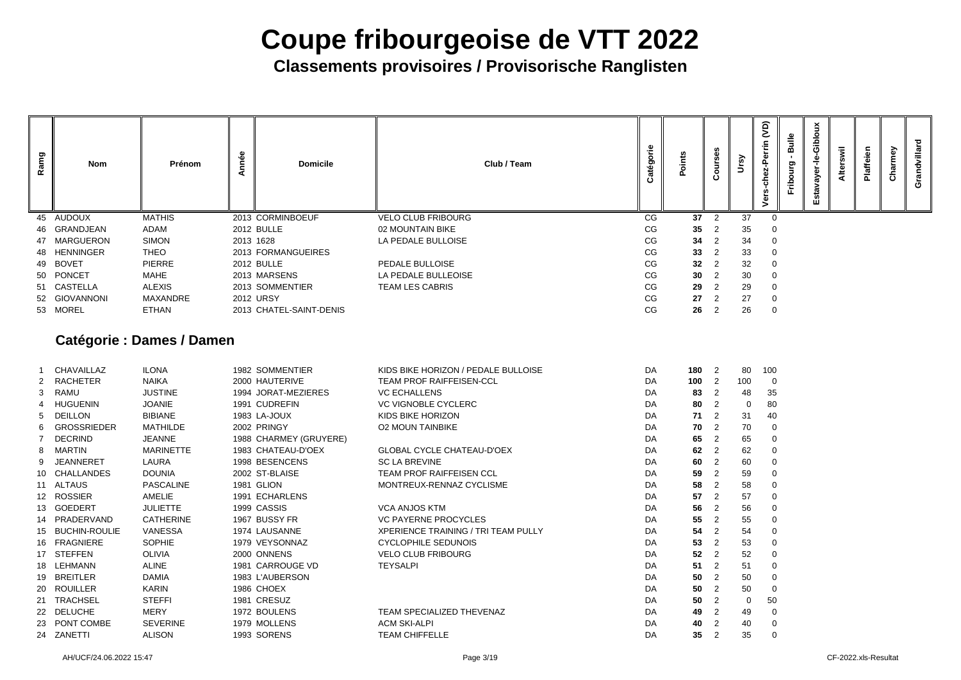**Classements provisoires / Provisorische Ranglisten**

| Ramg | <b>Nom</b>    | Prénom                    | Année<br><b>Domicile</b> | Club / Team               | atégorie<br>ပ | oints           | $\mathbf c$    | $\mathbf{S}$ | $\widetilde{S}$<br>Perrin<br>동<br>ត | <b>Bulle</b><br>ත<br>٥<br>Frib | <u>୦</u><br>훀<br>ပ<br>G)<br>ನ | Alter | eien<br>$\ddot{\overline{a}}$ | වි<br>arm<br>င် | lard<br>້ບັ |
|------|---------------|---------------------------|--------------------------|---------------------------|---------------|-----------------|----------------|--------------|-------------------------------------|--------------------------------|-------------------------------|-------|-------------------------------|-----------------|-------------|
|      | 45 AUDOUX     | <b>MATHIS</b>             | 2013 CORMINBOEUF         | <b>VELO CLUB FRIBOURG</b> | CG            | 37              | 2              | 37           | $\mathbf 0$                         |                                |                               |       |                               |                 |             |
|      | 46 GRANDJEAN  | ADAM                      | <b>2012 BULLE</b>        | 02 MOUNTAIN BIKE          | CG            | 35              | $\overline{2}$ | 35           | $\mathbf 0$                         |                                |                               |       |                               |                 |             |
|      | 47 MARGUERON  | <b>SIMON</b>              | 2013 1628                | LA PEDALE BULLOISE        | CG            | 34              | 2              | 34           | $\mathbf 0$                         |                                |                               |       |                               |                 |             |
|      | 48 HENNINGER  | <b>THEO</b>               | 2013 FORMANGUEIRES       |                           | CG            | 33              | 2              | 33           | $\mathbf 0$                         |                                |                               |       |                               |                 |             |
|      | 49 BOVET      | <b>PIERRE</b>             | <b>2012 BULLE</b>        | PEDALE BULLOISE           | CG            | 32              | 2              | 32           | $\mathbf 0$                         |                                |                               |       |                               |                 |             |
|      | 50 PONCET     | MAHE                      | 2013 MARSENS             | LA PEDALE BULLEOISE       | CG            | 30 <sup>°</sup> | $\overline{2}$ | 30           | $\mathbf{0}$                        |                                |                               |       |                               |                 |             |
|      | 51 CASTELLA   | <b>ALEXIS</b>             | 2013 SOMMENTIER          | <b>TEAM LES CABRIS</b>    | CG            | 29              | 2              | 29           | $\mathbf 0$                         |                                |                               |       |                               |                 |             |
|      | 52 GIOVANNONI | MAXANDRE                  | <b>2012 URSY</b>         |                           | CG            | 27              | 2              | 27           | $\mathbf 0$                         |                                |                               |       |                               |                 |             |
|      | 53 MOREL      | <b>ETHAN</b>              | 2013 CHATEL-SAINT-DENIS  |                           | CG            | 26              | $\overline{2}$ | 26           | $\overline{0}$                      |                                |                               |       |                               |                 |             |
|      |               | Catónorio : Damos / Damon |                          |                           |               |                 |                |              |                                     |                                |                               |       |                               |                 |             |

### **Catégorie : Dames / Damen**

|                 | <b>CHAVAILLAZ</b>    | <b>ILONA</b>     | 1982 SOMMENTIER        | KIDS BIKE HORIZON / PEDALE BULLOISE        | DA | 180 | $\overline{2}$ | 80  | 10 <sub>C</sub> |
|-----------------|----------------------|------------------|------------------------|--------------------------------------------|----|-----|----------------|-----|-----------------|
| 2               | RACHETER             | <b>NAIKA</b>     | 2000 HAUTERIVE         | <b>TEAM PROF RAIFFEISEN-CCL</b>            | DA | 100 | $\overline{2}$ | 100 |                 |
| 3               | RAMU                 | <b>JUSTINE</b>   | 1994 JORAT-MEZIERES    | <b>VC ECHALLENS</b>                        | DA | 83  | $\overline{2}$ | 48  | 35              |
| 4               | <b>HUGUENIN</b>      | <b>JOANIE</b>    | 1991 CUDREFIN          | <b>VC VIGNOBLE CYCLERC</b>                 | DA | 80  | 2              | 0   | 80              |
| 5.              | <b>DEILLON</b>       | <b>BIBIANE</b>   | 1983 LA-JOUX           | <b>KIDS BIKE HORIZON</b>                   | DA | 71  | $\overline{2}$ | 31  | 40              |
| 6               | GROSSRIEDER          | MATHILDE         | 2002 PRINGY            | <b>O2 MOUN TAINBIKE</b>                    | DA | 70  | 2              | 70  |                 |
|                 | <b>DECRIND</b>       | <b>JEANNE</b>    | 1988 CHARMEY (GRUYERE) |                                            | DA | 65  | $\overline{2}$ | 65  |                 |
| 8               | MARTIN               | <b>MARINETTE</b> | 1983 CHATEAU-D'OEX     | <b>GLOBAL CYCLE CHATEAU-D'OEX</b>          | DA | 62  | 2              | 62  |                 |
| 9               | <b>JEANNERET</b>     | <b>LAURA</b>     | 1998 BESENCENS         | <b>SC LA BREVINE</b>                       | DA | 60  | 2              | 60  |                 |
|                 | 10 CHALLANDES        | <b>DOUNIA</b>    | 2002 ST-BLAISE         | <b>TEAM PROF RAIFFEISEN CCL</b>            | DA | 59  | $\overline{2}$ | 59  |                 |
| 11              | <b>ALTAUS</b>        | <b>PASCALINE</b> | 1981 GLION             | MONTREUX-RENNAZ CYCLISME                   | DA | 58  | $\overline{2}$ | 58  |                 |
|                 | 12 ROSSIER           | <b>AMELIE</b>    | 1991 ECHARLENS         |                                            | DA | 57  | 2              | 57  |                 |
| 13 <sup>7</sup> | GOEDERT              | <b>JULIETTE</b>  | 1999 CASSIS            | <b>VCA ANJOS KTM</b>                       | DA | 56  | $\overline{2}$ | 56  |                 |
|                 | 14 PRADERVAND        | <b>CATHERINE</b> | 1967 BUSSY FR          | <b>VC PAYERNE PROCYCLES</b>                | DA | 55  | 2              | 55  |                 |
| 15              | <b>BUCHIN-ROULIE</b> | <b>VANESSA</b>   | 1974 LAUSANNE          | <b>XPERIENCE TRAINING / TRI TEAM PULLY</b> | DA | 54  | 2              | 54  |                 |
| 16              | <b>FRAGNIERE</b>     | <b>SOPHIE</b>    | 1979 VEYSONNAZ         | <b>CYCLOPHILE SEDUNOIS</b>                 | DA | 53  | 2              | 53  |                 |
| 17              | STEFFEN              | <b>OLIVIA</b>    | 2000 ONNENS            | <b>VELO CLUB FRIBOURG</b>                  | DA | 52  | 2              | 52  |                 |
| 18              | LEHMANN              | <b>ALINE</b>     | 1981 CARROUGE VD       | <b>TEYSALPI</b>                            | DA | 51  | 2              | 51  |                 |
| 19              | <b>BREITLER</b>      | <b>DAMIA</b>     | 1983 L'AUBERSON        |                                            | DA | 50  | $\overline{2}$ | 50  |                 |
| 20              | <b>ROUILLER</b>      | <b>KARIN</b>     | 1986 CHOEX             |                                            | DA | 50  | $\overline{2}$ | 50  |                 |
| 21              | <b>TRACHSEL</b>      | <b>STEFFI</b>    | 1981 CRESUZ            |                                            | DA | 50  | $\overline{2}$ | 0   | 50              |
| 22              | <b>DELUCHE</b>       | <b>MERY</b>      | 1972 BOULENS           | <b>TEAM SPECIALIZED THEVENAZ</b>           | DA | 49  | 2              | 49  |                 |
| 23              | PONT COMBE           | <b>SEVERINE</b>  | 1979 MOLLENS           | <b>ACM SKI-ALPI</b>                        | DA | 40  | $\overline{2}$ | 40  |                 |
|                 | 24 ZANETTI           | <b>ALISON</b>    | 1993 SORENS            | <b>TEAM CHIFFELLE</b>                      | DA | 35  |                | 35  |                 |
|                 |                      |                  |                        |                                            |    |     |                |     |                 |

| 180 | $\overline{c}$ | 80  | 100         |
|-----|----------------|-----|-------------|
| 100 | $\overline{c}$ | 100 | 0           |
| 83  | $\overline{c}$ | 48  | 35          |
| 80  | $\overline{c}$ | 0   | 80          |
| 71  | $\overline{c}$ | 31  | 40          |
| 70  | $\overline{c}$ | 70  | 0           |
| 65  | $\overline{2}$ | 65  | 0           |
| 62  | $\overline{c}$ | 62  | 0           |
| 60  | $\overline{c}$ | 60  | 0           |
| 59  | $\overline{c}$ | 59  | 0           |
| 58  | $\overline{c}$ | 58  | $\mathbf 0$ |
| 57  | $\overline{2}$ | 57  | $\mathbf 0$ |
| 56  | $\overline{c}$ | 56  | $\mathbf 0$ |
| 55  | $\overline{c}$ | 55  | 0           |
| 54  | $\overline{c}$ | 54  | 0           |
| 53  | $\overline{2}$ | 53  | 0           |
| 52  | $\overline{c}$ | 52  | 0           |
| 51  | $\overline{c}$ | 51  | 0           |
| 50  | $\overline{c}$ | 50  | 0           |
| 50  | $\overline{c}$ | 50  | 0           |
| 50  | $\overline{c}$ | 0   | 50          |
| 49  | $\overline{c}$ | 49  | 0           |
| 40  | $\overline{c}$ | 40  | 0           |
| 35  | $\overline{2}$ | 35  | 0           |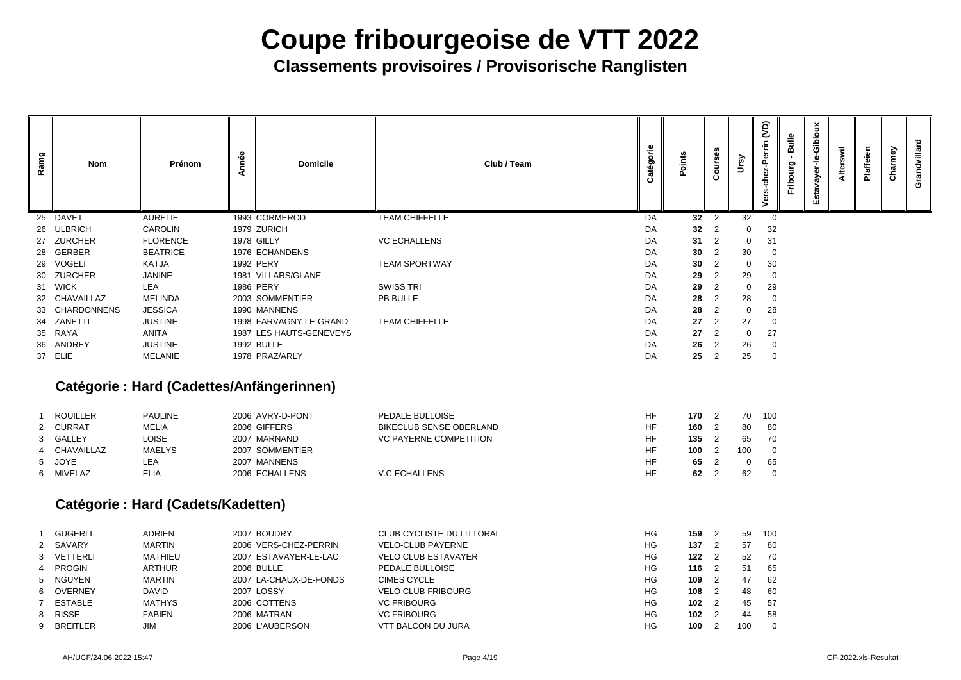**Classements provisoires / Provisorische Ranglisten**

|                                                             | Courses                                                                                                                                                                      | Ursy                                                | Vers-chez-Perrin (VD)                                             | Fribourg - Bulle | Estavayer-le-Gibloux | Alterswil | Plaffeien | Charmey | Grandvillard |
|-------------------------------------------------------------|------------------------------------------------------------------------------------------------------------------------------------------------------------------------------|-----------------------------------------------------|-------------------------------------------------------------------|------------------|----------------------|-----------|-----------|---------|--------------|
| 32                                                          | $\overline{\mathbf{c}}$                                                                                                                                                      | 32<br>$\mathbf{0}$                                  | $\pmb{0}$                                                         |                  |                      |           |           |         |              |
| 32<br>31                                                    | $\frac{2}{2}$                                                                                                                                                                | $\mathbf 0$                                         | 32<br>31                                                          |                  |                      |           |           |         |              |
| 30                                                          |                                                                                                                                                                              | 30                                                  | $\mathbf{0}$                                                      |                  |                      |           |           |         |              |
| 30                                                          | $\frac{2}{2}$                                                                                                                                                                | $\mathbf{0}$                                        | 30                                                                |                  |                      |           |           |         |              |
| 29                                                          |                                                                                                                                                                              | 29                                                  | $\boldsymbol{0}$                                                  |                  |                      |           |           |         |              |
| 29                                                          | $\frac{2}{2}$                                                                                                                                                                | $\mathbf{0}$                                        | 29                                                                |                  |                      |           |           |         |              |
| 28                                                          | $\overline{\mathbf{c}}$                                                                                                                                                      | 28                                                  | $\mathbf 0$                                                       |                  |                      |           |           |         |              |
| 28                                                          | $\overline{c}$                                                                                                                                                               | $\mathbf{0}$                                        | 28                                                                |                  |                      |           |           |         |              |
| 27                                                          | $\overline{c}$                                                                                                                                                               | 27                                                  | $\mathbf 0$                                                       |                  |                      |           |           |         |              |
| 27                                                          | $\overline{c}$                                                                                                                                                               | $\boldsymbol{0}$                                    | 27                                                                |                  |                      |           |           |         |              |
| 26<br>25                                                    | $\overline{\mathbf{c}}$<br>$\overline{c}$                                                                                                                                    | 26<br>25                                            | $\boldsymbol{0}$<br>$\mathbf 0$                                   |                  |                      |           |           |         |              |
| 170<br>160<br>135<br>100<br>65<br>62                        | $\overline{\mathbf{c}}$<br>$\overline{c}$<br>$\overline{\mathbf{c}}$<br>$\overline{c}$<br>$\overline{c}$<br>$\overline{2}$                                                   | 70<br>80<br>65<br>100<br>0<br>62                    | 100<br>80<br>70<br>$\pmb{0}$<br>65<br>$\boldsymbol{0}$            |                  |                      |           |           |         |              |
| 159<br>137<br>122<br>116<br>109<br>108<br>102<br>102<br>100 | $\overline{\mathbf{c}}$<br>2<br>$\overline{c}$<br>$\overline{\mathbf{c}}$<br>$\overline{c}$<br>$\overline{\mathbf{c}}$<br>$\overline{c}$<br>$\overline{2}$<br>$\overline{2}$ | 59<br>57<br>52<br>51<br>47<br>48<br>45<br>44<br>100 | 100<br>80<br>70<br>65<br>62<br>60<br>57<br>58<br>$\boldsymbol{0}$ |                  |                      |           |           |         |              |

| Ramg            | Nom                | <b>Prénom</b>   | Année | <b>Domicile</b>         | Club / Team           | Catégorie | Points | ဖိ<br>ø,<br>$\overline{\mathbf{5}}$<br>ပိ | ৡ           | $\widetilde{S}$<br>errin<br>chez-I<br>ers<br>> |
|-----------------|--------------------|-----------------|-------|-------------------------|-----------------------|-----------|--------|-------------------------------------------|-------------|------------------------------------------------|
| 25              | <b>DAVET</b>       | <b>AURELIE</b>  |       | 1993 CORMEROD           | <b>TEAM CHIFFELLE</b> | DA        | 32     | 2                                         | 32          |                                                |
| 26              | <b>ULBRICH</b>     | <b>CAROLIN</b>  |       | 1979 ZURICH             |                       | DA        | 32     | $\overline{2}$                            | $\mathbf 0$ | 32                                             |
|                 | 27 ZURCHER         | <b>FLORENCE</b> |       | <b>1978 GILLY</b>       | <b>VC ECHALLENS</b>   | DA        | 31     | $\overline{2}$                            | $\mathbf 0$ | 31                                             |
| 28              | <b>GERBER</b>      | <b>BEATRICE</b> |       | 1976 ECHANDENS          |                       | DA        | 30     | 2                                         | 30          |                                                |
| 29              | <b>VOGELI</b>      | <b>KATJA</b>    |       | 1992 PERY               | <b>TEAM SPORTWAY</b>  | DA        | 30     | $\overline{2}$                            | $\mathbf 0$ | 3 <sub>C</sub>                                 |
|                 | 30 ZURCHER         | <b>JANINE</b>   |       | 1981 VILLARS/GLANE      |                       | DA        | 29     | 2                                         | 29          |                                                |
| 31              | <b>WICK</b>        | <b>LEA</b>      |       | <b>1986 PERY</b>        | <b>SWISS TRI</b>      | DA        | 29     | $\overline{2}$                            | $\mathbf 0$ | 2 <sup>c</sup>                                 |
| 32 <sup>2</sup> | <b>CHAVAILLAZ</b>  | <b>MELINDA</b>  |       | 2003 SOMMENTIER         | PB BULLE              | DA        | 28     | 2                                         | 28          |                                                |
| 33              | <b>CHARDONNENS</b> | <b>JESSICA</b>  |       | 1990 MANNENS            |                       | DA        | 28     | 2                                         | $\mathbf 0$ | 28                                             |
|                 | 34 ZANETTI         | <b>JUSTINE</b>  |       | 1998 FARVAGNY-LE-GRAND  | <b>TEAM CHIFFELLE</b> | DA        | 27     | $\overline{2}$                            | 27          |                                                |
| 35              | RAYA               | <b>ANITA</b>    |       | 1987 LES HAUTS-GENEVEYS |                       | DA        | 27     | 2                                         | $\mathbf 0$ | 27                                             |
|                 | 36 ANDREY          | <b>JUSTINE</b>  |       | <b>1992 BULLE</b>       |                       | DA        | 26     | 2                                         | 26          |                                                |
| 37              | <b>ELIE</b>        | <b>MELANIE</b>  |       | 1978 PRAZ/ARLY          |                       | DA        | 25     | 2                                         | 25          |                                                |

### **Catégorie : Hard (Cadettes/Anfängerinnen)**

| <b>ROUILLER</b> | <b>PAULINE</b> | 2006 AVRY-D-PONT | PEDALE BULLOISE               | <b>HF</b> | 170 | 70  | 10 <sup>C</sup> |
|-----------------|----------------|------------------|-------------------------------|-----------|-----|-----|-----------------|
| 2 CURRAT        | MELIA          | 2006 GIFFERS     | BIKECLUB SENSE OBERLAND       | <b>HF</b> | 160 | 80  | -80             |
| 3 GALLEY        | LOISE          | 2007 MARNAND     | <b>VC PAYERNE COMPETITION</b> | HF        | 135 | 65  | <b>70</b>       |
| 4 CHAVAILLAZ    | <b>MAELYS</b>  | 2007 SOMMENTIER  |                               | <b>HF</b> | 100 | 100 | C               |
| 5 JOYE          | LEA            | 2007 MANNENS     |                               | ΗF        | 65  |     | 65              |
| 6 MIVELAZ       | ELIA           | 2006 ECHALLENS   | <b>V.C ECHALLENS</b>          | HF        | 62  | 62  |                 |

### **Catégorie : Hard (Cadets/Kadetten)**

| GUGERLI        | <b>ADRIEN</b>  | 2007 BOUDRY            | <b>CLUB CYCLISTE DU LITTORAL</b> | HG | 159           | $\overline{\phantom{0}}^2$ | 59  | 10 <sup>C</sup> |
|----------------|----------------|------------------------|----------------------------------|----|---------------|----------------------------|-----|-----------------|
| 2 SAVARY       | <b>MARTIN</b>  | 2006 VERS-CHEZ-PERRIN  | <b>VELO-CLUB PAYERNE</b>         | HG | 137           |                            | 57  | 80              |
| 3 VETTERLI     | <b>MATHIEU</b> | 2007 ESTAVAYER-LE-LAC  | <b>VELO CLUB ESTAVAYER</b>       | HG | $122 \quad 2$ |                            | 52  | <b>70</b>       |
| 4 PROGIN       | <b>ARTHUR</b>  | <b>2006 BULLE</b>      | PEDALE BULLOISE                  | HG | $116 \t2$     |                            | 51  | 65              |
| 5 NGUYEN       | <b>MARTIN</b>  | 2007 LA-CHAUX-DE-FONDS | <b>CIMES CYCLE</b>               | HG | 109           | $\overline{2}$             | 47  | -62             |
| 6 OVERNEY      | <b>DAVID</b>   | 2007 LOSSY             | <b>VELO CLUB FRIBOURG</b>        | HG | 108           |                            | 48  | 60              |
| <b>ESTABLE</b> | <b>MATHYS</b>  | 2006 COTTENS           | <b>VC FRIBOURG</b>               | HG | 102           |                            | 45  | -57             |
| 8 RISSE        | <b>FABIEN</b>  | 2006 MATRAN            | <b>VC FRIBOURG</b>               | HG | 102           |                            | 44  | 58              |
| 9 BREITLER     | JIM            | 2006 L'AUBERSON        | <b>VTT BALCON DU JURA</b>        | HG | 100           |                            | 100 |                 |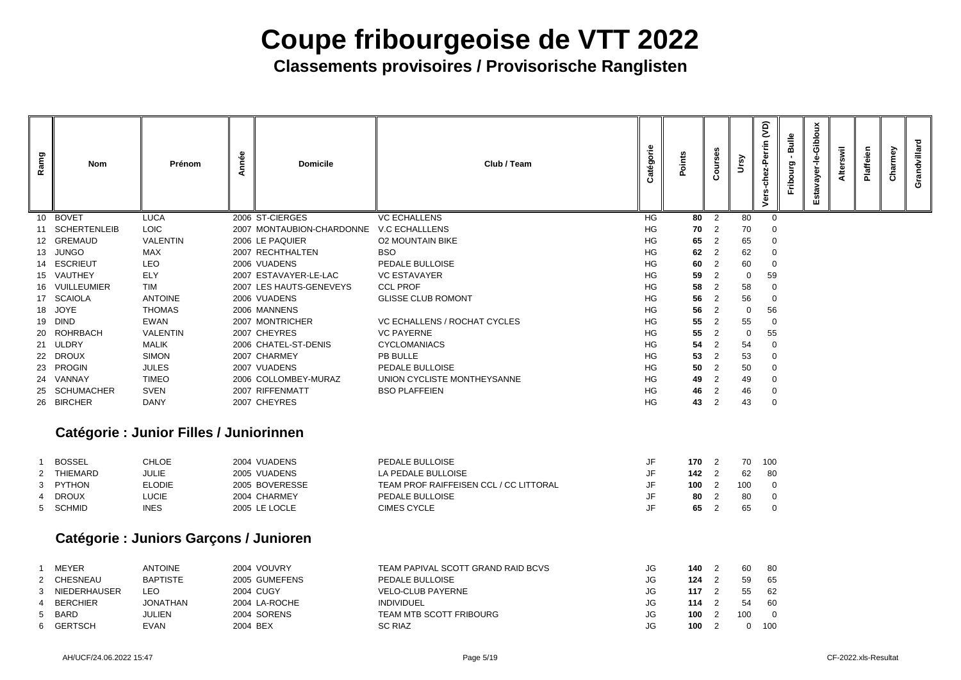**Classements provisoires / Provisorische Ranglisten**

| ?<br>⊃<br>⊃ | Courses                                    | Ursy                | Vers-chez-Perrin (VD) | Fribourg - Bulle | Estavayer-le-Gibloux | Alterswil | Plaffeien | Charmey | Grandvillard |
|-------------|--------------------------------------------|---------------------|-----------------------|------------------|----------------------|-----------|-----------|---------|--------------|
| 80          |                                            | 80                  | 0                     |                  |                      |           |           |         |              |
| 70          |                                            | 70                  | $\boldsymbol{0}$      |                  |                      |           |           |         |              |
| 65          | $\begin{array}{c} 2 \\ 2 \\ 2 \end{array}$ | 65                  | $\pmb{0}$             |                  |                      |           |           |         |              |
| 62          |                                            | 62                  | $\pmb{0}$             |                  |                      |           |           |         |              |
| 60          | $\frac{2}{2}$                              | 60                  | $\mathsf{O}\xspace$   |                  |                      |           |           |         |              |
| 59          |                                            | $\mathbf 0$         | 59                    |                  |                      |           |           |         |              |
| 58          | $\frac{2}{2}$                              | 58                  | $\pmb{0}$             |                  |                      |           |           |         |              |
| 56          | $\overline{\mathbf{c}}$                    | 56                  | $\mathbf 0$           |                  |                      |           |           |         |              |
| 56          | $\overline{\mathbf{c}}$                    | $\mathbf 0$         | 56                    |                  |                      |           |           |         |              |
| 55          | $\overline{\mathbf{c}}$                    | 55                  | $\pmb{0}$             |                  |                      |           |           |         |              |
| 55          | $\overline{a}$                             | $\mathbf 0$         | 55                    |                  |                      |           |           |         |              |
| 54          | $\overline{\mathbf{c}}$                    | 54                  | $\bf{0}$              |                  |                      |           |           |         |              |
| 53          | $\overline{\mathbf{c}}$                    | 53                  | $\pmb{0}$             |                  |                      |           |           |         |              |
| 50          | $\overline{\mathbf{c}}$                    | 50                  | $\pmb{0}$             |                  |                      |           |           |         |              |
| 49          | $\overline{a}$                             | 49                  | $\pmb{0}$             |                  |                      |           |           |         |              |
| 46          | $\overline{\mathbf{c}}$                    | 46                  | $\bf{0}$              |                  |                      |           |           |         |              |
| 43          | $\overline{\mathbf{c}}$                    | 43                  | 0                     |                  |                      |           |           |         |              |
|             |                                            |                     |                       |                  |                      |           |           |         |              |
| 170         | 2                                          | 70                  | 100                   |                  |                      |           |           |         |              |
| 142         | $\overline{c}$                             | 62                  | 80                    |                  |                      |           |           |         |              |
| 100         | $\overline{\mathbf{c}}$                    | 100                 | $\pmb{0}$             |                  |                      |           |           |         |              |
| 80          | $\overline{\mathbf{c}}$                    | 80                  | $\boldsymbol{0}$      |                  |                      |           |           |         |              |
| 65          | $\boldsymbol{2}$                           | 65                  | 0                     |                  |                      |           |           |         |              |
|             |                                            |                     |                       |                  |                      |           |           |         |              |
| 140         | 2                                          | 60                  | 80                    |                  |                      |           |           |         |              |
| 124         | $\overline{\mathbf{c}}$                    | 59                  | 65                    |                  |                      |           |           |         |              |
| 117         | $\overline{\mathbf{c}}$                    | 55                  | 62                    |                  |                      |           |           |         |              |
| 114         | $\overline{c}$                             | 54                  | 60                    |                  |                      |           |           |         |              |
| 100         | $\overline{\mathbf{c}}$                    | 100                 | $\pmb{0}$             |                  |                      |           |           |         |              |
| 100         | $\overline{\mathbf{c}}$                    | $\mathsf{O}\xspace$ | 100                   |                  |                      |           |           |         |              |

| Ramg             | <b>Nom</b>          | Prénom          | Année | <b>Domicile</b>           | Club / Team                         | Catégorie | Points | ဖိ<br>Ō,<br>jo<br>$\mathbf C$ | $\mathbf{S}$ | $\widetilde{S}$<br>chez-Perrin<br>Vers |
|------------------|---------------------|-----------------|-------|---------------------------|-------------------------------------|-----------|--------|-------------------------------|--------------|----------------------------------------|
| 10 <sup>°</sup>  | <b>BOVET</b>        | <b>LUCA</b>     |       | 2006 ST-CIERGES           | <b>VC ECHALLENS</b>                 | HG        | 80     | 2                             | 80           |                                        |
|                  | <b>SCHERTENLEIB</b> | <b>LOIC</b>     |       | 2007 MONTAUBION-CHARDONNE | <b>V.C ECHALLLENS</b>               | HG        | 70     | 2                             | 70           |                                        |
| 12 <sup>12</sup> | <b>GREMAUD</b>      | <b>VALENTIN</b> |       | 2006 LE PAQUIER           | <b>O2 MOUNTAIN BIKE</b>             | HG        | 65     | 2                             | 65           |                                        |
| 13               | <b>JUNGO</b>        | <b>MAX</b>      |       | 2007 RECHTHALTEN          | <b>BSO</b>                          | HG        | 62     | 2                             | 62           |                                        |
| 14               | <b>ESCRIEUT</b>     | <b>LEO</b>      |       | 2006 VUADENS              | <b>PEDALE BULLOISE</b>              | HG        | 60     | 2                             | 60           |                                        |
| 15               | VAUTHEY             | <b>ELY</b>      |       | 2007 ESTAVAYER-LE-LAC     | <b>VC ESTAVAYER</b>                 | HG        | 59     | $\overline{2}$                | 0            | 59                                     |
| 16               | <b>VUILLEUMIER</b>  | <b>TIM</b>      |       | 2007 LES HAUTS-GENEVEYS   | <b>CCL PROF</b>                     | HG        | 58     | $\overline{2}$                | 58           |                                        |
| 17               | <b>SCAIOLA</b>      | <b>ANTOINE</b>  |       | 2006 VUADENS              | <b>GLISSE CLUB ROMONT</b>           | HG        | 56     | 2                             | 56           |                                        |
| 18               | <b>JOYE</b>         | <b>THOMAS</b>   |       | 2006 MANNENS              |                                     | HG        | 56     | 2                             | $\mathbf 0$  | 56                                     |
| 19               | <b>DIND</b>         | <b>EWAN</b>     |       | 2007 MONTRICHER           | <b>VC ECHALLENS / ROCHAT CYCLES</b> | HG        | 55     | 2                             | 55           |                                        |
| 20               | <b>ROHRBACH</b>     | <b>VALENTIN</b> |       | 2007 CHEYRES              | <b>VC PAYERNE</b>                   | HG        | 55     | 2                             | $\mathbf 0$  | 55                                     |
| 21               | <b>ULDRY</b>        | <b>MALIK</b>    |       | 2006 CHATEL-ST-DENIS      | <b>CYCLOMANIACS</b>                 | HG        | 54     | 2                             | 54           |                                        |
| 22               | <b>DROUX</b>        | <b>SIMON</b>    |       | 2007 CHARMEY              | PB BULLE                            | HG        | 53     | 2                             | 53           |                                        |
| 23               | <b>PROGIN</b>       | <b>JULES</b>    |       | 2007 VUADENS              | PEDALE BULLOISE                     | HG        | 50     | $\overline{2}$                | 50           |                                        |
| 24               | <b>VANNAY</b>       | <b>TIMEO</b>    |       | 2006 COLLOMBEY-MURAZ      | UNION CYCLISTE MONTHEYSANNE         | HG        | 49     |                               | 49           |                                        |
| 25               | <b>SCHUMACHER</b>   | <b>SVEN</b>     |       | 2007 RIFFENMATT           | <b>BSO PLAFFEIEN</b>                | HG        | 46     | 2                             | 46           |                                        |
| 26               | <b>BIRCHER</b>      | <b>DANY</b>     |       | 2007 CHEYRES              |                                     | HG        | 43     |                               | 43           |                                        |

### **Catégorie : Junior Filles / Juniorinnen**

| <b>BOSSEL</b> | CHLOE        | 2004 VUADENS   | PEDALE BULLOISE                               | 170 | 70  | 10 <sup>C</sup> |
|---------------|--------------|----------------|-----------------------------------------------|-----|-----|-----------------|
| THIEMARD      | JULIE        | 2005 VUADENS   | LA PEDALE BULLOISE                            | 142 | 62  | -80             |
| 3 PYTHON      | ELODIE       | 2005 BOVERESSE | <b>TEAM PROF RAIFFEISEN CCL / CC LITTORAL</b> | 100 | 100 |                 |
| 4 DROUX       | <b>LUCIE</b> | 2004 CHARMEY   | <b>PEDALE BULLOISE</b>                        | 80  | 80  |                 |
| 5 SCHMID      | <b>INES</b>  | 2005 LE LOCLE  | CIMES CYCLE                                   | 65  | 65  |                 |

### **Catégorie : Juniors Garçons / Junioren**

| <b>MEYER</b>        | <b>ANTOINE</b>  | 2004 VOUVRY      | TEAM PAPIVAL SCOTT GRAND RAID BCVS | JG | 140 | 60  | -80             |
|---------------------|-----------------|------------------|------------------------------------|----|-----|-----|-----------------|
| <b>CHESNEAU</b>     | <b>BAPTISTE</b> | 2005 GUMEFENS    | PEDALE BULLOISE                    | JG | 124 | 59  | 65              |
| <b>NIEDERHAUSER</b> | LEO             | <b>2004 CUGY</b> | <b>VELO-CLUB PAYERNE</b>           | JG | 117 | 55  | -62             |
| <b>BERCHIER</b>     | JONATHAN        | 2004 LA-ROCHE    | <b>INDIVIDUEL</b>                  | JG | 114 | 54  | 60              |
| <b>BARD</b>         | JULIEN          | 2004 SORENS      | TEAM MTB SCOTT FRIBOURG            | JG | 100 | 100 |                 |
| <b>GERTSCH</b>      | <b>EVAN</b>     | 2004 BEX         | <b>SC RIAZ</b>                     | JG | 100 |     | 10 <sub>C</sub> |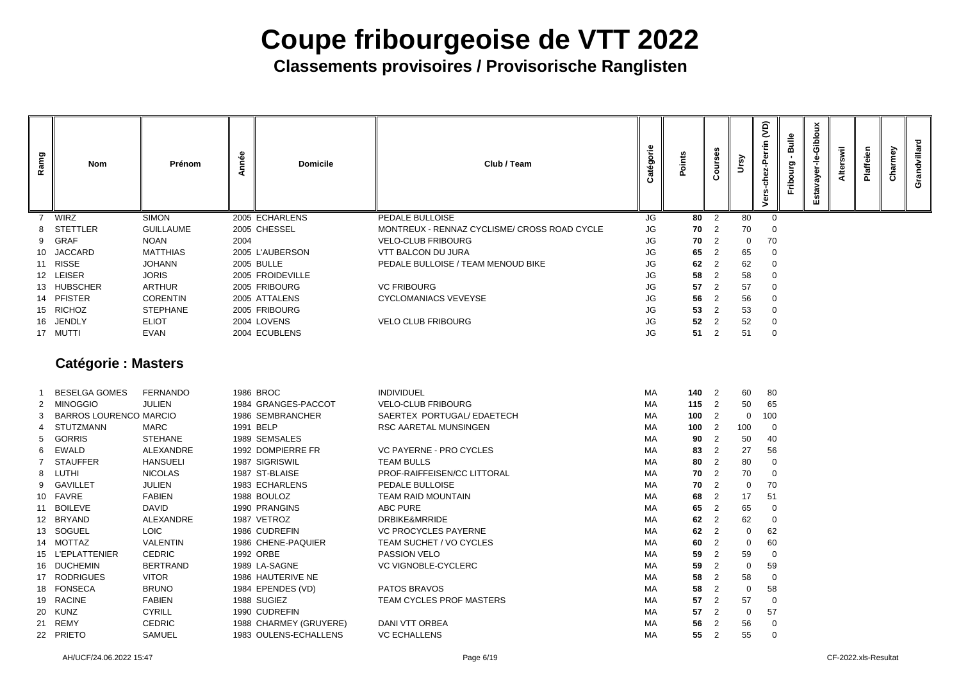| <b>SIMON</b><br>2005 ECHARLENS<br>PEDALE BULLOISE<br><b>WIRZ</b><br>JG<br>80<br>$\overline{2}$<br>80<br>0<br><b>GUILLAUME</b><br>8 STETTLER<br>2005 CHESSEL<br>MONTREUX - RENNAZ CYCLISME/ CROSS ROAD CYCLE<br><b>JG</b><br>70<br>70<br>$\overline{2}$<br>-0<br><b>JG</b><br><b>GRAF</b><br><b>NOAN</b><br>70<br>2004<br><b>VELO-CLUB FRIBOURG</b><br>70<br>$\overline{2}$<br>$\mathbf 0$<br>9<br><b>JACCARD</b><br><b>JG</b><br>65<br><b>MATTHIAS</b><br>2005 L'AUBERSON<br><b>VTT BALCON DU JURA</b><br>65<br>$\overline{2}$<br>$\overline{0}$<br>10<br>62<br><b>RISSE</b><br><b>JOHANN</b><br><b>2005 BULLE</b><br>PEDALE BULLOISE / TEAM MENOUD BIKE<br><b>JG</b><br>62<br>$\overline{0}$<br>11<br>12 LEISER<br><b>JORIS</b><br><b>JG</b><br>2005 FROIDEVILLE<br>58<br>58<br>2<br>0<br><b>HUBSCHER</b><br><b>ARTHUR</b><br>2005 FRIBOURG<br><b>VC FRIBOURG</b><br><b>JG</b><br>57<br>57<br>2<br>$\overline{0}$<br>13<br>14 PFISTER<br><b>JG</b><br>56<br><b>CORENTIN</b><br>2005 ATTALENS<br>56<br>$\overline{2}$<br><b>CYCLOMANIACS VEVEYSE</b><br>$\overline{0}$<br><b>RICHOZ</b><br><b>STEPHANE</b><br><b>JG</b><br>2005 FRIBOURG<br>53<br>53<br>$\overline{2}$<br>$\overline{0}$<br>15<br><b>JG</b><br>16 JENDLY<br><b>ELIOT</b><br>2004 LOVENS<br><b>VELO CLUB FRIBOURG</b><br>52<br>52<br>$\overline{2}$<br>0<br><b>JG</b><br>51<br>17 MUTTI<br>51<br><b>EVAN</b><br>2004 ECUBLENS<br>$\overline{0}$<br>$\overline{2}$<br><b>Catégorie: Masters</b> | Grandvillard |
|---------------------------------------------------------------------------------------------------------------------------------------------------------------------------------------------------------------------------------------------------------------------------------------------------------------------------------------------------------------------------------------------------------------------------------------------------------------------------------------------------------------------------------------------------------------------------------------------------------------------------------------------------------------------------------------------------------------------------------------------------------------------------------------------------------------------------------------------------------------------------------------------------------------------------------------------------------------------------------------------------------------------------------------------------------------------------------------------------------------------------------------------------------------------------------------------------------------------------------------------------------------------------------------------------------------------------------------------------------------------------------------------------------------------------------------------------------------|--------------|
|                                                                                                                                                                                                                                                                                                                                                                                                                                                                                                                                                                                                                                                                                                                                                                                                                                                                                                                                                                                                                                                                                                                                                                                                                                                                                                                                                                                                                                                               |              |
|                                                                                                                                                                                                                                                                                                                                                                                                                                                                                                                                                                                                                                                                                                                                                                                                                                                                                                                                                                                                                                                                                                                                                                                                                                                                                                                                                                                                                                                               |              |
|                                                                                                                                                                                                                                                                                                                                                                                                                                                                                                                                                                                                                                                                                                                                                                                                                                                                                                                                                                                                                                                                                                                                                                                                                                                                                                                                                                                                                                                               |              |
|                                                                                                                                                                                                                                                                                                                                                                                                                                                                                                                                                                                                                                                                                                                                                                                                                                                                                                                                                                                                                                                                                                                                                                                                                                                                                                                                                                                                                                                               |              |
|                                                                                                                                                                                                                                                                                                                                                                                                                                                                                                                                                                                                                                                                                                                                                                                                                                                                                                                                                                                                                                                                                                                                                                                                                                                                                                                                                                                                                                                               |              |
|                                                                                                                                                                                                                                                                                                                                                                                                                                                                                                                                                                                                                                                                                                                                                                                                                                                                                                                                                                                                                                                                                                                                                                                                                                                                                                                                                                                                                                                               |              |
|                                                                                                                                                                                                                                                                                                                                                                                                                                                                                                                                                                                                                                                                                                                                                                                                                                                                                                                                                                                                                                                                                                                                                                                                                                                                                                                                                                                                                                                               |              |
|                                                                                                                                                                                                                                                                                                                                                                                                                                                                                                                                                                                                                                                                                                                                                                                                                                                                                                                                                                                                                                                                                                                                                                                                                                                                                                                                                                                                                                                               |              |
|                                                                                                                                                                                                                                                                                                                                                                                                                                                                                                                                                                                                                                                                                                                                                                                                                                                                                                                                                                                                                                                                                                                                                                                                                                                                                                                                                                                                                                                               |              |
|                                                                                                                                                                                                                                                                                                                                                                                                                                                                                                                                                                                                                                                                                                                                                                                                                                                                                                                                                                                                                                                                                                                                                                                                                                                                                                                                                                                                                                                               |              |
|                                                                                                                                                                                                                                                                                                                                                                                                                                                                                                                                                                                                                                                                                                                                                                                                                                                                                                                                                                                                                                                                                                                                                                                                                                                                                                                                                                                                                                                               |              |
|                                                                                                                                                                                                                                                                                                                                                                                                                                                                                                                                                                                                                                                                                                                                                                                                                                                                                                                                                                                                                                                                                                                                                                                                                                                                                                                                                                                                                                                               |              |
| <b>FERNANDO</b><br><b>MA</b><br><b>BESELGA GOMES</b><br>1986 BROC<br><b>INDIVIDUEL</b><br>1402<br>60<br>80                                                                                                                                                                                                                                                                                                                                                                                                                                                                                                                                                                                                                                                                                                                                                                                                                                                                                                                                                                                                                                                                                                                                                                                                                                                                                                                                                    |              |
| 50<br><b>MINOGGIO</b><br><b>JULIEN</b><br>1984 GRANGES-PACCOT<br><b>VELO-CLUB FRIBOURG</b><br>115<br>$\overline{2}$<br>65<br>MA<br>2                                                                                                                                                                                                                                                                                                                                                                                                                                                                                                                                                                                                                                                                                                                                                                                                                                                                                                                                                                                                                                                                                                                                                                                                                                                                                                                          |              |
| SAERTEX PORTUGAL/ EDAETECH<br><b>BARROS LOURENCO MARCIO</b><br>1986 SEMBRANCHER<br>MA<br>100<br>$\overline{2}$<br>$\mathbf 0$<br>100<br>3                                                                                                                                                                                                                                                                                                                                                                                                                                                                                                                                                                                                                                                                                                                                                                                                                                                                                                                                                                                                                                                                                                                                                                                                                                                                                                                     |              |
| 1991 BELP<br><b>STUTZMANN</b><br><b>MARC</b><br>RSC AARETAL MUNSINGEN<br>MA<br>100<br>$\overline{2}$<br>100<br>$\overline{0}$                                                                                                                                                                                                                                                                                                                                                                                                                                                                                                                                                                                                                                                                                                                                                                                                                                                                                                                                                                                                                                                                                                                                                                                                                                                                                                                                 |              |
| <b>GORRIS</b><br><b>STEHANE</b><br>1989 SEMSALES<br>MA<br>90<br>50<br>40<br>2                                                                                                                                                                                                                                                                                                                                                                                                                                                                                                                                                                                                                                                                                                                                                                                                                                                                                                                                                                                                                                                                                                                                                                                                                                                                                                                                                                                 |              |
| <b>EWALD</b><br>1992 DOMPIERRE FR<br><b>VC PAYERNE - PRO CYCLES</b><br>27<br><b>ALEXANDRE</b><br>MA<br>83<br>56<br>$\overline{2}$<br>6                                                                                                                                                                                                                                                                                                                                                                                                                                                                                                                                                                                                                                                                                                                                                                                                                                                                                                                                                                                                                                                                                                                                                                                                                                                                                                                        |              |
| <b>STAUFFER</b><br><b>HANSUELI</b><br>1987 SIGRISWIL<br><b>TEAM BULLS</b><br>MA<br>2<br>80<br>80<br>$\overline{0}$                                                                                                                                                                                                                                                                                                                                                                                                                                                                                                                                                                                                                                                                                                                                                                                                                                                                                                                                                                                                                                                                                                                                                                                                                                                                                                                                            |              |
| LUTHI<br><b>NICOLAS</b><br>1987 ST-BLAISE<br>PROF-RAIFFEISEN/CC LITTORAL<br>70<br>$\overline{2}$<br>70<br>МA<br>8<br>-0                                                                                                                                                                                                                                                                                                                                                                                                                                                                                                                                                                                                                                                                                                                                                                                                                                                                                                                                                                                                                                                                                                                                                                                                                                                                                                                                       |              |
| 9 GAVILLET<br><b>JULIEN</b><br>1983 ECHARLENS<br>PEDALE BULLOISE<br>MA<br>70<br>70<br>$\overline{2}$<br>$\overline{0}$                                                                                                                                                                                                                                                                                                                                                                                                                                                                                                                                                                                                                                                                                                                                                                                                                                                                                                                                                                                                                                                                                                                                                                                                                                                                                                                                        |              |
| FAVRE<br><b>FABIEN</b><br>1988 BOULOZ<br>TEAM RAID MOUNTAIN<br>68<br>2<br>МA<br>17<br>51<br>10                                                                                                                                                                                                                                                                                                                                                                                                                                                                                                                                                                                                                                                                                                                                                                                                                                                                                                                                                                                                                                                                                                                                                                                                                                                                                                                                                                |              |
| <b>DAVID</b><br>ABC PURE<br>11 BOILEVE<br>1990 PRANGINS<br>65<br>МA<br>65<br>$\overline{2}$<br>-0                                                                                                                                                                                                                                                                                                                                                                                                                                                                                                                                                                                                                                                                                                                                                                                                                                                                                                                                                                                                                                                                                                                                                                                                                                                                                                                                                             |              |
| BRYAND<br>ALEXANDRE<br>1987 VETROZ<br>DRBIKE&MRRIDE<br>МA<br>62<br>$\overline{2}$<br>62<br>12<br>$\overline{0}$                                                                                                                                                                                                                                                                                                                                                                                                                                                                                                                                                                                                                                                                                                                                                                                                                                                                                                                                                                                                                                                                                                                                                                                                                                                                                                                                               |              |
| 13 SOGUEL<br><b>LOIC</b><br>62<br>62<br><b>VC PROCYCLES PAYERNE</b><br>MA<br>1986 CUDREFIN<br>$\overline{2}$<br>0                                                                                                                                                                                                                                                                                                                                                                                                                                                                                                                                                                                                                                                                                                                                                                                                                                                                                                                                                                                                                                                                                                                                                                                                                                                                                                                                             |              |
| 14 MOTTAZ<br><b>VALENTIN</b><br>1986 CHENE-PAQUIER<br>TEAM SUCHET / VO CYCLES<br>60<br>60<br>МA<br>$\overline{2}$                                                                                                                                                                                                                                                                                                                                                                                                                                                                                                                                                                                                                                                                                                                                                                                                                                                                                                                                                                                                                                                                                                                                                                                                                                                                                                                                             |              |
| <b>CEDRIC</b><br>15 L'EPLATTENIER<br>1992 ORBE<br>PASSION VELO<br>МA<br>59<br>59<br>2<br>-0                                                                                                                                                                                                                                                                                                                                                                                                                                                                                                                                                                                                                                                                                                                                                                                                                                                                                                                                                                                                                                                                                                                                                                                                                                                                                                                                                                   |              |
| 16 DUCHEMIN<br><b>BERTRAND</b><br>1989 LA-SAGNE<br><b>VC VIGNOBLE-CYCLERC</b><br>59<br>59<br>МA<br>$\overline{2}$<br>0                                                                                                                                                                                                                                                                                                                                                                                                                                                                                                                                                                                                                                                                                                                                                                                                                                                                                                                                                                                                                                                                                                                                                                                                                                                                                                                                        |              |
| 17 RODRIGUES<br><b>VITOR</b><br>58<br>58<br>1986 HAUTERIVE NE<br>МA<br>$\overline{2}$<br>-0<br>18 FONSECA                                                                                                                                                                                                                                                                                                                                                                                                                                                                                                                                                                                                                                                                                                                                                                                                                                                                                                                                                                                                                                                                                                                                                                                                                                                                                                                                                     |              |
| PATOS BRAVOS<br><b>BRUNO</b><br>1984 EPENDES (VD)<br>58<br>58<br>МA<br>$\overline{2}$<br>0<br>19 RACINE<br>1988 SUGIEZ<br><b>FABIEN</b><br>TEAM CYCLES PROF MASTERS<br>МA<br>57<br>57<br>2<br>-0                                                                                                                                                                                                                                                                                                                                                                                                                                                                                                                                                                                                                                                                                                                                                                                                                                                                                                                                                                                                                                                                                                                                                                                                                                                              |              |
| <b>KUNZ</b><br><b>CYRILL</b><br>57<br>1990 CUDREFIN<br>$\overline{2}$<br>57<br>20<br>МA<br>0                                                                                                                                                                                                                                                                                                                                                                                                                                                                                                                                                                                                                                                                                                                                                                                                                                                                                                                                                                                                                                                                                                                                                                                                                                                                                                                                                                  |              |
| 21 REMY<br><b>CEDRIC</b><br>DANI VTT ORBEA<br>MA<br>56<br>1988 CHARMEY (GRUYERE)<br>$\overline{2}$<br>56<br>0                                                                                                                                                                                                                                                                                                                                                                                                                                                                                                                                                                                                                                                                                                                                                                                                                                                                                                                                                                                                                                                                                                                                                                                                                                                                                                                                                 |              |
| 22 PRIETO<br><b>SAMUEL</b><br><b>VC ECHALLENS</b><br>1983 OULENS-ECHALLENS<br>55<br>55<br>МA<br>$\overline{2}$<br>$\overline{0}$                                                                                                                                                                                                                                                                                                                                                                                                                                                                                                                                                                                                                                                                                                                                                                                                                                                                                                                                                                                                                                                                                                                                                                                                                                                                                                                              |              |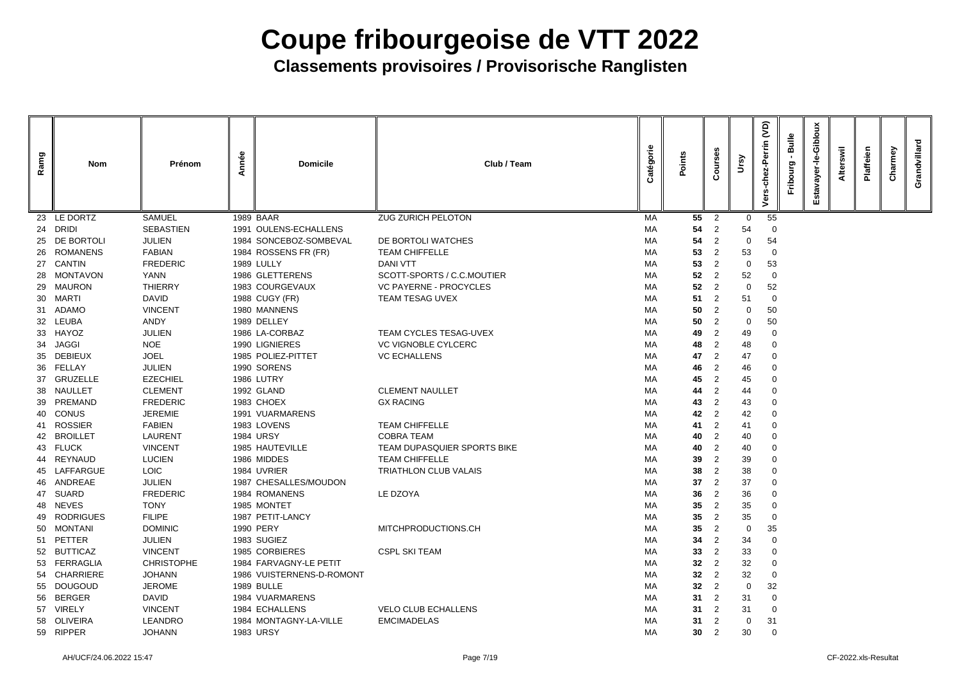| Ramg | <b>Nom</b>                        | Prénom                          | Année | <b>Domicile</b>                 | Club / Team                   | Catégorie | Points          | ours<br>Ω                        | Ursy        | <b>JO</b><br>errin<br>௨<br>$\overline{5}$<br>င်<br>ers | <b>Bulle</b><br>Fribourg | Gibloux<br>ayer-le-<br>stav<br>ш | swil<br>Alter | Plaffeien | Charmey | Grandvillard |
|------|-----------------------------------|---------------------------------|-------|---------------------------------|-------------------------------|-----------|-----------------|----------------------------------|-------------|--------------------------------------------------------|--------------------------|----------------------------------|---------------|-----------|---------|--------------|
|      | 23 LE DORTZ                       | <b>SAMUEL</b>                   |       | 1989 BAAR                       | <b>ZUG ZURICH PELOTON</b>     | <b>MA</b> | 55              | $\overline{2}$                   | 0           | 55                                                     |                          |                                  |               |           |         |              |
| 24   | <b>DRIDI</b>                      | <b>SEBASTIEN</b>                |       | 1991 OULENS-ECHALLENS           |                               | МA        | 54              | $\overline{2}$                   | 54          |                                                        |                          |                                  |               |           |         |              |
| 25   | DE BORTOLI                        | <b>JULIEN</b>                   |       | 1984 SONCEBOZ-SOMBEVAL          | DE BORTOLI WATCHES            | MA        | 54              | $\overline{2}$                   | $\mathbf 0$ | 54                                                     |                          |                                  |               |           |         |              |
|      | 26 ROMANENS                       | <b>FABIAN</b>                   |       | 1984 ROSSENS FR (FR)            | <b>TEAM CHIFFELLE</b>         | MA        | 53              | 2                                | 53          | -0                                                     |                          |                                  |               |           |         |              |
|      | 27 CANTIN                         | <b>FREDERIC</b>                 |       | <b>1989 LULLY</b>               | <b>DANI VTT</b>               | MA        | 53              | $\overline{2}$                   | $\mathbf 0$ | 53                                                     |                          |                                  |               |           |         |              |
|      | 28 MONTAVON                       | <b>YANN</b>                     |       | 1986 GLETTERENS                 | SCOTT-SPORTS / C.C.MOUTIER    | MA        | 52              | $\overline{2}$                   | 52          | -0                                                     |                          |                                  |               |           |         |              |
|      | 29 MAURON                         | <b>THIERRY</b>                  |       | 1983 COURGEVAUX                 | <b>VC PAYERNE - PROCYCLES</b> | MA        | 52              | $\overline{2}$                   | $\mathbf 0$ | 52                                                     |                          |                                  |               |           |         |              |
|      | 30 MARTI                          | <b>DAVID</b>                    |       | 1988 CUGY (FR)                  | <b>TEAM TESAG UVEX</b>        | МA        | 51              | $\overline{2}$                   | 51          | -0                                                     |                          |                                  |               |           |         |              |
|      | 31 ADAMO                          | <b>VINCENT</b>                  |       | 1980 MANNENS                    |                               | MA        | 50              | 2                                | 0           | 50                                                     |                          |                                  |               |           |         |              |
|      | 32 LEUBA                          | <b>ANDY</b>                     |       | 1989 DELLEY                     |                               | МA        | 50              | 2                                | 0           | 50                                                     |                          |                                  |               |           |         |              |
|      | 33 HAYOZ                          | <b>JULIEN</b>                   |       | 1986 LA-CORBAZ                  | <b>TEAM CYCLES TESAG-UVEX</b> | MA        | 49              | 2                                | 49          | $\overline{0}$                                         |                          |                                  |               |           |         |              |
| 34   | <b>JAGGI</b>                      | <b>NOE</b>                      |       | 1990 LIGNIERES                  | <b>VC VIGNOBLE CYLCERC</b>    | МA        | 48              | $\overline{2}$                   | 48          | 0                                                      |                          |                                  |               |           |         |              |
| 35   | <b>DEBIEUX</b>                    | <b>JOEL</b>                     |       | 1985 POLIEZ-PITTET              | <b>VC ECHALLENS</b>           | MA        | 47              | 2                                | 47          | 0                                                      |                          |                                  |               |           |         |              |
|      | 36 FELLAY                         | <b>JULIEN</b>                   |       | 1990 SORENS                     |                               | МA        | 46              | 2                                | 46          | $\overline{0}$                                         |                          |                                  |               |           |         |              |
| 37   | <b>GRUZELLE</b>                   | <b>EZECHIEL</b>                 |       | 1986 LUTRY                      |                               | MA        | 45              | $\overline{2}$                   | 45          | $\mathbf 0$                                            |                          |                                  |               |           |         |              |
|      | 38 NAULLET                        | <b>CLEMENT</b>                  |       | 1992 GLAND                      | <b>CLEMENT NAULLET</b>        | МA        | 44              | 2                                | 44          | -0                                                     |                          |                                  |               |           |         |              |
| 39   | PREMAND                           | <b>FREDERIC</b>                 |       | 1983 CHOEX                      | <b>GX RACING</b>              | МA        | 43              | 2                                | 43          | -0                                                     |                          |                                  |               |           |         |              |
|      | 40 CONUS                          | <b>JEREMIE</b><br><b>FABIEN</b> |       | 1991 VUARMARENS                 | <b>TEAM CHIFFELLE</b>         | МA<br>MA  | 42              | 2                                | 42          | $\overline{0}$                                         |                          |                                  |               |           |         |              |
| 41   | <b>ROSSIER</b><br><b>BROILLET</b> | <b>LAURENT</b>                  |       | 1983 LOVENS<br><b>1984 URSY</b> | <b>COBRA TEAM</b>             | МA        | 41              | 2<br>$\overline{2}$              | 41          | 0                                                      |                          |                                  |               |           |         |              |
| 42   | 43 FLUCK                          | <b>VINCENT</b>                  |       | 1985 HAUTEVILLE                 | TEAM DUPASQUIER SPORTS BIKE   | MA        | 40<br>40        |                                  | 40<br>40    | 0<br>-0                                                |                          |                                  |               |           |         |              |
| 44   | REYNAUD                           | <b>LUCIEN</b>                   |       | 1986 MIDDES                     | <b>TEAM CHIFFELLE</b>         | МA        | 39              | $\overline{2}$<br>$\overline{2}$ | 39          | $\overline{0}$                                         |                          |                                  |               |           |         |              |
|      | 45 LAFFARGUE                      | <b>LOIC</b>                     |       | 1984 UVRIER                     | <b>TRIATHLON CLUB VALAIS</b>  | МA        | 38              | $\overline{2}$                   | 38          |                                                        |                          |                                  |               |           |         |              |
|      | 46 ANDREAE                        | <b>JULIEN</b>                   |       | 1987 CHESALLES/MOUDON           |                               | MA        | 37              | $\overline{2}$                   | 37          | -0                                                     |                          |                                  |               |           |         |              |
|      | 47 SUARD                          | <b>FREDERIC</b>                 |       | 1984 ROMANENS                   | LE DZOYA                      | МA        | 36              | 2                                | 36          | 0                                                      |                          |                                  |               |           |         |              |
| 48   | <b>NEVES</b>                      | <b>TONY</b>                     |       | 1985 MONTET                     |                               | MA        | 35              | $\overline{2}$                   | 35          | 0                                                      |                          |                                  |               |           |         |              |
|      | 49 RODRIGUES                      | <b>FILIPE</b>                   |       | 1987 PETIT-LANCY                |                               | МA        | 35              | 2                                | 35          | -0                                                     |                          |                                  |               |           |         |              |
| 50   | <b>MONTANI</b>                    | <b>DOMINIC</b>                  |       | 1990 PERY                       | MITCHPRODUCTIONS.CH           | МA        | 35              | $\overline{2}$                   | 0           | 35                                                     |                          |                                  |               |           |         |              |
|      | 51 PETTER                         | <b>JULIEN</b>                   |       | 1983 SUGIEZ                     |                               | МA        | 34              | 2                                | 34          | -0                                                     |                          |                                  |               |           |         |              |
| 52   | <b>BUTTICAZ</b>                   | <b>VINCENT</b>                  |       | 1985 CORBIERES                  | <b>CSPL SKI TEAM</b>          | MA        | 33              | $\overline{2}$                   | 33          | 0                                                      |                          |                                  |               |           |         |              |
|      | 53 FERRAGLIA                      | <b>CHRISTOPHE</b>               |       | 1984 FARVAGNY-LE PETIT          |                               | MA        | 32              | 2                                | 32          | 0                                                      |                          |                                  |               |           |         |              |
| 54   | <b>CHARRIERE</b>                  | <b>JOHANN</b>                   |       | 1986 VUISTERNENS-D-ROMONT       |                               | MA        | 32              | $\overline{2}$                   | 32          | -0                                                     |                          |                                  |               |           |         |              |
| 55   | <b>DOUGOUD</b>                    | <b>JEROME</b>                   |       | 1989 BULLE                      |                               | МA        | 32              | 2                                | 0           | 32                                                     |                          |                                  |               |           |         |              |
| 56   | <b>BERGER</b>                     | <b>DAVID</b>                    |       | 1984 VUARMARENS                 |                               | МA        | 31              | $\overline{2}$                   | 31          | -0                                                     |                          |                                  |               |           |         |              |
|      | 57 VIRELY                         | <b>VINCENT</b>                  |       | 1984 ECHALLENS                  | <b>VELO CLUB ECHALLENS</b>    | МA        | 31              | $\overline{2}$                   | 31          | -0                                                     |                          |                                  |               |           |         |              |
| 58   | <b>OLIVEIRA</b>                   | <b>LEANDRO</b>                  |       | 1984 MONTAGNY-LA-VILLE          | <b>EMCIMADELAS</b>            | МA        | 31              | $\overline{2}$                   | 0           | 31                                                     |                          |                                  |               |           |         |              |
|      | 59 RIPPER                         | <b>JOHANN</b>                   |       | <b>1983 URSY</b>                |                               | MA        | 30 <sub>o</sub> | $\overline{2}$                   | 30          | 0                                                      |                          |                                  |               |           |         |              |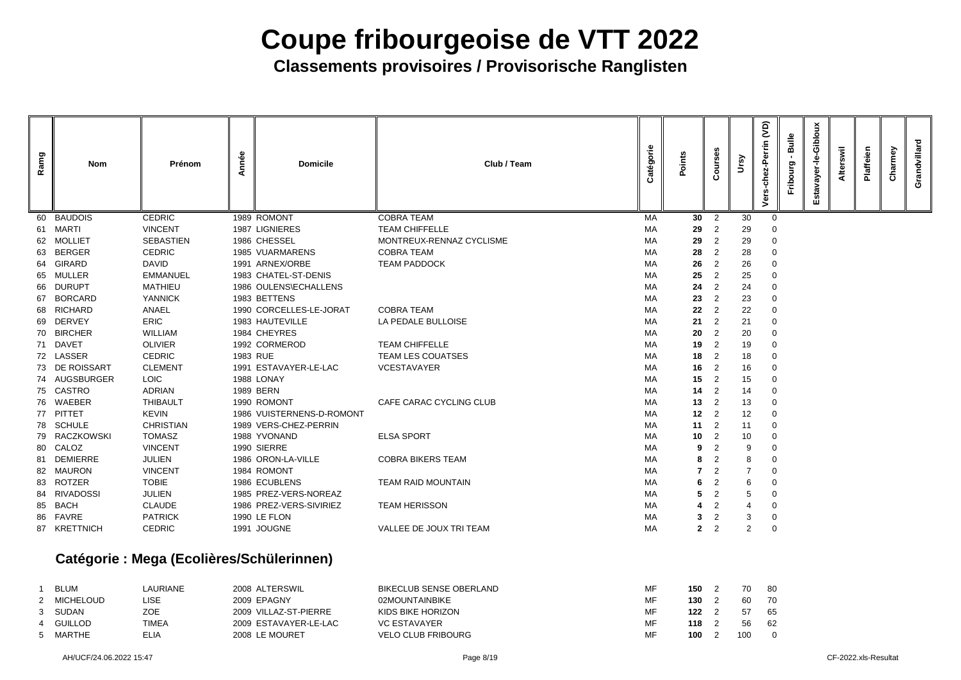| Ramg | <b>Nom</b>      | Prénom                                   | Année | <b>Domicile</b>           | Club / Team                    | Catégorie | Points       | $\circ$<br>$\mathbf C$ | Ursy           | <b>JO</b><br>Perrin<br>62-<br>듕<br>$\ddot{\bullet}$ | <b>Bulle</b><br>Fribourg | Giblou<br>Ò<br>ayer | swil<br><b>Alter</b> | Plaffeien | Charmey | Grandvillard |
|------|-----------------|------------------------------------------|-------|---------------------------|--------------------------------|-----------|--------------|------------------------|----------------|-----------------------------------------------------|--------------------------|---------------------|----------------------|-----------|---------|--------------|
| 60   | <b>BAUDOIS</b>  | <b>CEDRIC</b>                            |       | 1989 ROMONT               | <b>COBRA TEAM</b>              | MA        | 30           | 2                      | 30             | $\overline{0}$                                      |                          |                     |                      |           |         |              |
| 61   | MARTI           | <b>VINCENT</b>                           |       | 1987 LIGNIERES            | <b>TEAM CHIFFELLE</b>          | МA        | 29           | 2                      | 29             |                                                     |                          |                     |                      |           |         |              |
| 62   | <b>MOLLIET</b>  | <b>SEBASTIEN</b>                         |       | 1986 CHESSEL              | MONTREUX-RENNAZ CYCLISME       | MA        | 29           | 2                      | 29             | $\overline{0}$                                      |                          |                     |                      |           |         |              |
| 63   | <b>BERGER</b>   | <b>CEDRIC</b>                            |       | <b>1985 VUARMARENS</b>    | <b>COBRA TEAM</b>              | MA        | 28           | 2                      | 28             | $\overline{0}$                                      |                          |                     |                      |           |         |              |
| 64   | <b>GIRARD</b>   | <b>DAVID</b>                             |       | 1991 ARNEX/ORBE           | <b>TEAM PADDOCK</b>            | MA        | 26           | $\overline{2}$         | 26             | 0                                                   |                          |                     |                      |           |         |              |
| 65   | <b>MULLER</b>   | <b>EMMANUEL</b>                          |       | 1983 CHATEL-ST-DENIS      |                                | MA        | 25           | 2                      | 25             | 0                                                   |                          |                     |                      |           |         |              |
| 66   | <b>DURUPT</b>   | <b>MATHIEU</b>                           |       | 1986 OULENS\ECHALLENS     |                                | MA        | 24           | 2                      | 24             | $\overline{0}$                                      |                          |                     |                      |           |         |              |
| 67   | <b>BORCARD</b>  | <b>YANNICK</b>                           |       | 1983 BETTENS              |                                | MA        | 23           | 2                      | 23             | $\overline{0}$                                      |                          |                     |                      |           |         |              |
| 68   | <b>RICHARD</b>  | <b>ANAEL</b>                             |       | 1990 CORCELLES-LE-JORAT   | <b>COBRA TEAM</b>              | МA        | 22           | 2                      | 22             | -0                                                  |                          |                     |                      |           |         |              |
|      | 69 DERVEY       | <b>ERIC</b>                              |       | 1983 HAUTEVILLE           | LA PEDALE BULLOISE             | МA        | 21           | 2                      | 21             | 0                                                   |                          |                     |                      |           |         |              |
| 70   | <b>BIRCHER</b>  | <b>WILLIAM</b>                           |       | 1984 CHEYRES              |                                | MA        | 20           | $\overline{2}$         | 20             | 0                                                   |                          |                     |                      |           |         |              |
|      | 71 DAVET        | <b>OLIVIER</b>                           |       | 1992 CORMEROD             | <b>TEAM CHIFFELLE</b>          | MA        | 19           | $\overline{2}$         | 19             | $\Omega$                                            |                          |                     |                      |           |         |              |
|      | 72 LASSER       | <b>CEDRIC</b>                            |       | 1983 RUE                  | <b>TEAM LES COUATSES</b>       | MA        | 18           | $\overline{2}$         | 18             | 0                                                   |                          |                     |                      |           |         |              |
|      | 73 DE ROISSART  | <b>CLEMENT</b>                           |       | 1991 ESTAVAYER-LE-LAC     | <b>VCESTAVAYER</b>             | MA        | 16           | 2                      | 16             | 0                                                   |                          |                     |                      |           |         |              |
|      | 74 AUGSBURGER   | <b>LOIC</b>                              |       | 1988 LONAY                |                                | MA        | 15           | $\overline{2}$         | 15             | -0                                                  |                          |                     |                      |           |         |              |
|      | 75 CASTRO       | <b>ADRIAN</b>                            |       | 1989 BERN                 |                                | МA        | 14           | 2                      | 14             | 0                                                   |                          |                     |                      |           |         |              |
|      | 76 WAEBER       | <b>THIBAULT</b>                          |       | 1990 ROMONT               | CAFE CARAC CYCLING CLUB        | MA        | 13           | 2                      | 13             | 0                                                   |                          |                     |                      |           |         |              |
|      | 77 PITTET       | <b>KEVIN</b>                             |       | 1986 VUISTERNENS-D-ROMONT |                                | MA        | 12           | 2                      | 12             | 0                                                   |                          |                     |                      |           |         |              |
|      | 78 SCHULE       | <b>CHRISTIAN</b>                         |       | 1989 VERS-CHEZ-PERRIN     |                                | MA        | 11           | 2                      | 11             | -0                                                  |                          |                     |                      |           |         |              |
|      | 79 RACZKOWSKI   | <b>TOMASZ</b>                            |       | 1988 YVONAND              | <b>ELSA SPORT</b>              | MA        | 10           | 2                      | 10             | 0                                                   |                          |                     |                      |           |         |              |
|      | 80 CALOZ        | <b>VINCENT</b>                           |       | 1990 SIERRE               |                                | MA        | 9            | 2                      | 9              | 0                                                   |                          |                     |                      |           |         |              |
| 81   | <b>DEMIERRE</b> | <b>JULIEN</b>                            |       | 1986 ORON-LA-VILLE        | <b>COBRA BIKERS TEAM</b>       | МA        | 8            | 2                      | 8              | $\overline{0}$                                      |                          |                     |                      |           |         |              |
|      | 82 MAURON       | <b>VINCENT</b>                           |       | 1984 ROMONT               |                                | MA        |              | $\overline{2}$         | $\overline{7}$ |                                                     |                          |                     |                      |           |         |              |
|      | 83 ROTZER       | <b>TOBIE</b>                             |       | 1986 ECUBLENS             | <b>TEAM RAID MOUNTAIN</b>      | MA        | 6            | $\overline{2}$         | 6              | -0                                                  |                          |                     |                      |           |         |              |
|      | 84 RIVADOSSI    | <b>JULIEN</b>                            |       | 1985 PREZ-VERS-NOREAZ     |                                | МA        | 5            | $\overline{2}$         | 5              | $\overline{0}$                                      |                          |                     |                      |           |         |              |
| 85   | <b>BACH</b>     | <b>CLAUDE</b>                            |       | 1986 PREZ-VERS-SIVIRIEZ   | <b>TEAM HERISSON</b>           | МA        | 4            | $\overline{2}$         | 4              | $\overline{0}$                                      |                          |                     |                      |           |         |              |
|      | 86 FAVRE        | <b>PATRICK</b>                           |       | <b>1990 LE FLON</b>       |                                | МA        | 3            | $\overline{2}$         | 3              | $\overline{0}$                                      |                          |                     |                      |           |         |              |
|      | 87 KRETTNICH    | <b>CEDRIC</b>                            |       | 1991 JOUGNE               | VALLEE DE JOUX TRI TEAM        | MA        | $\mathbf{2}$ | $\overline{2}$         | $\overline{2}$ | $\overline{0}$                                      |                          |                     |                      |           |         |              |
|      |                 | Catégorie: Mega (Ecolières/Schülerinnen) |       |                           |                                |           |              |                        |                |                                                     |                          |                     |                      |           |         |              |
| -1   | <b>BLUM</b>     | LAURIANE                                 |       | 2008 ALTERSWIL            | <b>BIKECLUB SENSE OBERLAND</b> | MF        | $150 \t 2$   |                        | 70             | 80                                                  |                          |                     |                      |           |         |              |
|      | 2 MICHELOUD     | <b>LISE</b>                              |       | 2009 EPAGNY               | 02MOUNTAINBIKE                 | MF        | $130 \t2$    |                        | 60             | 70                                                  |                          |                     |                      |           |         |              |
| 3    | <b>SUDAN</b>    | <b>ZOE</b>                               |       | 2009 VILLAZ-ST-PIERRE     | KIDS BIKE HORIZON              | MF        | 122          | $\overline{2}$         | 57             |                                                     |                          |                     |                      |           |         |              |
|      | <b>GUILLOD</b>  | <b>TIMEA</b>                             |       | 2009 ESTAVAYER-LE-LAC     | <b>VC ESTAVAYER</b>            | MF        | 118          | $\overline{2}$         | 56             | 65<br>62                                            |                          |                     |                      |           |         |              |
|      | 5 MARTHE        | <b>ELIA</b>                              |       | 2008 LE MOURET            | <b>VELO CLUB FRIBOURG</b>      | MF        | $100$ 2      |                        | 100            | $\overline{0}$                                      |                          |                     |                      |           |         |              |

| <b>BLUM</b> | LAURIANE | 2008 ALTERSWIL        | <b>BIKECLUB SENSE OBERLAND</b> | MF |
|-------------|----------|-----------------------|--------------------------------|----|
| 2 MICHELOUD | _ISE     | 2009 EPAGNY           | 02MOUNTAINBIKE                 | MF |
| 3 SUDAN     | ZOE      | 2009 VILLAZ-ST-PIERRE | KIDS BIKE HORIZON              | MF |
| 4 GUILLOD   | TIMEA    | 2009 ESTAVAYER-LE-LAC | <b>VC ESTAVAYER</b>            | MF |
| 5 MARTHE    | ELIA     | 2008 LE MOURET        | <b>VELO CLUB FRIBOURG</b>      | MF |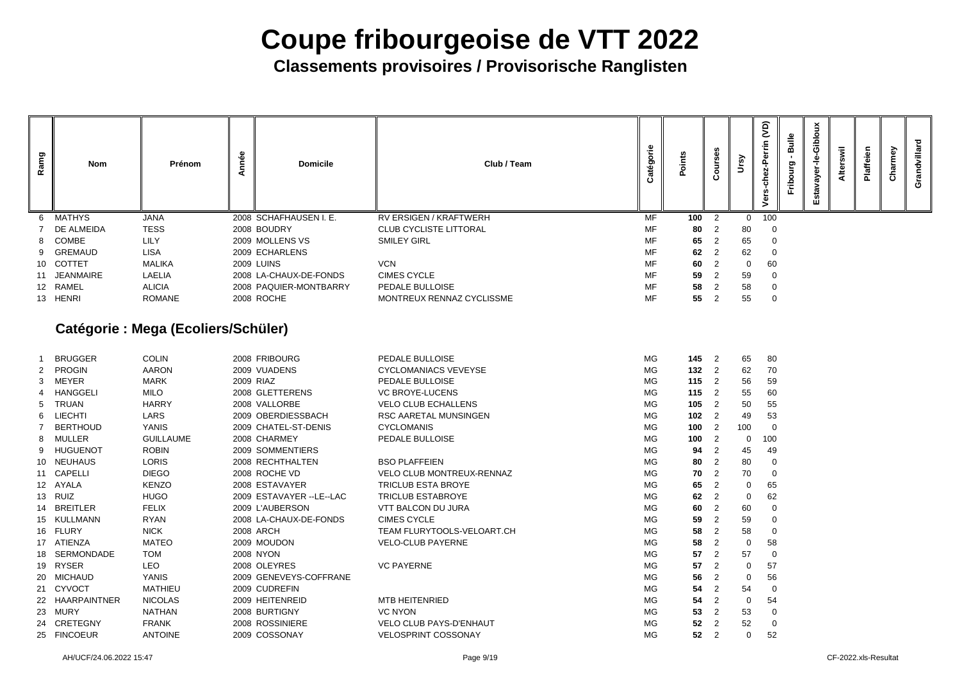**Classements provisoires / Provisorische Ranglisten**

|            | Courses                                   | Ursy             | Vers-chez-Perrin (VD) | Fribourg - Bulle | Estavayer-le-Gibloux | Alterswil | Plaffeien | Charmey | Grandvillard |
|------------|-------------------------------------------|------------------|-----------------------|------------------|----------------------|-----------|-----------|---------|--------------|
| 100        | $\overline{\mathbf{c}}$                   | $\mathbf 0$      | 100                   |                  |                      |           |           |         |              |
| 80         | $\overline{c}$                            | 80               | 0                     |                  |                      |           |           |         |              |
| 65         | $\overline{c}$                            | 65               | $\mathbf{0}$          |                  |                      |           |           |         |              |
| 62         | $\overline{\mathbf{c}}$                   | 62               | $\mathbf 0$           |                  |                      |           |           |         |              |
| 60         | $\overline{c}$                            | $\mathbf 0$      | 60                    |                  |                      |           |           |         |              |
| 59         | $\overline{\mathbf{c}}$                   | 59               | $\mathbf 0$           |                  |                      |           |           |         |              |
| 58         | $\overline{c}$                            | 58               | $\mathbf 0$           |                  |                      |           |           |         |              |
| 55         | $\overline{\mathbf{c}}$                   | 55               | $\mathbf{0}$          |                  |                      |           |           |         |              |
|            |                                           |                  |                       |                  |                      |           |           |         |              |
| 145        | $\overline{\mathbf{c}}$                   | 65               | 80                    |                  |                      |           |           |         |              |
| 132        | $\overline{\mathbf{c}}$                   | 62               | 70                    |                  |                      |           |           |         |              |
| 115        | $\overline{\mathbf{c}}$                   | 56               | 59                    |                  |                      |           |           |         |              |
| 115        | $\overline{c}$<br>$\overline{\mathbf{c}}$ | 55               | 60                    |                  |                      |           |           |         |              |
| 105<br>102 | $\overline{\mathbf{c}}$                   | 50<br>49         | 55<br>53              |                  |                      |           |           |         |              |
| 100        | $\overline{\mathbf{c}}$                   | 100              | $\mathbf 0$           |                  |                      |           |           |         |              |
| 100        | $\overline{\mathbf{c}}$                   | $\bf{0}$         | 100                   |                  |                      |           |           |         |              |
| 94         | $\overline{\mathbf{c}}$                   | 45               | 49                    |                  |                      |           |           |         |              |
| 80         | $\mathbf 2$                               | 80               | 0                     |                  |                      |           |           |         |              |
| 70         | $\overline{2}$                            | 70               | 0                     |                  |                      |           |           |         |              |
| 65         | $\overline{\mathbf{c}}$                   | $\mathbf 0$      | 65                    |                  |                      |           |           |         |              |
| 62         | $\overline{c}$                            | $\pmb{0}$        | 62                    |                  |                      |           |           |         |              |
| 60         | $\overline{c}$                            | 60               | $\pmb{0}$             |                  |                      |           |           |         |              |
| 59         | $\overline{c}$                            | 59               | $\pmb{0}$             |                  |                      |           |           |         |              |
| 58         | $\overline{\mathbf{c}}$                   | 58               | 0                     |                  |                      |           |           |         |              |
| 58         | $\overline{2}$                            | $\pmb{0}$        | 58                    |                  |                      |           |           |         |              |
| 57         | $\overline{\mathbf{c}}$                   | 57               | $\boldsymbol{0}$      |                  |                      |           |           |         |              |
| 57         | $\overline{2}$                            | $\boldsymbol{0}$ | 57                    |                  |                      |           |           |         |              |
| 56         | $\overline{c}$                            | 0                | 56                    |                  |                      |           |           |         |              |
| 54         | $\overline{2}$                            | 54               | $\boldsymbol{0}$      |                  |                      |           |           |         |              |

| Ramg | Nom            | Prénom        | mnée<br>⋖ | <b>Domicile</b>        | Club / Team                   | atégorie<br>ن | <u>sauj</u><br>۰ | Ö<br><b>in</b><br>O<br>ပ | ີ້          | $\widetilde{S}$ |
|------|----------------|---------------|-----------|------------------------|-------------------------------|---------------|------------------|--------------------------|-------------|-----------------|
| 6    | <b>MATHYS</b>  | <b>JANA</b>   |           | 2008 SCHAFHAUSEN I. E. | RV ERSIGEN / KRAFTWERH        | <b>MF</b>     | 100              | $\overline{2}$           | $\Omega$    | 10 <sub>C</sub> |
|      | DE ALMEIDA     | <b>TESS</b>   |           | 2008 BOUDRY            | <b>CLUB CYCLISTE LITTORAL</b> | MF            | 80               | $\overline{2}$           | 80          |                 |
|      | 8 COMBE        | <b>LILY</b>   |           | 2009 MOLLENS VS        | <b>SMILEY GIRL</b>            | MF            | 65               | $\overline{2}$           | 65          |                 |
| 9    | <b>GREMAUD</b> | <b>LISA</b>   |           | 2009 ECHARLENS         |                               | MF            | 62               | -2                       | 62          |                 |
| 10   | <b>COTTET</b>  | <b>MALIKA</b> |           | <b>2009 LUINS</b>      | <b>VCN</b>                    | MF            | 60               | $\overline{2}$           | $\mathbf 0$ | <b>60</b>       |
|      | 11 JEANMAIRE   | <b>LAELIA</b> |           | 2008 LA-CHAUX-DE-FONDS | <b>CIMES CYCLE</b>            | MF            | 59               | -2                       | 59          |                 |
|      |                |               |           |                        |                               | MF            | 58               |                          | 58          |                 |
|      | 12 RAMEL       | <b>ALICIA</b> |           | 2008 PAQUIER-MONTBARRY | PEDALE BULLOISE               |               |                  |                          |             |                 |

### **Catégorie : Mega (Ecoliers/Schüler)**

|                 | <b>BRUGGER</b>      | <b>COLIN</b>     | 2008 FRIBOURG             | PEDALE BULLOISE                  | <b>MG</b> | 145 | $\overline{\phantom{0}}^2$ | 65          | 80              |
|-----------------|---------------------|------------------|---------------------------|----------------------------------|-----------|-----|----------------------------|-------------|-----------------|
| $2^{\circ}$     | <b>PROGIN</b>       | <b>AARON</b>     | 2009 VUADENS              | <b>CYCLOMANIACS VEVEYSE</b>      | MG        | 132 | $\overline{2}$             | 62          | 70              |
| 3               | MEYER               | <b>MARK</b>      | 2009 RIAZ                 | <b>PEDALE BULLOISE</b>           | <b>MG</b> | 115 | $\overline{2}$             | 56          | 59              |
| 4               | <b>HANGGELI</b>     | <b>MILO</b>      | 2008 GLETTERENS           | <b>VC BROYE-LUCENS</b>           | MG        | 115 | $\overline{2}$             | 55          | 60              |
| 5               | TRUAN               | <b>HARRY</b>     | 2008 VALLORBE             | <b>VELO CLUB ECHALLENS</b>       | MG        | 105 | $\overline{2}$             | 50          | 55              |
| 6               | <b>LIECHTI</b>      | <b>LARS</b>      | 2009 OBERDIESSBACH        | <b>RSC AARETAL MUNSINGEN</b>     | <b>MG</b> | 102 | $\overline{\phantom{0}}^2$ | 49          | 53              |
| 7               | <b>BERTHOUD</b>     | <b>YANIS</b>     | 2009 CHATEL-ST-DENIS      | <b>CYCLOMANIS</b>                | MG        | 100 | $\overline{2}$             | 100         |                 |
| 8               | <b>MULLER</b>       | <b>GUILLAUME</b> | 2008 CHARMEY              | PEDALE BULLOISE                  | <b>MG</b> | 100 | $\overline{2}$             | 0           | 10 <sub>C</sub> |
| 9               | <b>HUGUENOT</b>     | <b>ROBIN</b>     | 2009 SOMMENTIERS          |                                  | <b>MG</b> | 94  | 2                          | 45          | 49              |
| 10 <sup>°</sup> | <b>NEUHAUS</b>      | <b>LORIS</b>     | 2008 RECHTHALTEN          | <b>BSO PLAFFEIEN</b>             | <b>MG</b> | 80  | $\overline{2}$             | 80          |                 |
|                 | 11 CAPELLI          | <b>DIEGO</b>     | 2008 ROCHE VD             | <b>VELO CLUB MONTREUX-RENNAZ</b> | <b>MG</b> | 70  | $\overline{2}$             | 70          |                 |
| 12 <sup>1</sup> | AYALA               | <b>KENZO</b>     | 2008 ESTAVAYER            | <b>TRICLUB ESTA BROYE</b>        | <b>MG</b> | 65  | $\overline{2}$             | 0           | 65              |
| 13              | <b>RUIZ</b>         | <b>HUGO</b>      | 2009 ESTAVAYER -- LE--LAC | <b>TRICLUB ESTABROYE</b>         | <b>MG</b> | 62  | 2                          | 0           | 62              |
| 14              | <b>BREITLER</b>     | <b>FELIX</b>     | 2009 L'AUBERSON           | <b>VTT BALCON DU JURA</b>        | MG        | 60  | $\overline{2}$             | 60          |                 |
| 15 <sub>2</sub> | <b>KULLMANN</b>     | <b>RYAN</b>      | 2008 LA-CHAUX-DE-FONDS    | <b>CIMES CYCLE</b>               | <b>MG</b> | 59  | 2                          | 59          |                 |
| 16              | <b>FLURY</b>        | <b>NICK</b>      | <b>2008 ARCH</b>          | TEAM FLURYTOOLS-VELOART.CH       | <b>MG</b> | 58  | 2                          | 58          |                 |
| 17              | ATIENZA             | <b>MATEO</b>     | 2009 MOUDON               | <b>VELO-CLUB PAYERNE</b>         | MG        | 58  | 2                          | $\mathbf 0$ | 58              |
| 18              | <b>SERMONDADE</b>   | <b>TOM</b>       | <b>2008 NYON</b>          |                                  | <b>MG</b> | 57  | $\overline{2}$             | 57          |                 |
| 19              | <b>RYSER</b>        | <b>LEO</b>       | 2008 OLEYRES              | <b>VC PAYERNE</b>                | MG        | 57  | 2                          | 0           | 57              |
| 20              | <b>MICHAUD</b>      | <b>YANIS</b>     | 2009 GENEVEYS-COFFRANE    |                                  | <b>MG</b> | 56  | 2                          | 0           | 56              |
| 21              | <b>CYVOCT</b>       | <b>MATHIEU</b>   | 2009 CUDREFIN             |                                  | MG        | 54  | 2                          | 54          |                 |
| 22              | <b>HAARPAINTNER</b> | <b>NICOLAS</b>   | 2009 HEITENREID           | <b>MTB HEITENRIED</b>            | MG        | 54  | $\overline{2}$             | $\mathbf 0$ | 54              |
| 23              | <b>MURY</b>         | <b>NATHAN</b>    | 2008 BURTIGNY             | <b>VC NYON</b>                   | MG        | 53  | 2                          | 53          |                 |
| 24              | <b>CRETEGNY</b>     | <b>FRANK</b>     | 2008 ROSSINIERE           | <b>VELO CLUB PAYS-D'ENHAUT</b>   | MG        | 52  | $\overline{2}$             | 52          |                 |
| 25              | <b>FINCOEUR</b>     | <b>ANTOINE</b>   | 2009 COSSONAY             | <b>VELOSPRINT COSSONAY</b>       | <b>MG</b> | 52  | $\overline{2}$             | $\mathbf 0$ | 52              |
|                 |                     |                  |                           |                                  |           |     |                            |             |                 |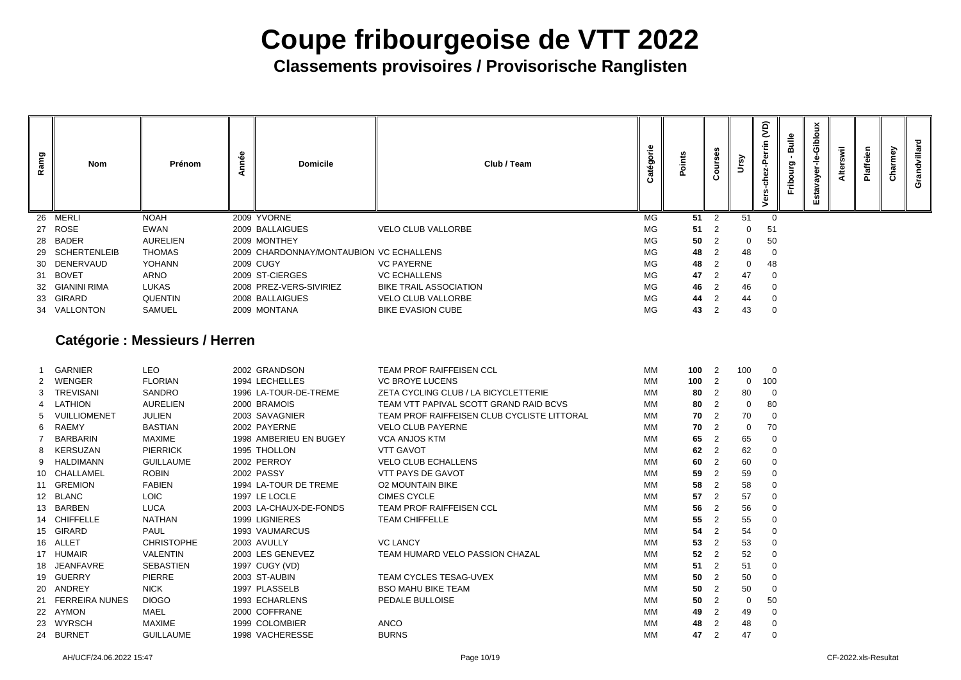**Classements provisoires / Provisorische Ranglisten**

| Ramg | <b>Nom</b>      | Prénom          | မိ<br>⊂<br>⋖ | <b>Domicile</b>                         |                               | Club / Team | <u>ு</u><br>္တ | cints |                | $\mathbf{\hat{s}}$ | <b>QV</b><br>Per<br>6Z<br>$\mathbf c$<br>៵ | Bulle<br>ပ္ပ<br>$\overline{5}$<br><b>Erib</b> | Giblo<br>$\mathbf{\omega}$<br>ō<br>λé<br>$\mathbf{g}$<br>n<br>ш | swil<br>Alter | <u>آه</u><br>Ф<br>Plaff | ଟି<br>harm<br>$\mathbf C$ | ᅙ<br>ט |
|------|-----------------|-----------------|--------------|-----------------------------------------|-------------------------------|-------------|----------------|-------|----------------|--------------------|--------------------------------------------|-----------------------------------------------|-----------------------------------------------------------------|---------------|-------------------------|---------------------------|--------|
|      | 26 MERLI        | <b>NOAH</b>     |              | 2009 YVORNE                             |                               |             | <b>MG</b>      | 51    | 2              | 51                 | $\overline{0}$                             |                                               |                                                                 |               |                         |                           |        |
|      | 27 ROSE         | EWAN            |              | 2009 BALLAIGUES                         | <b>VELO CLUB VALLORBE</b>     |             | MG             | 51    | $\overline{2}$ | $\Omega$           | 51                                         |                                               |                                                                 |               |                         |                           |        |
|      | 28 BADER        | <b>AURELIEN</b> |              | 2009 MONTHEY                            |                               |             | MG             | 50    | $\overline{2}$ | $\overline{0}$     | 50                                         |                                               |                                                                 |               |                         |                           |        |
|      | 29 SCHERTENLEIB | <b>THOMAS</b>   |              | 2009 CHARDONNAY/MONTAUBION VC ECHALLENS |                               |             | <b>MG</b>      | 48    | 2              | 48                 | $\overline{0}$                             |                                               |                                                                 |               |                         |                           |        |
|      | 30 DENERVAUD    | <b>YOHANN</b>   |              | <b>2009 CUGY</b>                        | <b>VC PAYERNE</b>             |             | MG             | 48    | 2              | $\mathbf{0}$       | 48                                         |                                               |                                                                 |               |                         |                           |        |
|      | 31 BOVET        | ARNO            |              | 2009 ST-CIERGES                         | <b>VC ECHALLENS</b>           |             | MG             | 47    | 2              | 47                 | $\overline{0}$                             |                                               |                                                                 |               |                         |                           |        |
|      | 32 GIANINI RIMA | <b>LUKAS</b>    |              | 2008 PREZ-VERS-SIVIRIEZ                 | <b>BIKE TRAIL ASSOCIATION</b> |             | MG             | 46    | 2              | 46                 | $\overline{0}$                             |                                               |                                                                 |               |                         |                           |        |
|      | 33 GIRARD       | <b>QUENTIN</b>  |              | 2008 BALLAIGUES                         | <b>VELO CLUB VALLORBE</b>     |             | MG             | 44    | $\overline{2}$ | 44                 | 0                                          |                                               |                                                                 |               |                         |                           |        |
|      | 34 VALLONTON    | <b>SAMUEL</b>   |              | 2009 MONTANA                            | <b>BIKE EVASION CUBE</b>      |             | MG             | 43    | $\overline{2}$ | 43                 | $\overline{0}$                             |                                               |                                                                 |               |                         |                           |        |
|      |                 |                 |              |                                         |                               |             |                |       |                |                    |                                            |                                               |                                                                 |               |                         |                           |        |

### **Catégorie : Messieurs / Herren**

|                       | <b>GARNIER</b>        | LEO               | 2002 GRANDSON          | TEAM PROF RAIFFEISEN CCL                    | MM        | 100 | $\overline{2}$ | 100 |                 |
|-----------------------|-----------------------|-------------------|------------------------|---------------------------------------------|-----------|-----|----------------|-----|-----------------|
| $\mathbf{2}^{\prime}$ | WENGER                | <b>FLORIAN</b>    | 1994 LECHELLES         | <b>VC BROYE LUCENS</b>                      | МM        | 100 | $\overline{2}$ | 0   | 10 <sub>C</sub> |
| 3                     | <b>TREVISANI</b>      | <b>SANDRO</b>     | 1996 LA-TOUR-DE-TREME  | ZETA CYCLING CLUB / LA BICYCLETTERIE        | МM        | 80  | $\overline{2}$ | 80  |                 |
|                       | 4 LATHION             | <b>AURELIEN</b>   | 2000 BRAMOIS           | TEAM VTT PAPIVAL SCOTT GRAND RAID BCVS      | МM        | 80  | $\overline{2}$ | 0   | 80              |
| 5                     | VUILLIOMENET          | <b>JULIEN</b>     | 2003 SAVAGNIER         | TEAM PROF RAIFFEISEN CLUB CYCLISTE LITTORAL | МM        | 70  | 2              | 70  |                 |
| 6                     | RAEMY                 | <b>BASTIAN</b>    | 2002 PAYERNE           | <b>VELO CLUB PAYERNE</b>                    | МM        | 70  | 2              | 0   | 70              |
|                       | <b>BARBARIN</b>       | MAXIME            | 1998 AMBERIEU EN BUGEY | <b>VCA ANJOS KTM</b>                        | МM        | 65  | 2              | 65  |                 |
|                       | 8 KERSUZAN            | <b>PIERRICK</b>   | 1995 THOLLON           | <b>VTT GAVOT</b>                            | МM        | 62  | 2              | 62  |                 |
| 9                     | HALDIMANN             | <b>GUILLAUME</b>  | 2002 PERROY            | <b>VELO CLUB ECHALLENS</b>                  | MM        | 60  | $\overline{2}$ | 60  |                 |
|                       | 10 CHALLAMEL          | <b>ROBIN</b>      | 2002 PASSY             | <b>VTT PAYS DE GAVOT</b>                    | МM        | 59  | $\overline{2}$ | 59  |                 |
| 11                    | <b>GREMION</b>        | <b>FABIEN</b>     | 1994 LA-TOUR DE TREME  | <b>O2 MOUNTAIN BIKE</b>                     | МM        | 58  | 2              | 58  |                 |
|                       | 12 BLANC              | <b>LOIC</b>       | 1997 LE LOCLE          | <b>CIMES CYCLE</b>                          | МM        | 57  | $\overline{2}$ | 57  |                 |
| 13 <sup>1</sup>       | <b>BARBEN</b>         | <b>LUCA</b>       | 2003 LA-CHAUX-DE-FONDS | <b>TEAM PROF RAIFFEISEN CCL</b>             | МM        | 56  | $\overline{2}$ | 56  |                 |
|                       | 14 CHIFFELLE          | <b>NATHAN</b>     | 1999 LIGNIERES         | <b>TEAM CHIFFELLE</b>                       | МM        | 55  | $\overline{2}$ | 55  |                 |
|                       | 15 GIRARD             | <b>PAUL</b>       | 1993 VAUMARCUS         |                                             | МM        | 54  | 2              | 54  |                 |
| 16                    | <b>ALLET</b>          | <b>CHRISTOPHE</b> | 2003 AVULLY            | <b>VC LANCY</b>                             | МM        | 53  | 2              | 53  |                 |
|                       | 17 HUMAIR             | <b>VALENTIN</b>   | 2003 LES GENEVEZ       | TEAM HUMARD VELO PASSION CHAZAL             | МM        | 52  | 2              | 52  |                 |
| 18                    | <b>JEANFAVRE</b>      | <b>SEBASTIEN</b>  | 1997 CUGY (VD)         |                                             | MM        | 51  | $\overline{2}$ | 51  |                 |
| 19                    | <b>GUERRY</b>         | <b>PIERRE</b>     | 2003 ST-AUBIN          | <b>TEAM CYCLES TESAG-UVEX</b>               | <b>MM</b> | 50  | 2              | 50  |                 |
|                       | 20 ANDREY             | <b>NICK</b>       | 1997 PLASSELB          | <b>BSO MAHU BIKE TEAM</b>                   | МM        | 50  | 2              | 50  |                 |
| 21                    | <b>FERREIRA NUNES</b> | <b>DIOGO</b>      | 1993 ECHARLENS         | PEDALE BULLOISE                             | МM        | 50  | 2              | 0   | 50              |
|                       | 22 AYMON              | <b>MAEL</b>       | 2000 COFFRANE          |                                             | МM        | 49  | $\overline{2}$ | 49  |                 |
| 23                    | <b>WYRSCH</b>         | MAXIME            | 1999 COLOMBIER         | <b>ANCO</b>                                 | МM        | 48  | $\overline{2}$ | 48  |                 |
|                       | 24 BURNET             | <b>GUILLAUME</b>  | 1998 VACHERESSE        | <b>BURNS</b>                                | МM        | 47  | $\overline{2}$ | 47  |                 |
|                       |                       |                   |                        |                                             |           |     |                |     |                 |

| 100 | $\overline{c}$          | 100 | 0            |
|-----|-------------------------|-----|--------------|
| 100 | $\overline{c}$          | 0   | 100          |
| 80  | $\overline{c}$          | 80  | 0            |
| 80  | $\overline{c}$          | 0   | 80           |
| 70  | $\overline{c}$          | 70  | 0            |
| 70  | $\overline{c}$          | 0   | 70           |
| 65  | $\overline{\mathbf{c}}$ | 65  | $\mathbf{O}$ |
| 62  | $\overline{c}$          | 62  | 0            |
| 60  | $\overline{2}$          | 60  | 0            |
| 59  | $\overline{c}$          | 59  | 0            |
| 58  | $\overline{\mathbf{c}}$ | 58  | 0            |
| 57  | $\overline{c}$          | 57  | $\mathbf 0$  |
| 56  | $\overline{c}$          | 56  | $\mathbf 0$  |
| 55  | $\overline{c}$          | 55  | 0            |
| 54  | $\overline{\mathbf{c}}$ | 54  | 0            |
| 53  | $\overline{c}$          | 53  | 0            |
| 52  | $\overline{c}$          | 52  | 0            |
| 51  | $\overline{2}$          | 51  | 0            |
| 50  | $\overline{c}$          | 50  | 0            |
| 50  | $\overline{c}$          | 50  | 0            |
| 50  | $\overline{c}$          | 0   | 50           |
| 49  | $\overline{2}$          | 49  | 0            |
| 48  | $\overline{\mathbf{c}}$ | 48  | $\mathbf 0$  |
| 47  | $\overline{2}$          | 47  | 0            |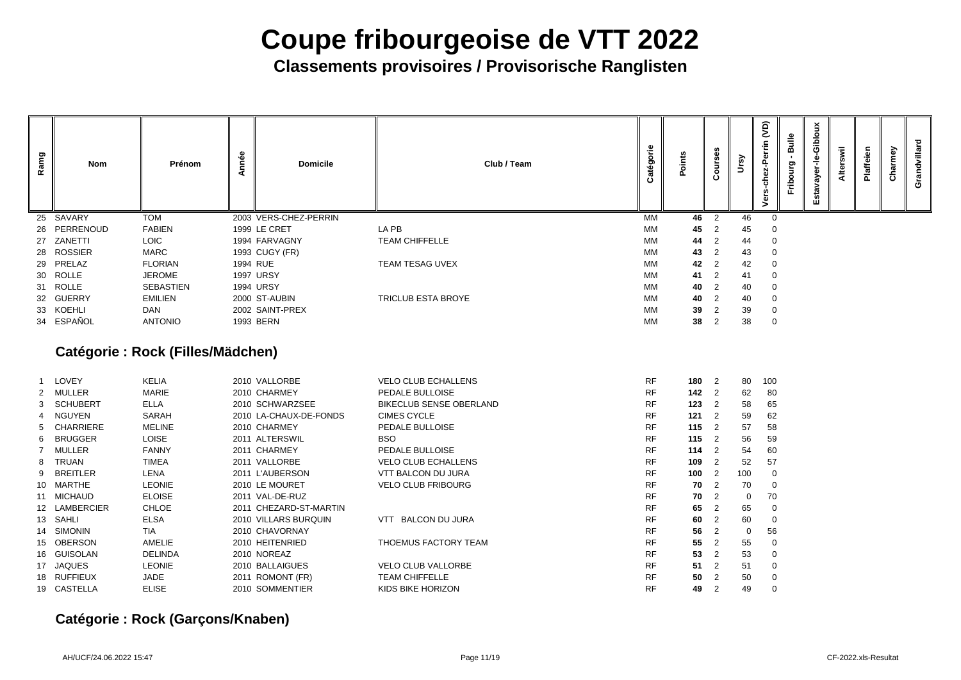**Classements provisoires / Provisorische Ranglisten**

|                                                                   | Courses                                                                                                                                                                                       | Ursy                                                      | Vers-chez-Perrin (VD)                                             | Fribourg - Bulle | Estavayer-le-Gibloux | Alterswil | Plaffeien | Charmey | Grandvillard |
|-------------------------------------------------------------------|-----------------------------------------------------------------------------------------------------------------------------------------------------------------------------------------------|-----------------------------------------------------------|-------------------------------------------------------------------|------------------|----------------------|-----------|-----------|---------|--------------|
| 46                                                                | $\overline{\mathbf{c}}$                                                                                                                                                                       | 46                                                        | $\mathbf{0}$                                                      |                  |                      |           |           |         |              |
| 45                                                                | $\overline{\mathbf{c}}$                                                                                                                                                                       | 45                                                        | $\mathbf{0}$                                                      |                  |                      |           |           |         |              |
| 44                                                                | $\frac{2}{2}$                                                                                                                                                                                 | 44                                                        | $\mathbf{0}$                                                      |                  |                      |           |           |         |              |
| 43                                                                |                                                                                                                                                                                               | 43                                                        | $\mathbf{0}$                                                      |                  |                      |           |           |         |              |
| 42                                                                | $\frac{2}{2}$                                                                                                                                                                                 | 42                                                        | $\mathbf{0}$                                                      |                  |                      |           |           |         |              |
| 41                                                                |                                                                                                                                                                                               | 41                                                        | $\mathbf{0}$                                                      |                  |                      |           |           |         |              |
| 40                                                                | $\frac{2}{2}$                                                                                                                                                                                 | 40                                                        | $\mathbf{0}$                                                      |                  |                      |           |           |         |              |
| 40                                                                |                                                                                                                                                                                               | 40                                                        | $\mathbf{0}$                                                      |                  |                      |           |           |         |              |
| 39                                                                | $\overline{c}$                                                                                                                                                                                | 39                                                        | $\mathbf{0}$                                                      |                  |                      |           |           |         |              |
| 38                                                                | $\overline{\mathbf{c}}$                                                                                                                                                                       | 38                                                        | $\mathbf{0}$                                                      |                  |                      |           |           |         |              |
| 180<br>142<br>123<br>121<br>115<br>115<br>114<br>109<br>100<br>70 | $\overline{\mathbf{c}}$<br>$\overline{\mathbf{c}}$<br>$\overline{c}$<br>$\frac{2}{2}$<br>$\overline{\mathbf{c}}$<br>$\overline{\mathbf{c}}$<br>2<br>$\overline{c}$<br>$\overline{\mathbf{c}}$ | 80<br>62<br>58<br>59<br>57<br>56<br>54<br>52<br>100<br>70 | 100<br>80<br>65<br>62<br>58<br>59<br>60<br>57<br>$\mathbf 0$<br>0 |                  |                      |           |           |         |              |
| 70                                                                | $\overline{c}$                                                                                                                                                                                | $\pmb{0}$                                                 | 70                                                                |                  |                      |           |           |         |              |
| 65                                                                | $\overline{\mathbf{c}}$                                                                                                                                                                       | 65                                                        | 0                                                                 |                  |                      |           |           |         |              |
| 60                                                                | $\overline{\mathbf{c}}$                                                                                                                                                                       | 60                                                        | 0                                                                 |                  |                      |           |           |         |              |
| 56                                                                | $\overline{\mathbf{c}}$                                                                                                                                                                       | $\mathsf{O}\xspace$                                       | 56                                                                |                  |                      |           |           |         |              |
| 55                                                                | $\overline{\mathbf{c}}$                                                                                                                                                                       | 55                                                        | 0                                                                 |                  |                      |           |           |         |              |
| 53                                                                | $\overline{\mathbf{c}}$                                                                                                                                                                       | 53                                                        | 0                                                                 |                  |                      |           |           |         |              |
| 51                                                                | $\overline{\mathbf{c}}$                                                                                                                                                                       | 51                                                        | 0                                                                 |                  |                      |           |           |         |              |
| 50                                                                | $\overline{c}$                                                                                                                                                                                | 50                                                        | 0                                                                 |                  |                      |           |           |         |              |
| 49                                                                | $\overline{c}$                                                                                                                                                                                | 49                                                        | 0                                                                 |                  |                      |           |           |         |              |

| Ramg | Nom           | Prénom           | nnée<br>⋖ | <b>Domicile</b>       | Club / Team               | Catégorie | Points | <b>Ses</b><br>O<br>ပ | ິ  | (40)<br>59<br>৳ |
|------|---------------|------------------|-----------|-----------------------|---------------------------|-----------|--------|----------------------|----|-----------------|
| 25   | SAVARY        | <b>TOM</b>       |           | 2003 VERS-CHEZ-PERRIN |                           | <b>MM</b> | 46     | 2                    | 46 |                 |
| 26   | PERRENOUD     | <b>FABIEN</b>    |           | 1999 LE CRET          | LA PB                     | МM        | 45     | 2                    | 45 |                 |
| 27   | ZANETTI       | <b>LOIC</b>      |           | 1994 FARVAGNY         | <b>TEAM CHIFFELLE</b>     | МM        | 44     | 2                    | 44 |                 |
|      | 28 ROSSIER    | <b>MARC</b>      |           | 1993 CUGY (FR)        |                           | МM        | 43     | 2                    | 43 |                 |
|      | 29 PRELAZ     | <b>FLORIAN</b>   | 1994 RUE  |                       | <b>TEAM TESAG UVEX</b>    | МM        | 42     | 2                    | 42 |                 |
|      | 30 ROLLE      | <b>JEROME</b>    |           | <b>1997 URSY</b>      |                           | МM        | 41     | -2                   | 41 |                 |
|      | 31 ROLLE      | <b>SEBASTIEN</b> |           | <b>1994 URSY</b>      |                           | МM        | 40     | $\overline{2}$       | 40 |                 |
| 32   | <b>GUERRY</b> | <b>EMILIEN</b>   |           | 2000 ST-AUBIN         | <b>TRICLUB ESTA BROYE</b> | MM        | 40     | $\overline{2}$       | 40 |                 |
|      | 33 KOEHLI     | <b>DAN</b>       |           | 2002 SAINT-PREX       |                           | MM        | 39     | 2                    | 39 |                 |
|      | 34 ESPAÑOL    | <b>ANTONIO</b>   |           | 1993 BERN             |                           | <b>MM</b> | 38     | 2                    | 38 |                 |

### **Catégorie : Rock (Filles/Mädchen)**

|    | LOVEY           | <b>KELIA</b>   | 2010 VALLORBE          | <b>VELO CLUB ECHALLENS</b>     | <b>RF</b> | 180 | $\overline{\phantom{0}}^2$ | 80          | 10 <sub>C</sub> |
|----|-----------------|----------------|------------------------|--------------------------------|-----------|-----|----------------------------|-------------|-----------------|
|    | <b>MULLER</b>   | <b>MARIE</b>   | 2010 CHARMEY           | PEDALE BULLOISE                | <b>RF</b> | 142 | $\overline{\phantom{0}}^2$ | 62          | 80              |
|    | 3 SCHUBERT      | <b>ELLA</b>    | 2010 SCHWARZSEE        | <b>BIKECLUB SENSE OBERLAND</b> | <b>RF</b> | 123 | $\overline{2}$             | 58          | 65              |
|    | 4 NGUYEN        | <b>SARAH</b>   | 2010 LA-CHAUX-DE-FONDS | <b>CIMES CYCLE</b>             | <b>RF</b> | 121 | $\overline{2}$             | 59          | 62              |
|    | 5 CHARRIERE     | <b>MELINE</b>  | 2010 CHARMEY           | PEDALE BULLOISE                | <b>RF</b> | 115 | $\overline{2}$             | 57          | 58              |
| 6  | <b>BRUGGER</b>  | <b>LOISE</b>   | 2011 ALTERSWIL         | <b>BSO</b>                     | <b>RF</b> | 115 | $\overline{2}$             | 56          | 59              |
|    | <b>MULLER</b>   | <b>FANNY</b>   | 2011 CHARMEY           | PEDALE BULLOISE                | <b>RF</b> | 114 | $\overline{2}$             | 54          | <b>60</b>       |
|    | 8 TRUAN         | <b>TIMEA</b>   | 2011 VALLORBE          | <b>VELO CLUB ECHALLENS</b>     | <b>RF</b> | 109 | $\overline{2}$             | 52          | 57              |
| 9  | <b>BREITLER</b> | <b>LENA</b>    | 2011 L'AUBERSON        | <b>VTT BALCON DU JURA</b>      | <b>RF</b> | 100 | $\overline{2}$             | 100         |                 |
| 10 | MARTHE          | <b>LEONIE</b>  | 2010 LE MOURET         | <b>VELO CLUB FRIBOURG</b>      | <b>RF</b> | 70  | $\overline{2}$             | 70          |                 |
| 11 | <b>MICHAUD</b>  | <b>ELOISE</b>  | 2011 VAL-DE-RUZ        |                                | <b>RF</b> | 70  | $\overline{2}$             | $\mathbf 0$ | 70              |
|    | 12 LAMBERCIER   | <b>CHLOE</b>   | 2011 CHEZARD-ST-MARTIN |                                | <b>RF</b> | 65  | $\overline{2}$             | 65          |                 |
|    | 13 SAHLI        | <b>ELSA</b>    | 2010 VILLARS BURQUIN   | <b>BALCON DU JURA</b><br>VTT   | <b>RF</b> | 60  | $\overline{2}$             | 60          |                 |
|    | 14 SIMONIN      | <b>TIA</b>     | 2010 CHAVORNAY         |                                | <b>RF</b> | 56  | $\overline{2}$             | 0           | 56              |
|    | 15 OBERSON      | <b>AMELIE</b>  | 2010 HEITENRIED        | THOEMUS FACTORY TEAM           | <b>RF</b> | 55  | 2                          | 55          |                 |
|    | 16 GUISOLAN     | <b>DELINDA</b> | 2010 NOREAZ            |                                | <b>RF</b> | 53  | $\overline{2}$             | 53          |                 |
|    | 17 JAQUES       | <b>LEONIE</b>  | 2010 BALLAIGUES        | <b>VELO CLUB VALLORBE</b>      | <b>RF</b> | 51  | $\overline{2}$             | 51          |                 |
|    | 18 RUFFIEUX     | <b>JADE</b>    | 2011 ROMONT (FR)       | <b>TEAM CHIFFELLE</b>          | <b>RF</b> | 50  | $\overline{2}$             | 50          |                 |
|    | 19 CASTELLA     | <b>ELISE</b>   | 2010 SOMMENTIER        | KIDS BIKE HORIZON              | <b>RF</b> | 49  | $\overline{2}$             | 49          |                 |

### **Catégorie : Rock (Garçons/Knaben)**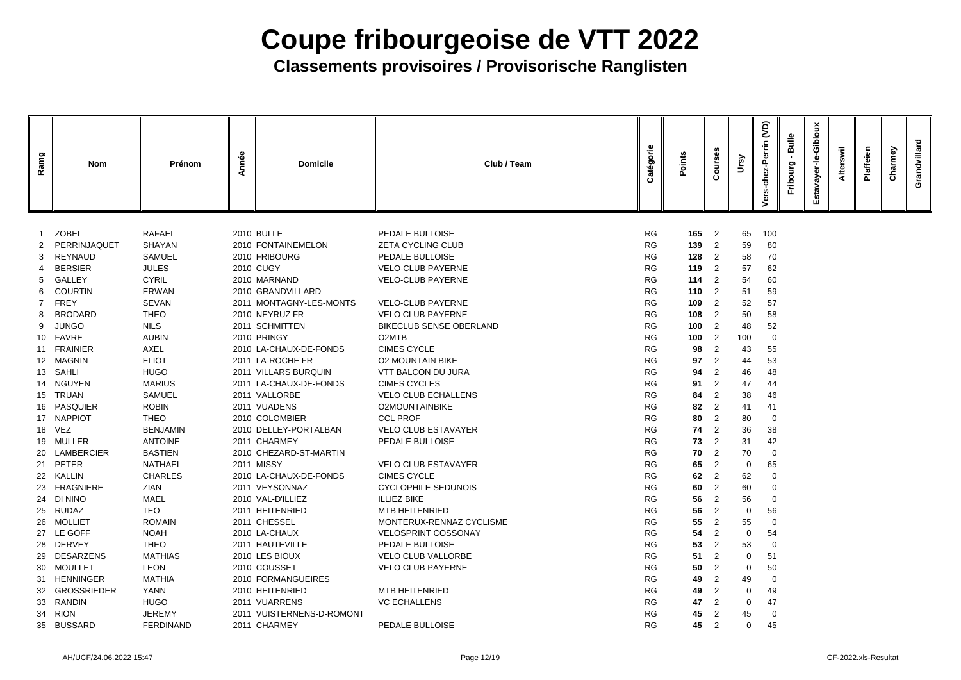| Ramg | <b>Nom</b>                | Prénom                        | Année | <b>Domicile</b>                   | Club / Team                                 | atégorie<br>Ω          | Points             | ses<br>$\circ$<br>Õ | <u>ရွ</u>   | $\widetilde{S}$<br>ω | Bulle<br>ourg | <b>Gibloux</b><br>ayer<br>Estav | swil | Plaffeien | Charmey | Grandvillard |
|------|---------------------------|-------------------------------|-------|-----------------------------------|---------------------------------------------|------------------------|--------------------|---------------------|-------------|----------------------|---------------|---------------------------------|------|-----------|---------|--------------|
|      |                           |                               |       |                                   |                                             |                        |                    |                     |             |                      |               |                                 |      |           |         |              |
|      | <b>ZOBEL</b>              | <b>RAFAEL</b>                 |       | <b>2010 BULLE</b>                 | PEDALE BULLOISE                             | <b>RG</b>              | $165 \t2$          |                     | 65          | 100                  |               |                                 |      |           |         |              |
| 2    | PERRINJAQUET              | <b>SHAYAN</b>                 |       | 2010 FONTAINEMELON                | <b>ZETA CYCLING CLUB</b>                    | <b>RG</b>              | 139 2              |                     | 59          | 80                   |               |                                 |      |           |         |              |
| 3    | REYNAUD<br><b>BERSIER</b> | <b>SAMUEL</b><br><b>JULES</b> |       | 2010 FRIBOURG<br><b>2010 CUGY</b> | PEDALE BULLOISE<br><b>VELO-CLUB PAYERNE</b> | <b>RG</b><br><b>RG</b> | $128$ 2<br>$119$ 2 |                     | 58          | 70                   |               |                                 |      |           |         |              |
| 5    | <b>GALLEY</b>             | <b>CYRIL</b>                  |       | 2010 MARNAND                      | <b>VELO-CLUB PAYERNE</b>                    | <b>RG</b>              | $114$ 2            |                     | 57<br>54    | 62<br>60             |               |                                 |      |           |         |              |
| 6.   | <b>COURTIN</b>            | <b>ERWAN</b>                  |       | 2010 GRANDVILLARD                 |                                             | <b>RG</b>              | 1102               |                     | 51          | 59                   |               |                                 |      |           |         |              |
|      | 7 FREY                    | SEVAN                         |       | 2011 MONTAGNY-LES-MONTS           | <b>VELO-CLUB PAYERNE</b>                    | <b>RG</b>              | 109                | $\overline{2}$      | 52          | 57                   |               |                                 |      |           |         |              |
| 8    | <b>BRODARD</b>            | <b>THEO</b>                   |       | 2010 NEYRUZ FR                    | <b>VELO CLUB PAYERNE</b>                    | <b>RG</b>              | 108                | $\overline{2}$      | 50          | 58                   |               |                                 |      |           |         |              |
|      | 9 JUNGO                   | <b>NILS</b>                   |       | 2011 SCHMITTEN                    | <b>BIKECLUB SENSE OBERLAND</b>              | <b>RG</b>              | 100                | $\overline{2}$      | 48          | 52                   |               |                                 |      |           |         |              |
|      | 10 FAVRE                  | <b>AUBIN</b>                  |       | 2010 PRINGY                       | O <sub>2</sub> MTB                          | <b>RG</b>              | 100                | $\overline{2}$      | 100         | $\mathbf 0$          |               |                                 |      |           |         |              |
|      | 11 FRAINIER               | <b>AXEL</b>                   |       | 2010 LA-CHAUX-DE-FONDS            | <b>CIMES CYCLE</b>                          | <b>RG</b>              | 98                 | 2                   | 43          | 55                   |               |                                 |      |           |         |              |
|      | 12 MAGNIN                 | <b>ELIOT</b>                  |       | 2011 LA-ROCHE FR                  | <b>O2 MOUNTAIN BIKE</b>                     | <b>RG</b>              | 97                 | 2                   | 44          | 53                   |               |                                 |      |           |         |              |
|      | 13 SAHLI                  | <b>HUGO</b>                   |       | 2011 VILLARS BURQUIN              | <b>VTT BALCON DU JURA</b>                   | <b>RG</b>              | 94                 | $\overline{2}$      | 46          | 48                   |               |                                 |      |           |         |              |
|      | 14 NGUYEN                 | <b>MARIUS</b>                 |       | 2011 LA-CHAUX-DE-FONDS            | <b>CIMES CYCLES</b>                         | <b>RG</b>              | 91                 | $\overline{2}$      | 47          | 44                   |               |                                 |      |           |         |              |
|      | 15 TRUAN                  | <b>SAMUEL</b>                 |       | 2011 VALLORBE                     | <b>VELO CLUB ECHALLENS</b>                  | <b>RG</b>              | 84                 | 2                   | 38          | 46                   |               |                                 |      |           |         |              |
|      | 16 PASQUIER               | <b>ROBIN</b>                  |       | 2011 VUADENS                      | <b>O2MOUNTAINBIKE</b>                       | <b>RG</b>              | 82                 | 2                   | 41          | 41                   |               |                                 |      |           |         |              |
|      | 17 NAPPIOT                | <b>THEO</b>                   |       | 2010 COLOMBIER                    | <b>CCL PROF</b>                             | <b>RG</b>              | 80                 | $\overline{2}$      | 80          | $\mathbf 0$          |               |                                 |      |           |         |              |
|      | 18 VEZ                    | <b>BENJAMIN</b>               |       | 2010 DELLEY-PORTALBAN             | <b>VELO CLUB ESTAVAYER</b>                  | <b>RG</b>              | 74                 | 2                   | 36          | 38                   |               |                                 |      |           |         |              |
|      | 19 MULLER                 | <b>ANTOINE</b>                |       | 2011 CHARMEY                      | PEDALE BULLOISE                             | <b>RG</b>              | 73                 | $\overline{2}$      | 31          | 42                   |               |                                 |      |           |         |              |
|      | 20 LAMBERCIER             | <b>BASTIEN</b>                |       | 2010 CHEZARD-ST-MARTIN            |                                             | <b>RG</b>              |                    | $70 \quad 2$        | 70          | $\overline{0}$       |               |                                 |      |           |         |              |
|      | 21 PETER                  | <b>NATHAEL</b>                |       | 2011 MISSY                        | <b>VELO CLUB ESTAVAYER</b>                  | <b>RG</b>              | 65                 | 2                   | $\mathbf 0$ | 65                   |               |                                 |      |           |         |              |
|      | 22 KALLIN                 | <b>CHARLES</b>                |       | 2010 LA-CHAUX-DE-FONDS            | <b>CIMES CYCLE</b>                          | <b>RG</b>              | 62                 | $\overline{2}$      | 62          | $\mathbf 0$          |               |                                 |      |           |         |              |
|      | 23 FRAGNIERE              | ZIAN                          |       | 2011 VEYSONNAZ                    | <b>CYCLOPHILE SEDUNOIS</b>                  | <b>RG</b>              | 60                 | 2                   | 60          | 0                    |               |                                 |      |           |         |              |
|      | 24 DI NINO                | MAEL                          |       | 2010 VAL-D'ILLIEZ                 | <b>ILLIEZ BIKE</b>                          | <b>RG</b>              | 56                 | 2                   | 56          | $\mathbf 0$          |               |                                 |      |           |         |              |
|      | 25 RUDAZ                  | <b>TEO</b>                    |       | 2011 HEITENRIED                   | <b>MTB HEITENRIED</b>                       | <b>RG</b>              | 56                 | 2                   | 0           | 56                   |               |                                 |      |           |         |              |
|      | 26 MOLLIET                | <b>ROMAIN</b>                 |       | 2011 CHESSEL                      | MONTERUX-RENNAZ CYCLISME                    | <b>RG</b>              | 55                 | $\overline{2}$      | 55          | $\mathbf 0$          |               |                                 |      |           |         |              |
|      | 27 LE GOFF                | <b>NOAH</b>                   |       | 2010 LA-CHAUX                     | <b>VELOSPRINT COSSONAY</b>                  | <b>RG</b>              | 54                 | $\overline{2}$      | 0           | 54                   |               |                                 |      |           |         |              |
|      | 28 DERVEY                 | <b>THEO</b>                   |       | 2011 HAUTEVILLE                   | PEDALE BULLOISE                             | <b>RG</b>              | 53                 | 2                   | 53          | $\mathbf 0$          |               |                                 |      |           |         |              |
|      | 29 DESARZENS              | <b>MATHIAS</b>                |       | 2010 LES BIOUX                    | <b>VELO CLUB VALLORBE</b>                   | <b>RG</b>              | 51                 | $\overline{2}$      | 0           | 51                   |               |                                 |      |           |         |              |
|      | 30 MOULLET                | <b>LEON</b>                   |       | 2010 COUSSET                      | <b>VELO CLUB PAYERNE</b>                    | <b>RG</b>              | 50                 | $\overline{2}$      | 0           | 50                   |               |                                 |      |           |         |              |
| 31   | <b>HENNINGER</b>          | <b>MATHIA</b>                 |       | 2010 FORMANGUEIRES                |                                             | <b>RG</b>              | 49                 | $\overline{2}$      | 49          | $\mathbf 0$          |               |                                 |      |           |         |              |
|      | 32 GROSSRIEDER            | <b>YANN</b>                   |       | 2010 HEITENRIED                   | MTB HEITENRIED                              | <b>RG</b>              | 49                 | $\overline{2}$      | 0           | 49                   |               |                                 |      |           |         |              |
|      | 33 RANDIN                 | <b>HUGO</b>                   |       | 2011 VUARRENS                     | <b>VC ECHALLENS</b>                         | <b>RG</b>              | 47                 | $\overline{2}$      | 0           | 47                   |               |                                 |      |           |         |              |
| 34   | <b>RION</b>               | <b>JEREMY</b>                 |       | 2011 VUISTERNENS-D-ROMONT         |                                             | <b>RG</b>              | 45                 | $\overline{2}$      | 45          | $\mathbf 0$          |               |                                 |      |           |         |              |
|      | 35 BUSSARD                | <b>FERDINAND</b>              |       | 2011 CHARMEY                      | PEDALE BULLOISE                             | <b>RG</b>              |                    | 45 2                | $\mathbf 0$ | 45                   |               |                                 |      |           |         |              |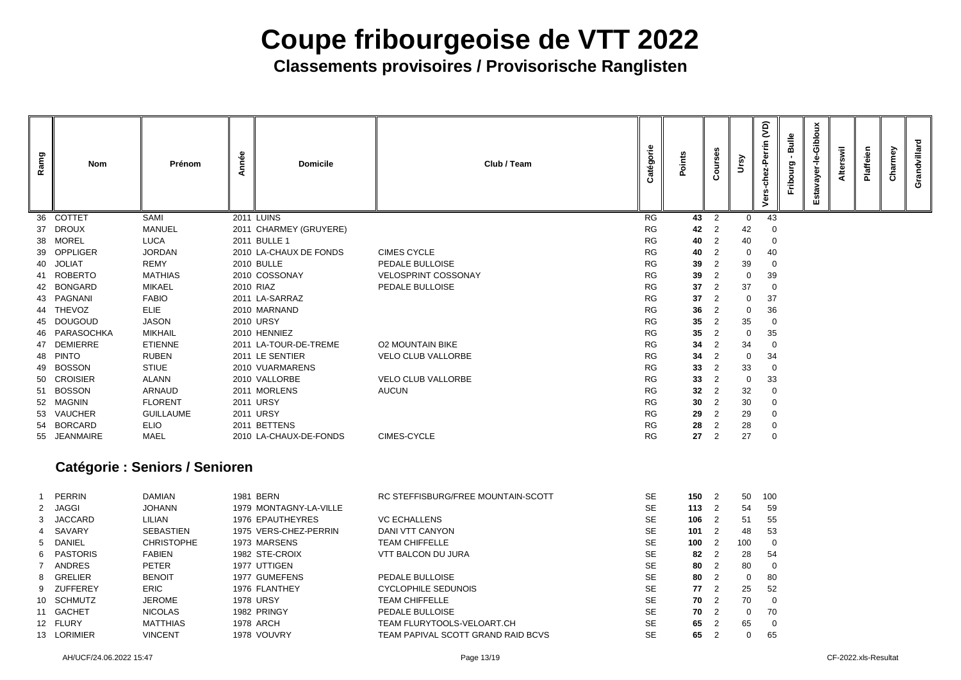| Ramg            | <b>Nom</b>              | Prénom                                | Année | <b>Domicile</b>                          | Club / Team                                          | Catégorie              | Points          | ours<br>Ω                        | Ursy              | <b>JO</b><br>errin<br>ہ<br>19<br>င်<br>৳ | <b>Bulle</b><br>Fribourg | Gibloux<br>$\frac{\mathsf{d}}{\mathsf{d}}$<br>ayer-<br>stav<br>ш | swil<br>Alter: | Plaffeien | Charmey | Grandvillard |
|-----------------|-------------------------|---------------------------------------|-------|------------------------------------------|------------------------------------------------------|------------------------|-----------------|----------------------------------|-------------------|------------------------------------------|--------------------------|------------------------------------------------------------------|----------------|-----------|---------|--------------|
| 36              | <b>COTTET</b>           | <b>SAMI</b>                           |       | <b>2011 LUINS</b>                        |                                                      | <b>RG</b>              | 43              | 2                                | $\mathbf 0$       | 43                                       |                          |                                                                  |                |           |         |              |
| 37              | <b>DROUX</b>            | <b>MANUEL</b>                         |       | 2011 CHARMEY (GRUYERE)                   |                                                      | <b>RG</b>              | 42              | $\overline{2}$                   | 42                |                                          |                          |                                                                  |                |           |         |              |
| 38              | <b>MOREL</b>            | <b>LUCA</b>                           |       | 2011 BULLE 1                             |                                                      | <b>RG</b>              | 40              |                                  | 40                | $\overline{0}$                           |                          |                                                                  |                |           |         |              |
| 39              | <b>OPPLIGER</b>         | <b>JORDAN</b>                         |       | 2010 LA-CHAUX DE FONDS                   | <b>CIMES CYCLE</b>                                   | <b>RG</b>              | 40              | $\overline{2}$                   | $\mathbf 0$       | 40                                       |                          |                                                                  |                |           |         |              |
|                 | 40 JOLIAT               | <b>REMY</b>                           |       | <b>2010 BULLE</b>                        | PEDALE BULLOISE                                      | <b>RG</b>              | 39              | 2                                | 39                | $\Omega$                                 |                          |                                                                  |                |           |         |              |
|                 | 41 ROBERTO              | <b>MATHIAS</b>                        |       | 2010 COSSONAY                            | <b>VELOSPRINT COSSONAY</b>                           | <b>RG</b>              | 39              | $\overline{2}$                   | $\mathbf 0$       | 39                                       |                          |                                                                  |                |           |         |              |
| 42              | <b>BONGARD</b>          | <b>MIKAEL</b>                         |       | 2010 RIAZ                                | PEDALE BULLOISE                                      | <b>RG</b>              | 37              | $\overline{2}$                   | 37                | 0                                        |                          |                                                                  |                |           |         |              |
| 43              | PAGNANI                 | <b>FABIO</b>                          |       | 2011 LA-SARRAZ                           |                                                      | <b>RG</b>              | 37              | $\overline{2}$                   | 0                 | 37                                       |                          |                                                                  |                |           |         |              |
|                 | 44 THEVOZ               | <b>ELIE</b>                           |       | 2010 MARNAND                             |                                                      | <b>RG</b>              | 36              | $\overline{2}$                   | $\mathbf 0$       | 36                                       |                          |                                                                  |                |           |         |              |
|                 | 45 DOUGOUD              | <b>JASON</b>                          |       | 2010 URSY                                |                                                      | <b>RG</b>              | $35\phantom{a}$ | $\overline{2}$                   | 35                | -0                                       |                          |                                                                  |                |           |         |              |
| 46              | PARASOCHKA              | <b>MIKHAIL</b>                        |       | 2010 HENNIEZ                             |                                                      | <b>RG</b>              | 35 <sub>5</sub> | $\overline{2}$                   | $\mathbf 0$       | 35                                       |                          |                                                                  |                |           |         |              |
|                 | 47 DEMIERRE<br>48 PINTO | <b>ETIENNE</b><br><b>RUBEN</b>        |       | 2011 LA-TOUR-DE-TREME<br>2011 LE SENTIER | <b>O2 MOUNTAIN BIKE</b><br><b>VELO CLUB VALLORBE</b> | <b>RG</b><br><b>RG</b> | 34              | $\overline{2}$<br>$\overline{2}$ | 34                | $\Omega$                                 |                          |                                                                  |                |           |         |              |
|                 | 49 BOSSON               | <b>STIUE</b>                          |       | 2010 VUARMARENS                          |                                                      | <b>RG</b>              | 34<br>33        | $\overline{2}$                   | $\mathbf 0$<br>33 | 34<br>-0                                 |                          |                                                                  |                |           |         |              |
| 50              | <b>CROISIER</b>         | ALANN                                 |       | 2010 VALLORBE                            | <b>VELO CLUB VALLORBE</b>                            | <b>RG</b>              | 33 <sub>°</sub> | $\overline{2}$                   | $\mathbf 0$       | 33                                       |                          |                                                                  |                |           |         |              |
| 51              | <b>BOSSON</b>           | <b>ARNAUD</b>                         |       | 2011 MORLENS                             | <b>AUCUN</b>                                         | <b>RG</b>              | 32              | $\overline{2}$                   | 32                | $\Omega$                                 |                          |                                                                  |                |           |         |              |
| 52 <sub>2</sub> | <b>MAGNIN</b>           | <b>FLORENT</b>                        |       | 2011 URSY                                |                                                      | <b>RG</b>              | 30 <sup>°</sup> | 2                                | 30                | 0                                        |                          |                                                                  |                |           |         |              |
|                 | 53 VAUCHER              | <b>GUILLAUME</b>                      |       | <b>2011 URSY</b>                         |                                                      | <b>RG</b>              | 29              | 2                                | 29                | -0                                       |                          |                                                                  |                |           |         |              |
| 54              | <b>BORCARD</b>          | <b>ELIO</b>                           |       | 2011 BETTENS                             |                                                      | <b>RG</b>              | 28              | $\overline{2}$                   | 28                | -0                                       |                          |                                                                  |                |           |         |              |
|                 | 55 JEANMAIRE            | <b>MAEL</b>                           |       | 2010 LA-CHAUX-DE-FONDS                   | <b>CIMES-CYCLE</b>                                   | <b>RG</b>              | 27              | 2                                | 27                | $\overline{0}$                           |                          |                                                                  |                |           |         |              |
|                 |                         | <b>Catégorie : Seniors / Senioren</b> |       |                                          |                                                      |                        |                 |                                  |                   |                                          |                          |                                                                  |                |           |         |              |
| -1              | <b>PERRIN</b>           | <b>DAMIAN</b>                         |       | 1981 BERN                                | RC STEFFISBURG/FREE MOUNTAIN-SCOTT                   | SE                     | $150 \t2$       |                                  | 50                | 100                                      |                          |                                                                  |                |           |         |              |
|                 | 2 JAGGI                 | <b>JOHANN</b>                         |       | 1979 MONTAGNY-LA-VILLE                   |                                                      | <b>SE</b>              | 113             | $\overline{2}$                   | 54                | 59                                       |                          |                                                                  |                |           |         |              |
| 3               | <b>JACCARD</b>          | <b>LILIAN</b>                         |       | 1976 EPAUTHEYRES                         | <b>VC ECHALLENS</b>                                  | <b>SE</b>              | 106             | $\overline{2}$                   | 51                | 55                                       |                          |                                                                  |                |           |         |              |
|                 | SAVARY                  | <b>SEBASTIEN</b>                      |       | 1975 VERS-CHEZ-PERRIN                    | <b>DANI VTT CANYON</b>                               | <b>SE</b>              | 101             | $\overline{2}$                   | 48                | 53                                       |                          |                                                                  |                |           |         |              |
| 5               | <b>DANIEL</b>           | <b>CHRISTOPHE</b>                     |       | 1973 MARSENS                             | <b>TEAM CHIFFELLE</b>                                | <b>SE</b>              | 100             | $\overline{2}$                   | 100               | 0                                        |                          |                                                                  |                |           |         |              |
| 6               | <b>PASTORIS</b>         | <b>FABIEN</b>                         |       | 1982 STE-CROIX                           | <b>VTT BALCON DU JURA</b>                            | <b>SE</b>              | 82              | $\overline{2}$                   | 28                | 54                                       |                          |                                                                  |                |           |         |              |
|                 | <b>ANDRES</b>           | <b>PETER</b>                          |       | 1977 UTTIGEN                             |                                                      | <b>SE</b>              | 80              | 2                                | 80                | $\overline{0}$                           |                          |                                                                  |                |           |         |              |
| 8               | <b>GRELIER</b>          | <b>BENOIT</b>                         |       | 1977 GUMEFENS                            | PEDALE BULLOISE                                      | <b>SE</b>              | 80              | $\overline{2}$                   | $\mathbf 0$       | 80                                       |                          |                                                                  |                |           |         |              |
| 9               | <b>ZUFFEREY</b>         | <b>ERIC</b>                           |       | 1976 FLANTHEY                            | <b>CYCLOPHILE SEDUNOIS</b>                           | <b>SE</b>              | 77              | $\overline{2}$                   | 25                | 52                                       |                          |                                                                  |                |           |         |              |
|                 | 10 SCHMUTZ              | <b>JEROME</b>                         |       | <b>1978 URSY</b>                         | <b>TEAM CHIFFELLE</b>                                | <b>SE</b>              | 70              | 2                                | 70                | 0                                        |                          |                                                                  |                |           |         |              |
|                 | 11 GACHET               | <b>NICOLAS</b>                        |       | 1982 PRINGY                              | PEDALE BULLOISE                                      | <b>SE</b>              | 70              | 2                                | $\mathbf 0$       | 70                                       |                          |                                                                  |                |           |         |              |
|                 | 12 FLURY                | <b>MATTHIAS</b>                       |       | 1978 ARCH                                | TEAM FLURYTOOLS-VELOART.CH                           | <b>SE</b>              | 65              | $\overline{2}$                   | 65                | 0                                        |                          |                                                                  |                |           |         |              |
|                 | 13 LORIMIER             | <b>VINCENT</b>                        |       | 1978 VOUVRY                              | TEAM PAPIVAL SCOTT GRAND RAID BCVS                   | <b>SE</b>              | 65              | 2                                | $\mathbf 0$       | 65                                       |                          |                                                                  |                |           |         |              |

| 1 PERRIN      | <b>DAMIAN</b>     | 1981 BERN              | RC STEFFISBURG/FREE MOUNTAIN-SCOTT | <b>SE</b> |
|---------------|-------------------|------------------------|------------------------------------|-----------|
| 2 JAGGI       | <b>JOHANN</b>     | 1979 MONTAGNY-LA-VILLE |                                    | <b>SE</b> |
| 3 JACCARD     | LILIAN            | 1976 EPAUTHEYRES       | <b>VC ECHALLENS</b>                | <b>SE</b> |
| 4 SAVARY      | <b>SEBASTIEN</b>  | 1975 VERS-CHEZ-PERRIN  | DANI VTT CANYON                    | <b>SE</b> |
| 5 DANIEL      | <b>CHRISTOPHE</b> | 1973 MARSENS           | <b>TEAM CHIFFELLE</b>              | <b>SE</b> |
| 6 PASTORIS    | <b>FABIEN</b>     | 1982 STE-CROIX         | VTT BALCON DU JURA                 | <b>SE</b> |
| <b>ANDRES</b> | <b>PETER</b>      | 1977 UTTIGEN           |                                    | <b>SE</b> |
| 8 GRELIER     | <b>BENOIT</b>     | 1977 GUMEFENS          | PEDALE BULLOISE                    | <b>SE</b> |
| 9 ZUFFEREY    | <b>ERIC</b>       | 1976 FLANTHEY          | CYCLOPHILE SEDUNOIS                | <b>SE</b> |
| 10 SCHMUTZ    | <b>JEROME</b>     | <b>1978 URSY</b>       | TEAM CHIFFELLE                     | <b>SE</b> |
| 11 GACHET     | <b>NICOLAS</b>    | 1982 PRINGY            | <b>PEDALE BULLOISE</b>             | <b>SE</b> |
| 12 FLURY      | <b>MATTHIAS</b>   | <b>1978 ARCH</b>       | <b>TEAM FLURYTOOLS-VELOART.CH</b>  | <b>SE</b> |
| 13 LORIMIER   | <b>VINCENT</b>    | 1978 VOUVRY            | TEAM PAPIVAL SCOTT GRAND RAID BCVS | <b>SE</b> |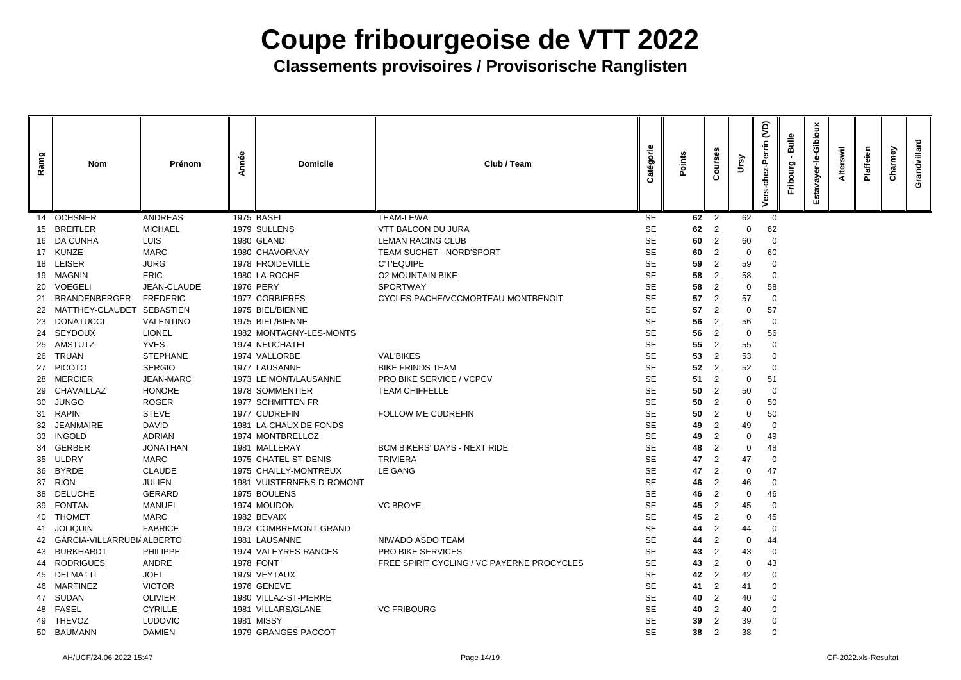| Ramg | <b>Nom</b>                    | Prénom           | Année | <b>Domicile</b>           | Club / Team                                | atégorie  | Points | m.<br>$\epsilon$ | Ursy           | <b>G</b><br>errin<br>ō | <b>Bulle</b><br>Fribourg | Giblor<br>ត<br>ш | swil<br><b>Alter</b> | Plaffeien | Charmey | villard<br>Grand |
|------|-------------------------------|------------------|-------|---------------------------|--------------------------------------------|-----------|--------|------------------|----------------|------------------------|--------------------------|------------------|----------------------|-----------|---------|------------------|
| 14   | <b>OCHSNER</b>                | <b>ANDREAS</b>   |       | 1975 BASEL                | <b>TEAM-LEWA</b>                           | <b>SE</b> | 62     | $\overline{2}$   | 62             | $\overline{0}$         |                          |                  |                      |           |         |                  |
|      | 15 BREITLER                   | <b>MICHAEL</b>   |       | 1979 SULLENS              | <b>VTT BALCON DU JURA</b>                  | <b>SE</b> | 62     | $\overline{2}$   | $\Omega$       | 62                     |                          |                  |                      |           |         |                  |
|      | 16 DA CUNHA                   | <b>LUIS</b>      |       | 1980 GLAND                | <b>LEMAN RACING CLUB</b>                   | <b>SE</b> | 60     | 2                | 60             | -0                     |                          |                  |                      |           |         |                  |
|      | 17 KUNZE                      | <b>MARC</b>      |       | 1980 CHAVORNAY            | <b>TEAM SUCHET - NORD'SPORT</b>            | <b>SE</b> | 60     | 2                | 0              | 60                     |                          |                  |                      |           |         |                  |
| 18   | <b>LEISER</b>                 | <b>JURG</b>      |       | 1978 FROIDEVILLE          | <b>C'T'EQUIPE</b>                          | <b>SE</b> | 59     | 2                | 59             | 0                      |                          |                  |                      |           |         |                  |
|      | 19 MAGNIN                     | <b>ERIC</b>      |       | 1980 LA-ROCHE             | <b>O2 MOUNTAIN BIKE</b>                    | <b>SE</b> | 58     |                  | 58             | - 0                    |                          |                  |                      |           |         |                  |
| 20   | <b>VOEGELI</b>                | JEAN-CLAUDE      |       | <b>1976 PERY</b>          | <b>SPORTWAY</b>                            | <b>SE</b> | 58     | 2                | 0              | 58                     |                          |                  |                      |           |         |                  |
| 21   | <b>BRANDENBERGER</b>          | <b>FREDERIC</b>  |       | 1977 CORBIERES            | CYCLES PACHE/VCCMORTEAU-MONTBENOIT         | <b>SE</b> | 57     | 2                | 57             | -0                     |                          |                  |                      |           |         |                  |
|      | 22 MATTHEY-CLAUDET SEBASTIEN  |                  |       | 1975 BIEL/BIENNE          |                                            | <b>SE</b> | 57     | 2                | 0              | 57                     |                          |                  |                      |           |         |                  |
|      | 23 DONATUCCI                  | <b>VALENTINO</b> |       | 1975 BIEL/BIENNE          |                                            | <b>SE</b> | 56     | 2                | 56             | - റ                    |                          |                  |                      |           |         |                  |
| 24   | <b>SEYDOUX</b>                | <b>LIONEL</b>    |       | 1982 MONTAGNY-LES-MONTS   |                                            | <b>SE</b> | 56     | $\overline{2}$   | $\Omega$       | 56                     |                          |                  |                      |           |         |                  |
| 25   | <b>AMSTUTZ</b>                | <b>YVES</b>      |       | 1974 NEUCHATEL            |                                            | <b>SE</b> | 55     | 2                | 55             | -0                     |                          |                  |                      |           |         |                  |
| 26   | <b>TRUAN</b>                  | <b>STEPHANE</b>  |       | 1974 VALLORBE             | <b>VAL'BIKES</b>                           | <b>SE</b> | 53     | 2                | 53             | -0                     |                          |                  |                      |           |         |                  |
|      | 27 PICOTO                     | <b>SERGIO</b>    |       | 1977 LAUSANNE             | <b>BIKE FRINDS TEAM</b>                    | <b>SE</b> | 52     | 2                | 52             | - റ                    |                          |                  |                      |           |         |                  |
|      | 28 MERCIER                    | <b>JEAN-MARC</b> |       | 1973 LE MONT/LAUSANNE     | PRO BIKE SERVICE / VCPCV                   | <b>SE</b> | 51     | 2                | 0              | 51                     |                          |                  |                      |           |         |                  |
|      | 29 CHAVAILLAZ                 | <b>HONORE</b>    |       | 1978 SOMMENTIER           | <b>TEAM CHIFFELLE</b>                      | <b>SE</b> | 50     | 2                | 50             | -0                     |                          |                  |                      |           |         |                  |
| 30   | <b>JUNGO</b>                  | <b>ROGER</b>     |       | 1977 SCHMITTEN FR         |                                            | <b>SE</b> | 50     | 2                | 0              | 50                     |                          |                  |                      |           |         |                  |
|      | 31 RAPIN                      | <b>STEVE</b>     |       | 1977 CUDREFIN             | <b>FOLLOW ME CUDREFIN</b>                  | <b>SE</b> | 50     | 2                | $\Omega$       | 50                     |                          |                  |                      |           |         |                  |
| 32   | <b>JEANMAIRE</b>              | <b>DAVID</b>     |       | 1981 LA-CHAUX DE FONDS    |                                            | <b>SE</b> | 49     | $\overline{2}$   | 49             | -0                     |                          |                  |                      |           |         |                  |
|      | 33 INGOLD                     | <b>ADRIAN</b>    |       | 1974 MONTBRELLOZ          |                                            | <b>SE</b> | 49     | 2                | 0              | 49                     |                          |                  |                      |           |         |                  |
| 34   | <b>GERBER</b>                 | <b>JONATHAN</b>  |       | 1981 MALLERAY             | <b>BCM BIKERS' DAYS - NEXT RIDE</b>        | <b>SE</b> | 48     | $\overline{2}$   | 0              | 48                     |                          |                  |                      |           |         |                  |
| 35.  | <b>ULDRY</b>                  | <b>MARC</b>      |       | 1975 CHATEL-ST-DENIS      | <b>TRIVIERA</b>                            | <b>SE</b> | 47     | $\mathbf{2}$     | 47             | - 0                    |                          |                  |                      |           |         |                  |
| 36   | <b>BYRDE</b>                  | <b>CLAUDE</b>    |       | 1975 CHAILLY-MONTREUX     | LE GANG                                    | <b>SE</b> | 47     | 2                | 0              | 47                     |                          |                  |                      |           |         |                  |
|      | 37 RION                       | <b>JULIEN</b>    |       | 1981 VUISTERNENS-D-ROMONT |                                            | <b>SE</b> | 46     | 2                | 46             | -0                     |                          |                  |                      |           |         |                  |
| 38   | <b>DELUCHE</b>                | <b>GERARD</b>    |       | 1975 BOULENS              |                                            | <b>SE</b> | 46     | 2                | $\overline{0}$ | 46                     |                          |                  |                      |           |         |                  |
| 39   | <b>FONTAN</b>                 | <b>MANUEL</b>    |       | 1974 MOUDON               | <b>VC BROYE</b>                            | <b>SE</b> | 45     | 2                | 45             | -0                     |                          |                  |                      |           |         |                  |
|      | 40 THOMET                     | <b>MARC</b>      |       | 1982 BEVAIX               |                                            | <b>SE</b> | 45     | -2               | 0              | 45                     |                          |                  |                      |           |         |                  |
| 41.  | <b>JOLIQUIN</b>               | <b>FABRICE</b>   |       | 1973 COMBREMONT-GRAND     |                                            | <b>SE</b> | 44     | 2                | 44             | -0                     |                          |                  |                      |           |         |                  |
|      | 42 GARCIA-VILLARRUBI/ ALBERTO |                  |       | 1981 LAUSANNE             | NIWADO ASDO TEAM                           | <b>SE</b> | 44     | $\overline{2}$   | 0              | 44                     |                          |                  |                      |           |         |                  |
|      | 43 BURKHARDT                  | <b>PHILIPPE</b>  |       | 1974 VALEYRES-RANCES      | <b>PRO BIKE SERVICES</b>                   | <b>SE</b> | 43     | 2                | 43             | -0                     |                          |                  |                      |           |         |                  |
| 44   | <b>RODRIGUES</b>              | ANDRE            |       | <b>1978 FONT</b>          | FREE SPIRIT CYCLING / VC PAYERNE PROCYCLES | <b>SE</b> | 43     | -2               | 0              | 43                     |                          |                  |                      |           |         |                  |
|      | 45 DELMATTI                   | <b>JOEL</b>      |       | 1979 VEYTAUX              |                                            | <b>SE</b> | 42     | 2                | 42             | -0                     |                          |                  |                      |           |         |                  |
|      | 46 MARTINEZ                   | <b>VICTOR</b>    |       | 1976 GENEVE               |                                            | <b>SE</b> | 41     | $\overline{2}$   | 41             | -0                     |                          |                  |                      |           |         |                  |
|      | 47 SUDAN                      | <b>OLIVIER</b>   |       | 1980 VILLAZ-ST-PIERRE     |                                            | <b>SE</b> | 40     | 2                | 40             | 0                      |                          |                  |                      |           |         |                  |
|      | 48 FASEL                      | <b>CYRILLE</b>   |       | 1981 VILLARS/GLANE        | <b>VC FRIBOURG</b>                         | <b>SE</b> | 40     | 2                | 40             |                        |                          |                  |                      |           |         |                  |
|      | 49 THEVOZ                     | <b>LUDOVIC</b>   |       | <b>1981 MISSY</b>         |                                            | <b>SE</b> | 39     |                  | 39             | 0                      |                          |                  |                      |           |         |                  |
|      | 50 BAUMANN                    | <b>DAMIEN</b>    |       | 1979 GRANGES-PACCOT       |                                            | <b>SE</b> | 38     | $\overline{2}$   | 38             | -0                     |                          |                  |                      |           |         |                  |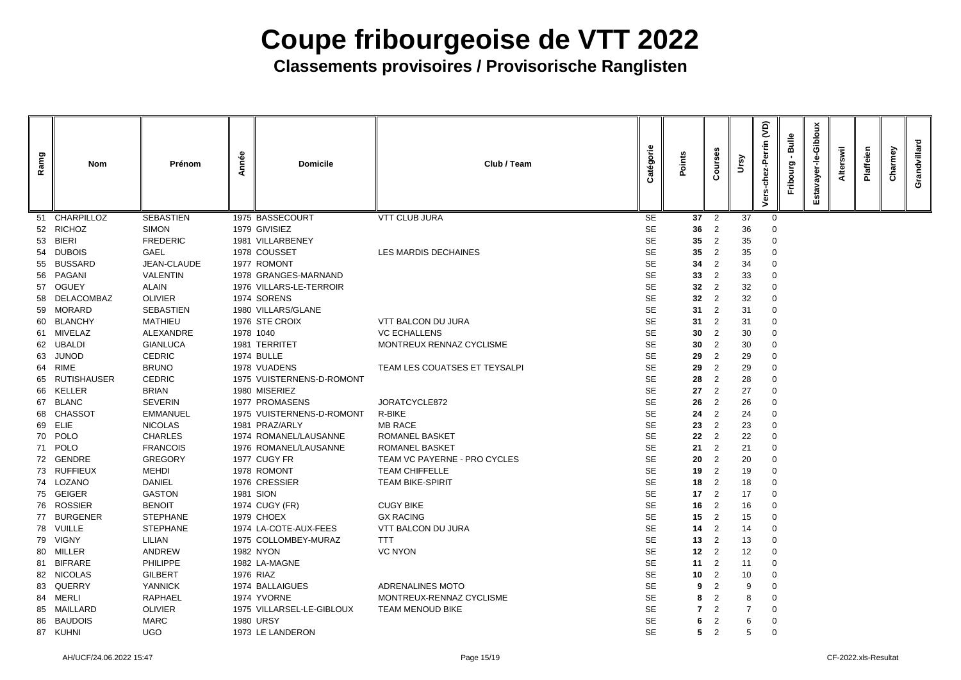| Ramg | <b>Nom</b>         | Prénom           | Année | <b>Domicile</b>           | Club / Team                   | atégorie  | Points          | $\circ$<br>$\tilde{\Omega}$ | Vrsy | <b>G</b><br>Perrin | <b>Bulle</b><br><u>පා</u> | Giblo<br>ە<br>ш | laffeien | Charmey | villard<br>Grand |
|------|--------------------|------------------|-------|---------------------------|-------------------------------|-----------|-----------------|-----------------------------|------|--------------------|---------------------------|-----------------|----------|---------|------------------|
| 51   | <b>CHARPILLOZ</b>  | <b>SEBASTIEN</b> |       | 1975 BASSECOURT           | <b>VTT CLUB JURA</b>          | <b>SE</b> | 37              | $\overline{2}$              | 37   | $\overline{0}$     |                           |                 |          |         |                  |
| 52   | <b>RICHOZ</b>      | <b>SIMON</b>     |       | 1979 GIVISIEZ             |                               | <b>SE</b> | 36              | 2                           | 36   |                    |                           |                 |          |         |                  |
| -53  | <b>BIERI</b>       | <b>FREDERIC</b>  |       | 1981 VILLARBENEY          |                               | <b>SE</b> | 35              | $\overline{2}$              | 35   | 0                  |                           |                 |          |         |                  |
| 54   | <b>DUBOIS</b>      | <b>GAEL</b>      |       | 1978 COUSSET              | <b>LES MARDIS DECHAINES</b>   | <b>SE</b> | 35              | 2                           | 35   | 0                  |                           |                 |          |         |                  |
| 55   | <b>BUSSARD</b>     | JEAN-CLAUDE      |       | 1977 ROMONT               |                               | <b>SE</b> | 34              | 2                           | 34   |                    |                           |                 |          |         |                  |
| -56  | PAGANI             | <b>VALENTIN</b>  |       | 1978 GRANGES-MARNAND      |                               | <b>SE</b> | 33              | 2                           | 33   |                    |                           |                 |          |         |                  |
| 57   | <b>OGUEY</b>       | <b>ALAIN</b>     |       | 1976 VILLARS-LE-TERROIR   |                               | <b>SE</b> | 32 <sub>2</sub> |                             | 32   |                    |                           |                 |          |         |                  |
| -58  | DELACOMBAZ         | <b>OLIVIER</b>   |       | 1974 SORENS               |                               | <b>SE</b> | 32              | 2                           | 32   | 0                  |                           |                 |          |         |                  |
| 59   | <b>MORARD</b>      | <b>SEBASTIEN</b> |       | 1980 VILLARS/GLANE        |                               | <b>SE</b> | 31              | 2                           | 31   |                    |                           |                 |          |         |                  |
| -60  | <b>BLANCHY</b>     | <b>MATHIEU</b>   |       | 1976 STE CROIX            | <b>VTT BALCON DU JURA</b>     | <b>SE</b> | 31              |                             | 31   |                    |                           |                 |          |         |                  |
|      | 61 MIVELAZ         | ALEXANDRE        |       | 1978 1040                 | <b>VC ECHALLENS</b>           | <b>SE</b> | 30              | 2                           | 30   | 0                  |                           |                 |          |         |                  |
|      | 62 UBALDI          | <b>GIANLUCA</b>  |       | 1981 TERRITET             | MONTREUX RENNAZ CYCLISME      | <b>SE</b> | 30              |                             | 30   |                    |                           |                 |          |         |                  |
| 63   | <b>JUNOD</b>       | <b>CEDRIC</b>    |       | <b>1974 BULLE</b>         |                               | <b>SE</b> | 29              | 2                           | 29   |                    |                           |                 |          |         |                  |
| 64   | <b>RIME</b>        | <b>BRUNO</b>     |       | 1978 VUADENS              | TEAM LES COUATSES ET TEYSALPI | <b>SE</b> | 29              |                             | 29   |                    |                           |                 |          |         |                  |
| 65   | <b>RUTISHAUSER</b> | <b>CEDRIC</b>    |       | 1975 VUISTERNENS-D-ROMONT |                               | <b>SE</b> | 28              | 2                           | 28   | 0                  |                           |                 |          |         |                  |
| 66   | <b>KELLER</b>      | <b>BRIAN</b>     |       | 1980 MISERIEZ             |                               | <b>SE</b> | 27              | 2                           | 27   | $\Omega$           |                           |                 |          |         |                  |
| 67   | <b>BLANC</b>       | <b>SEVERIN</b>   |       | 1977 PROMASENS            | JORATCYCLE872                 | <b>SE</b> | 26              | 2                           | 26   |                    |                           |                 |          |         |                  |
| 68   | <b>CHASSOT</b>     | <b>EMMANUEL</b>  |       | 1975 VUISTERNENS-D-ROMONT | R-BIKE                        | <b>SE</b> | 24              | 2                           | 24   | -0                 |                           |                 |          |         |                  |
|      | 69 ELIE            | <b>NICOLAS</b>   |       | 1981 PRAZ/ARLY            | <b>MB RACE</b>                | <b>SE</b> | 23              | 2                           | 23   |                    |                           |                 |          |         |                  |
|      | 70 POLO            | <b>CHARLES</b>   |       | 1974 ROMANEL/LAUSANNE     | <b>ROMANEL BASKET</b>         | <b>SE</b> | 22              | 2                           | 22   |                    |                           |                 |          |         |                  |
|      | 71 POLO            | <b>FRANCOIS</b>  |       | 1976 ROMANEL/LAUSANNE     | <b>ROMANEL BASKET</b>         | <b>SE</b> | 21              | $\overline{2}$              | 21   |                    |                           |                 |          |         |                  |
|      | 72 GENDRE          | <b>GREGORY</b>   |       | 1977 CUGY FR              | TEAM VC PAYERNE - PRO CYCLES  | <b>SE</b> | 20              | $\overline{2}$              | 20   | $\overline{0}$     |                           |                 |          |         |                  |
|      | 73 RUFFIEUX        | <b>MEHDI</b>     |       | 1978 ROMONT               | <b>TEAM CHIFFELLE</b>         | <b>SE</b> | 19              | $\overline{2}$              | 19   | 0                  |                           |                 |          |         |                  |
|      | 74 LOZANO          | <b>DANIEL</b>    |       | 1976 CRESSIER             | <b>TEAM BIKE-SPIRIT</b>       | <b>SE</b> | 18              | 2                           | 18   | 0                  |                           |                 |          |         |                  |
|      | 75 GEIGER          | <b>GASTON</b>    |       | 1981 SION                 |                               | <b>SE</b> | 17              | 2                           | 17   | 0                  |                           |                 |          |         |                  |
|      | 76 ROSSIER         | <b>BENOIT</b>    |       | 1974 CUGY (FR)            | <b>CUGY BIKE</b>              | <b>SE</b> | 16              | 2                           | 16   | 0                  |                           |                 |          |         |                  |
|      | 77 BURGENER        | <b>STEPHANE</b>  |       | 1979 CHOEX                | <b>GX RACING</b>              | <b>SE</b> | 15              | 2                           | 15   | 0                  |                           |                 |          |         |                  |
|      | 78 VUILLE          | <b>STEPHANE</b>  |       | 1974 LA-COTE-AUX-FEES     | <b>VTT BALCON DU JURA</b>     | <b>SE</b> | 14              | 2                           | 14   | 0                  |                           |                 |          |         |                  |
|      | 79 VIGNY           | <b>LILIAN</b>    |       | 1975 COLLOMBEY-MURAZ      | <b>TTT</b>                    | <b>SE</b> | 13              | 2                           | 13   | 0                  |                           |                 |          |         |                  |
|      | 80 MILLER          | <b>ANDREW</b>    |       | <b>1982 NYON</b>          | <b>VC NYON</b>                | <b>SE</b> | 12              | 2                           | 12   | 0                  |                           |                 |          |         |                  |
|      | 81 BIFRARE         | <b>PHILIPPE</b>  |       | 1982 LA-MAGNE             |                               | <b>SE</b> | 11              | 2                           | 11   | 0                  |                           |                 |          |         |                  |
|      | 82 NICOLAS         | <b>GILBERT</b>   |       | 1976 RIAZ                 |                               | <b>SE</b> | 10              | 2                           | 10   | 0                  |                           |                 |          |         |                  |
| 83   | QUERRY             | <b>YANNICK</b>   |       | 1974 BALLAIGUES           | ADRENALINES MOTO              | <b>SE</b> | 9               | $\overline{2}$              | 9    | -0                 |                           |                 |          |         |                  |
|      | 84 MERLI           | <b>RAPHAEL</b>   |       | 1974 YVORNE               | MONTREUX-RENNAZ CYCLISME      | <b>SE</b> | 8               | $\overline{2}$              | 8    | -0                 |                           |                 |          |         |                  |
|      | 85 MAILLARD        | <b>OLIVIER</b>   |       | 1975 VILLARSEL-LE-GIBLOUX | TEAM MENOUD BIKE              | <b>SE</b> |                 | $\overline{2}$              |      | -0                 |                           |                 |          |         |                  |
|      | 86 BAUDOIS         | <b>MARC</b>      |       | <b>1980 URSY</b>          |                               | <b>SE</b> | 6               | 2                           | 6    | $\overline{0}$     |                           |                 |          |         |                  |
|      | 87 KUHNI           | <b>UGO</b>       |       | 1973 LE LANDERON          |                               | <b>SE</b> | 5               | $\overline{2}$              | 5    | $\overline{0}$     |                           |                 |          |         |                  |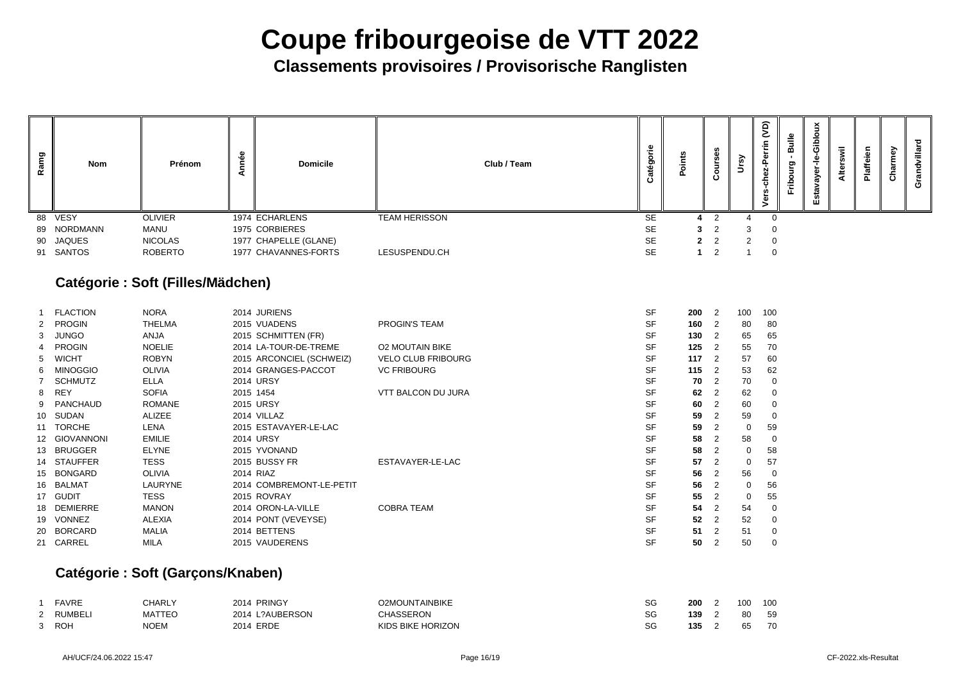**Classements provisoires / Provisorische Ranglisten**

| פַ<br>Rāi | Nom         | Prénom         | မိ | <b>Domicile</b>       | Club / Team          | Φ<br>.-<br>ත<br>$\sigma$ |                |   | こ<br>٠Ē<br>Φ<br>ທ<br>Φ | Bulle<br>ರಾ<br><u>م</u><br>щ. | <u>으</u><br>⋗<br>ത | 震<br>Alte | ብነ<br>ω<br><b>Pla</b> | ි<br>نَ | ပ |
|-----------|-------------|----------------|----|-----------------------|----------------------|--------------------------|----------------|---|------------------------|-------------------------------|--------------------|-----------|-----------------------|---------|---|
|           | 88 VESY     | <b>OLIVIER</b> |    | 1974 ECHARLENS        | <b>TEAM HERISSON</b> | <b>SE</b>                | 4 2            |   | - 0                    |                               |                    |           |                       |         |   |
|           | 89 NORDMANN | MANU           |    | 1975 CORBIERES        |                      | <b>SE</b>                | 3 <sup>2</sup> | 3 | $\overline{0}$         |                               |                    |           |                       |         |   |
|           | 90 JAQUES   | <b>NICOLAS</b> |    | 1977 CHAPELLE (GLANE) |                      | <b>SE</b>                | $2 \quad 2$    | 2 | $\overline{0}$         |                               |                    |           |                       |         |   |
|           | 91 SANTOS   | <b>ROBERTO</b> |    | 1977 CHAVANNES-FORTS  | LESUSPENDU.CH        | <b>SE</b>                | - 2            |   | $\Omega$               |                               |                    |           |                       |         |   |

### **Catégorie : Soft (Filles/Mädchen)**

|    | <b>FLACTION</b> | <b>NORA</b>    | 2014 JURIENS             |                           | <b>SF</b> | 200 | $\overline{2}$             | 100          | 10 <sub>C</sub> |
|----|-----------------|----------------|--------------------------|---------------------------|-----------|-----|----------------------------|--------------|-----------------|
|    | 2 PROGIN        | <b>THELMA</b>  | 2015 VUADENS             | <b>PROGIN'S TEAM</b>      | <b>SF</b> | 160 | $\overline{\phantom{0}}^2$ | 80           | 80              |
|    | 3 JUNGO         | <b>ANJA</b>    | 2015 SCHMITTEN (FR)      |                           | <b>SF</b> | 130 | $\overline{2}$             | 65           | 65              |
|    | 4 PROGIN        | <b>NOELIE</b>  | 2014 LA-TOUR-DE-TREME    | <b>O2 MOUTAIN BIKE</b>    | <b>SF</b> | 125 | $\overline{2}$             | 55           | 70              |
|    | 5 WICHT         | <b>ROBYN</b>   | 2015 ARCONCIEL (SCHWEIZ) | <b>VELO CLUB FRIBOURG</b> | <b>SF</b> | 117 | $\overline{2}$             | 57           | <b>60</b>       |
| 6  | <b>MINOGGIO</b> | <b>OLIVIA</b>  | 2014 GRANGES-PACCOT      | <b>VC FRIBOURG</b>        | <b>SF</b> | 115 | $\overline{\phantom{0}}^2$ | 53           | 62              |
|    | 7 SCHMUTZ       | <b>ELLA</b>    | <b>2014 URSY</b>         |                           | <b>SF</b> | 70  | $\overline{2}$             | 70           |                 |
|    | 8 REY           | <b>SOFIA</b>   | 2015 1454                | <b>VTT BALCON DU JURA</b> | <b>SF</b> | 62  | $\overline{2}$             | 62           |                 |
|    | 9 PANCHAUD      | <b>ROMANE</b>  | 2015 URSY                |                           | <b>SF</b> | 60  | 2                          | 60           |                 |
|    | 10 SUDAN        | <b>ALIZEE</b>  | 2014 VILLAZ              |                           | <b>SF</b> | 59  | 2                          | 59           |                 |
|    | 11 TORCHE       | <b>LENA</b>    | 2015 ESTAVAYER-LE-LAC    |                           | <b>SF</b> | 59  | 2                          | 0            | <b>59</b>       |
|    | 12 GIOVANNONI   | <b>EMILIE</b>  | <b>2014 URSY</b>         |                           | <b>SF</b> | 58  | 2                          | 58           |                 |
|    | 13 BRUGGER      | <b>ELYNE</b>   | 2015 YVONAND             |                           | <b>SF</b> | 58  | -2                         | $\mathbf 0$  | 58              |
|    | 14 STAUFFER     | <b>TESS</b>    | 2015 BUSSY FR            | ESTAVAYER-LE-LAC          | <b>SF</b> | 57  |                            | $\mathbf 0$  | 57              |
|    | 15 BONGARD      | <b>OLIVIA</b>  | 2014 RIAZ                |                           | <b>SF</b> | 56  | $\overline{2}$             | 56           |                 |
| 16 | BALMAT          | <b>LAURYNE</b> | 2014 COMBREMONT-LE-PETIT |                           | <b>SF</b> | 56  | 2                          | $\mathbf{0}$ | 56              |
|    | 17 GUDIT        | <b>TESS</b>    | 2015 ROVRAY              |                           | <b>SF</b> | 55  | $\overline{2}$             | 0            | 55              |
| 18 | <b>DEMIERRE</b> | <b>MANON</b>   | 2014 ORON-LA-VILLE       | <b>COBRA TEAM</b>         | <b>SF</b> | 54  | 2                          | 54           |                 |
| 19 | <b>VONNEZ</b>   | <b>ALEXIA</b>  | 2014 PONT (VEVEYSE)      |                           | <b>SF</b> | 52  | $\overline{2}$             | 52           |                 |
| 20 | <b>BORCARD</b>  | <b>MALIA</b>   | 2014 BETTENS             |                           | <b>SF</b> | 51  |                            | 51           |                 |
|    | 21 CARREL       | <b>MILA</b>    | 2015 VAUDERENS           |                           | <b>SF</b> | 50  |                            | 50           |                 |

### **Catégorie : Soft (Garçons/Knaben)**

|                    | <b>FAVRE</b> | CHARLY        | 2014 PRINGY     | <b>O2MOUNTAINBIKE</b> | SG | 200 | 100 | 10 <sup>C</sup> |
|--------------------|--------------|---------------|-----------------|-----------------------|----|-----|-----|-----------------|
| $\sim$<br><u>_</u> | RUMBELI      | <b>MATTEO</b> | 2014 L?AUBERSON | CHASSERON             | SG | 139 | 80  | 59              |
| ົດ                 | <b>ROH</b>   | <b>NOEM</b>   | 2014 ERDE       | KIDS BIKE HORIZON     | SG | 135 | 65  | <b>70</b>       |

| 200 | $\overline{c}$ | 100 | 100 |
|-----|----------------|-----|-----|
| 160 | $\overline{c}$ | 80  | 80  |
| 130 | $\overline{2}$ | 65  | 65  |
| 125 | $\overline{c}$ | 55  | 70  |
| 117 | $\overline{2}$ | 57  | 60  |
| 115 | $\overline{c}$ | 53  | 62  |
| 70  | $\overline{2}$ | 70  | 0   |
| 62  | $\overline{2}$ | 62  | 0   |
| 60  | $\overline{c}$ | 60  | 0   |
| 59  | $\overline{c}$ | 59  | 0   |
| 59  | $\overline{c}$ | 0   | 59  |
| 58  | $\overline{c}$ | 58  | 0   |
| 58  | $\overline{c}$ | 0   | 58  |
| 57  | $\overline{2}$ | 0   | 57  |
| 56  | $\overline{2}$ | 56  | 0   |
| 56  | $\overline{2}$ | 0   | 56  |
| 55  | $\overline{2}$ | 0   | 55  |
| 54  | $\overline{c}$ | 54  | 0   |
| 52  | $\overline{2}$ | 52  | 0   |
| 51  | $\overline{2}$ | 51  | 0   |
| 50  | $\overline{2}$ | 50  | 0   |
|     |                |     |     |

| 200 | 2 | 100 | 100 |
|-----|---|-----|-----|
| 139 | 2 | 80  | 59  |
| 135 | 2 | 65  | 70  |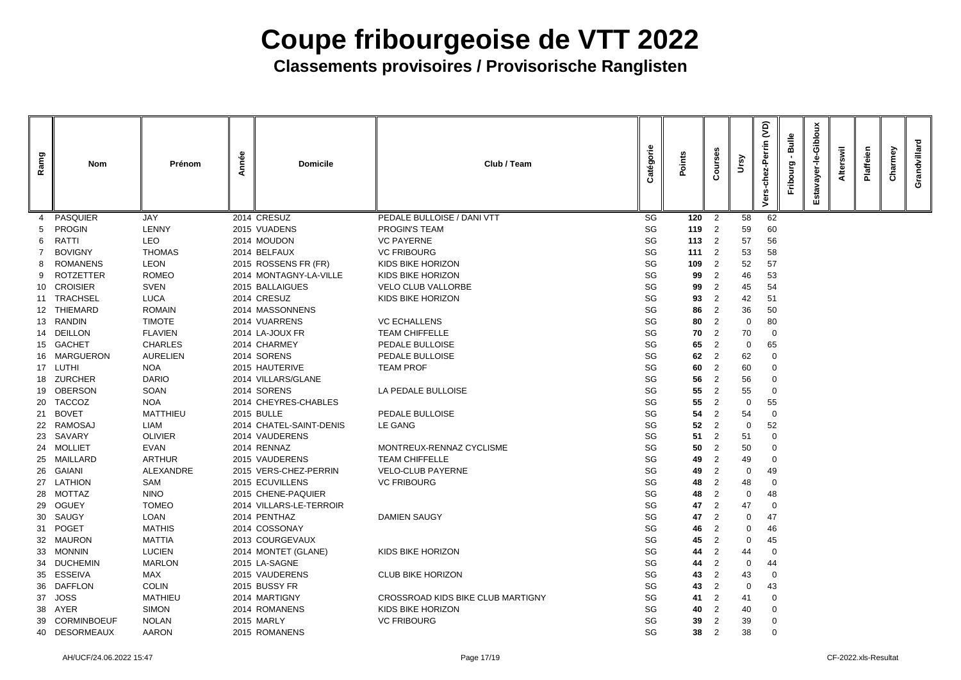| Ramg            | <b>Nom</b>       | Prénom          | Année | <b>Domicile</b>         | Club / Team                       | Catégorie | Points | ā<br>$\mathbf C$ | Ursy           | <b>JO</b><br>Perrin<br>62-<br>$\overline{5}$<br>Vers | <b>Bulle</b><br>Fribourg | Giblou<br>ف<br>ד<br>ayer<br>stav<br>ш | swil<br><b>Alter</b> | Plaffeien | Charmey | Grandvillard |
|-----------------|------------------|-----------------|-------|-------------------------|-----------------------------------|-----------|--------|------------------|----------------|------------------------------------------------------|--------------------------|---------------------------------------|----------------------|-----------|---------|--------------|
|                 | <b>PASQUIER</b>  | <b>JAY</b>      |       | 2014 CRESUZ             | PEDALE BULLOISE / DANI VTT        | SG        | 120    | $\overline{2}$   | 58             | 62                                                   |                          |                                       |                      |           |         |              |
| 5               | <b>PROGIN</b>    | <b>LENNY</b>    |       | 2015 VUADENS            | PROGIN'S TEAM                     | SG        | 119    | 2                | 59             | 60                                                   |                          |                                       |                      |           |         |              |
| 6               | <b>RATTI</b>     | <b>LEO</b>      |       | 2014 MOUDON             | <b>VC PAYERNE</b>                 | SG        | 113    | 2                | 57             | 56                                                   |                          |                                       |                      |           |         |              |
|                 | <b>BOVIGNY</b>   | <b>THOMAS</b>   |       | 2014 BELFAUX            | <b>VC FRIBOURG</b>                | SG        | 111    | 2                | 53             | 58                                                   |                          |                                       |                      |           |         |              |
| 8               | <b>ROMANENS</b>  | <b>LEON</b>     |       | 2015 ROSSENS FR (FR)    | <b>KIDS BIKE HORIZON</b>          | SG        | 109    | 2                | 52             | 57                                                   |                          |                                       |                      |           |         |              |
|                 | <b>ROTZETTER</b> | <b>ROMEO</b>    |       | 2014 MONTAGNY-LA-VILLE  | <b>KIDS BIKE HORIZON</b>          | SG        | 99     | 2                | 46             | 53                                                   |                          |                                       |                      |           |         |              |
| 10              | <b>CROISIER</b>  | <b>SVEN</b>     |       | 2015 BALLAIGUES         | <b>VELO CLUB VALLORBE</b>         | SG        | 99     | 2                | 45             | 54                                                   |                          |                                       |                      |           |         |              |
|                 | 11 TRACHSEL      | <b>LUCA</b>     |       | 2014 CRESUZ             | <b>KIDS BIKE HORIZON</b>          | SG        | 93     | 2                | 42             | 51                                                   |                          |                                       |                      |           |         |              |
| 12 <sup>°</sup> | <b>THIEMARD</b>  | <b>ROMAIN</b>   |       | 2014 MASSONNENS         |                                   | SG        | 86     | $\overline{2}$   | 36             | 50                                                   |                          |                                       |                      |           |         |              |
|                 | 13 RANDIN        | <b>TIMOTE</b>   |       | 2014 VUARRENS           | <b>VC ECHALLENS</b>               | SG        | 80     | 2                | $\mathbf 0$    | 80                                                   |                          |                                       |                      |           |         |              |
| 14              | <b>DEILLON</b>   | <b>FLAVIEN</b>  |       | 2014 LA-JOUX FR         | <b>TEAM CHIFFELLE</b>             | SG        | 70     | $\overline{2}$   | 70             | $\overline{0}$                                       |                          |                                       |                      |           |         |              |
|                 | 15 GACHET        | <b>CHARLES</b>  |       | 2014 CHARMEY            | PEDALE BULLOISE                   | SG        | 65     | 2                | $\mathbf 0$    | 65                                                   |                          |                                       |                      |           |         |              |
|                 | 16 MARGUERON     | <b>AURELIEN</b> |       | 2014 SORENS             | PEDALE BULLOISE                   | SG        | 62     | 2                | 62             | -0                                                   |                          |                                       |                      |           |         |              |
|                 | 17 LUTHI         | <b>NOA</b>      |       | 2015 HAUTERIVE          | <b>TEAM PROF</b>                  | SG        | 60     | $\overline{2}$   | 60             | $\overline{0}$                                       |                          |                                       |                      |           |         |              |
|                 | 18 ZURCHER       | <b>DARIO</b>    |       | 2014 VILLARS/GLANE      |                                   | SG        | 56     | 2                | 56             | $\overline{0}$                                       |                          |                                       |                      |           |         |              |
|                 | 19 OBERSON       | <b>SOAN</b>     |       | 2014 SORENS             | LA PEDALE BULLOISE                | SG        | 55     | 2                | 55             | -0                                                   |                          |                                       |                      |           |         |              |
|                 | 20 TACCOZ        | <b>NOA</b>      |       | 2014 CHEYRES-CHABLES    |                                   | SG        | 55     | 2                | $\overline{0}$ | 55                                                   |                          |                                       |                      |           |         |              |
|                 | 21 BOVET         | <b>MATTHIEU</b> |       | <b>2015 BULLE</b>       | PEDALE BULLOISE                   | SG        | 54     | 2                | 54             | -0                                                   |                          |                                       |                      |           |         |              |
| 22              | RAMOSAJ          | <b>LIAM</b>     |       | 2014 CHATEL-SAINT-DENIS | <b>LE GANG</b>                    | SG        | 52     | $\overline{2}$   | $\mathbf 0$    | 52                                                   |                          |                                       |                      |           |         |              |
|                 | 23 SAVARY        | <b>OLIVIER</b>  |       | 2014 VAUDERENS          |                                   | SG        | 51     | $\overline{2}$   | 51             | $\overline{0}$                                       |                          |                                       |                      |           |         |              |
|                 | 24 MOLLIET       | <b>EVAN</b>     |       | 2014 RENNAZ             | MONTREUX-RENNAZ CYCLISME          | SG        | 50     | 2                | 50             | -0                                                   |                          |                                       |                      |           |         |              |
| 25              | MAILLARD         | <b>ARTHUR</b>   |       | 2015 VAUDERENS          | <b>TEAM CHIFFELLE</b>             | SG        | 49     | 2                | 49             | $\overline{0}$                                       |                          |                                       |                      |           |         |              |
|                 | 26 GAIANI        | ALEXANDRE       |       | 2015 VERS-CHEZ-PERRIN   | <b>VELO-CLUB PAYERNE</b>          | SG        | 49     | 2                | 0              | 49                                                   |                          |                                       |                      |           |         |              |
|                 | 27 LATHION       | SAM             |       | 2015 ECUVILLENS         | <b>VC FRIBOURG</b>                | SG        | 48     | 2                | 48             | -0                                                   |                          |                                       |                      |           |         |              |
| 28              | <b>MOTTAZ</b>    | <b>NINO</b>     |       | 2015 CHENE-PAQUIER      |                                   | SG        | 48     | 2                | 0              | 48                                                   |                          |                                       |                      |           |         |              |
|                 | 29 OGUEY         | <b>TOMEO</b>    |       | 2014 VILLARS-LE-TERROIR |                                   | SG        | 47     | $\overline{2}$   | 47             | -0                                                   |                          |                                       |                      |           |         |              |
| 30              | SAUGY            | <b>LOAN</b>     |       | 2014 PENTHAZ            | <b>DAMIEN SAUGY</b>               | SG        | 47     | 2                |                | 47                                                   |                          |                                       |                      |           |         |              |
| 31              | POGET            | <b>MATHIS</b>   |       | 2014 COSSONAY           |                                   | SG        | 46     | 2                | 0              | 46                                                   |                          |                                       |                      |           |         |              |
| 32              | MAURON           | <b>MATTIA</b>   |       | 2013 COURGEVAUX         |                                   | SG        | 45     | 2                | 0              | 45                                                   |                          |                                       |                      |           |         |              |
| 33              | <b>MONNIN</b>    | <b>LUCIEN</b>   |       | 2014 MONTET (GLANE)     | <b>KIDS BIKE HORIZON</b>          | SG        | 44     | 2                | 44             | -0                                                   |                          |                                       |                      |           |         |              |
|                 | 34 DUCHEMIN      | <b>MARLON</b>   |       | 2015 LA-SAGNE           |                                   | SG        | 44     | 2                | 0              | 44                                                   |                          |                                       |                      |           |         |              |
| 35              | <b>ESSEIVA</b>   | <b>MAX</b>      |       | 2015 VAUDERENS          | <b>CLUB BIKE HORIZON</b>          | SG        | 43     | $\overline{2}$   | 43             | -0                                                   |                          |                                       |                      |           |         |              |
| 36              | DAFFLON          | <b>COLIN</b>    |       | 2015 BUSSY FR           |                                   | SG        | 43     | 2                | $\mathbf{0}$   | 43                                                   |                          |                                       |                      |           |         |              |
| 37              | <b>JOSS</b>      | <b>MATHIEU</b>  |       | 2014 MARTIGNY           | CROSSROAD KIDS BIKE CLUB MARTIGNY | SG        | 41     | $\overline{2}$   | 41             | -0                                                   |                          |                                       |                      |           |         |              |
|                 | 38 AYER          | <b>SIMON</b>    |       | 2014 ROMANENS           | KIDS BIKE HORIZON                 | SG        | 40     | 2                | 40             | 0                                                    |                          |                                       |                      |           |         |              |
|                 | 39 CORMINBOEUF   | <b>NOLAN</b>    |       | 2015 MARLY              | <b>VC FRIBOURG</b>                | SG        | 39     | 2                | 39             | 0                                                    |                          |                                       |                      |           |         |              |
|                 | 40 DESORMEAUX    | AARON           |       | 2015 ROMANENS           |                                   | SG        | 38     | $\overline{2}$   | 38             | $\overline{0}$                                       |                          |                                       |                      |           |         |              |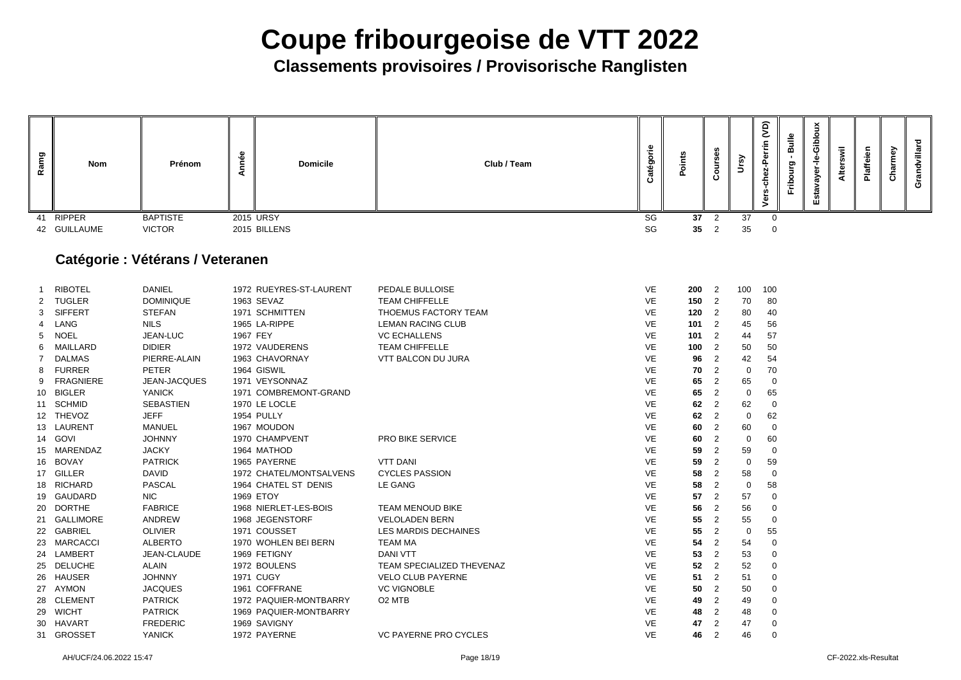**Classements provisoires / Provisorische Ranglisten**

| Ramg | <b>Nom</b>       | Prénom                                  | Année    | <b>Domicile</b>         | Club / Team                      | Catégorie | Points | Courses        | Ursy           | $\widetilde{S}$<br>ez-Perrin<br>$\frac{5}{9}$<br>Vers | Bulle<br>Fribourg | Estavayer-le-Gibloux | Alterswil | Plaffeien | Charmey | Grandvillard |
|------|------------------|-----------------------------------------|----------|-------------------------|----------------------------------|-----------|--------|----------------|----------------|-------------------------------------------------------|-------------------|----------------------|-----------|-----------|---------|--------------|
| 41   | <b>RIPPER</b>    | <b>BAPTISTE</b>                         |          | 2015 URSY               |                                  | SG        | 37     | $\overline{2}$ | 37             | $\overline{0}$                                        |                   |                      |           |           |         |              |
|      | 42 GUILLAUME     | <b>VICTOR</b>                           |          | 2015 BILLENS            |                                  | SG        | 35     | $\overline{2}$ | 35             | $\overline{0}$                                        |                   |                      |           |           |         |              |
|      |                  | <b>Catégorie : Vétérans / Veteranen</b> |          |                         |                                  |           |        |                |                |                                                       |                   |                      |           |           |         |              |
|      | <b>RIBOTEL</b>   | <b>DANIEL</b>                           |          | 1972 RUEYRES-ST-LAURENT | PEDALE BULLOISE                  | VE        | 200    | 2              | 100            | 100                                                   |                   |                      |           |           |         |              |
|      | <b>TUGLER</b>    | <b>DOMINIQUE</b>                        |          | 1963 SEVAZ              | <b>TEAM CHIFFELLE</b>            | <b>VE</b> | 150    | 2              | 70             | 80                                                    |                   |                      |           |           |         |              |
| 3    | <b>SIFFERT</b>   | <b>STEFAN</b>                           |          | 1971 SCHMITTEN          | THOEMUS FACTORY TEAM             | <b>VE</b> | 120    | $\overline{2}$ | 80             | 40                                                    |                   |                      |           |           |         |              |
|      | LANG             | <b>NILS</b>                             |          | 1965 LA-RIPPE           | <b>LEMAN RACING CLUB</b>         | <b>VE</b> | 101    | 2              | 45             | 56                                                    |                   |                      |           |           |         |              |
| 5.   | <b>NOEL</b>      | JEAN-LUC                                | 1967 FEY |                         | <b>VC ECHALLENS</b>              | <b>VE</b> | 101    | $\overline{2}$ | 44             | 57                                                    |                   |                      |           |           |         |              |
| 6    | MAILLARD         | <b>DIDIER</b>                           |          | 1972 VAUDERENS          | <b>TEAM CHIFFELLE</b>            | VE        | 100    | $\overline{2}$ | 50             | 50                                                    |                   |                      |           |           |         |              |
|      | <b>DALMAS</b>    | PIERRE-ALAIN                            |          | 1963 CHAVORNAY          | <b>VTT BALCON DU JURA</b>        | <b>VE</b> | 96     | $\overline{2}$ | 42             | 54                                                    |                   |                      |           |           |         |              |
| 8    | <b>FURRER</b>    | <b>PETER</b>                            |          | 1964 GISWIL             |                                  | <b>VE</b> | 70     | $\overline{2}$ | $\mathbf 0$    | 70                                                    |                   |                      |           |           |         |              |
| 9    | <b>FRAGNIERE</b> | JEAN-JACQUES                            |          | 1971 VEYSONNAZ          |                                  | VE        | 65     | $\overline{2}$ | 65             | $\overline{0}$                                        |                   |                      |           |           |         |              |
| 10   | <b>BIGLER</b>    | <b>YANICK</b>                           |          | 1971 COMBREMONT-GRAND   |                                  | <b>VE</b> | 65     | $\overline{2}$ | $\overline{0}$ | 65                                                    |                   |                      |           |           |         |              |
|      | 11 SCHMID        | <b>SEBASTIEN</b>                        |          | 1970 LE LOCLE           |                                  | <b>VE</b> | 62     | $\overline{2}$ | 62             | $\overline{0}$                                        |                   |                      |           |           |         |              |
|      | 12 THEVOZ        | <b>JEFF</b>                             |          | 1954 PULLY              |                                  | <b>VE</b> | 62     | $\overline{2}$ | $\mathbf 0$    | 62                                                    |                   |                      |           |           |         |              |
|      | 13 LAURENT       | <b>MANUEL</b>                           |          | 1967 MOUDON             |                                  | <b>VE</b> | 60     | $\overline{2}$ | 60             | $\overline{0}$                                        |                   |                      |           |           |         |              |
|      | 14 GOVI          | <b>JOHNNY</b>                           |          | 1970 CHAMPVENT          | PRO BIKE SERVICE                 | <b>VE</b> | 60     | $\overline{2}$ | $\overline{0}$ | 60                                                    |                   |                      |           |           |         |              |
|      | 15 MARENDAZ      | <b>JACKY</b>                            |          | 1964 MATHOD             |                                  | <b>VE</b> | 59     | $\overline{2}$ | 59             | 0                                                     |                   |                      |           |           |         |              |
| 16   | <b>BOVAY</b>     | <b>PATRICK</b>                          |          | 1965 PAYERNE            | <b>VTT DANI</b>                  | VE        | 59     | 2              | 0              | 59                                                    |                   |                      |           |           |         |              |
|      | 17 GILLER        | <b>DAVID</b>                            |          | 1972 CHATEL/MONTSALVENS | <b>CYCLES PASSION</b>            | VE        | 58     | $\overline{2}$ | 58             | -0                                                    |                   |                      |           |           |         |              |
|      | 18 RICHARD       | <b>PASCAL</b>                           |          | 1964 CHATEL ST DENIS    | LE GANG                          | <b>VE</b> | 58     | $\overline{2}$ | 0              | 58                                                    |                   |                      |           |           |         |              |
|      | 19 GAUDARD       | <b>NIC</b>                              |          | 1969 ETOY               |                                  | VE        | 57     | 2              | 57             | -0                                                    |                   |                      |           |           |         |              |
|      | 20 DORTHE        | <b>FABRICE</b>                          |          | 1968 NIERLET-LES-BOIS   | <b>TEAM MENOUD BIKE</b>          | VE        | 56     | $\overline{2}$ | 56             | -0                                                    |                   |                      |           |           |         |              |
|      | 21 GALLIMORE     | <b>ANDREW</b>                           |          | 1968 JEGENSTORF         | <b>VELOLADEN BERN</b>            | VE        | 55     | $\overline{2}$ | 55             | -0                                                    |                   |                      |           |           |         |              |
|      | 22 GABRIEL       | <b>OLIVIER</b>                          |          | 1971 COUSSET            | <b>LES MARDIS DECHAINES</b>      | VE        | 55     | $\overline{2}$ | 0              | 55                                                    |                   |                      |           |           |         |              |
|      | 23 MARCACCI      | <b>ALBERTO</b>                          |          | 1970 WOHLEN BEI BERN    | <b>TEAM MA</b>                   | VE        | 54     | 2              | 54             | -0                                                    |                   |                      |           |           |         |              |
| 24   | LAMBERT          | JEAN-CLAUDE                             |          | 1969 FETIGNY            | <b>DANI VTT</b>                  | VE        | 53     | 2              | 53             | -0                                                    |                   |                      |           |           |         |              |
|      | 25 DELUCHE       | <b>ALAIN</b>                            |          | 1972 BOULENS            | <b>TEAM SPECIALIZED THEVENAZ</b> | VE        | 52     | 2              | 52             | -0                                                    |                   |                      |           |           |         |              |
|      | 26 HAUSER        | <b>JOHNNY</b>                           |          | <b>1971 CUGY</b>        | <b>VELO CLUB PAYERNE</b>         | VE        | 51     | $\overline{2}$ | 51             | -0                                                    |                   |                      |           |           |         |              |
| 27   | AYMON            | <b>JACQUES</b>                          |          | 1961 COFFRANE           | <b>VC VIGNOBLE</b>               | VE        | 50     | 2              | 50             | -0                                                    |                   |                      |           |           |         |              |
|      | 28 CLEMENT       | <b>PATRICK</b>                          |          | 1972 PAQUIER-MONTBARRY  | O <sub>2</sub> MTB               | VE        | 49     |                | 49             | -0                                                    |                   |                      |           |           |         |              |
|      | 29 WICHT         | <b>PATRICK</b>                          |          | 1969 PAQUIER-MONTBARRY  |                                  | <b>VE</b> | 48     | 2              | 48             | -0                                                    |                   |                      |           |           |         |              |
|      | 30 HAVART        | <b>FREDERIC</b>                         |          | 1969 SAVIGNY            |                                  | <b>VE</b> | 47     | 2              | 47             | -0                                                    |                   |                      |           |           |         |              |
|      | 31 GROSSET       | <b>YANICK</b>                           |          | 1972 PAYERNE            | VC PAYERNE PRO CYCLES            | VE        | 46     | $\overline{2}$ | 46             | $\overline{0}$                                        |                   |                      |           |           |         |              |

AH/UCF/24.06.2022 15:47 Page 18/19 CF-2022.xls-Resultat